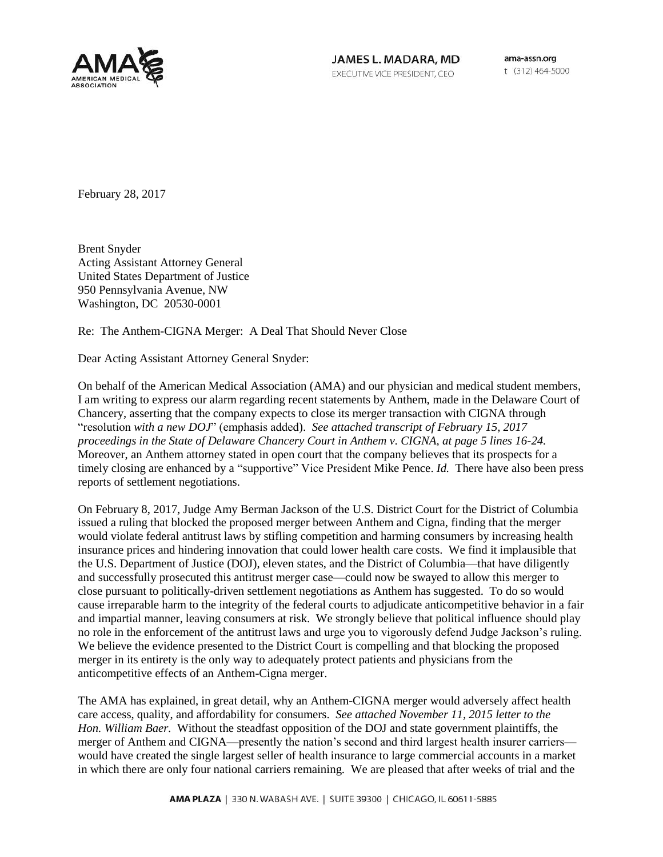

JAMES L. MADARA, MD EXECUTIVE VICE PRESIDENT, CEO

ama-assn.org t (312) 464-5000

February 28, 2017

Brent Snyder Acting Assistant Attorney General United States Department of Justice 950 Pennsylvania Avenue, NW Washington, DC 20530-0001

Re: The Anthem-CIGNA Merger: A Deal That Should Never Close

Dear Acting Assistant Attorney General Snyder:

On behalf of the American Medical Association (AMA) and our physician and medical student members, I am writing to express our alarm regarding recent statements by Anthem, made in the Delaware Court of Chancery, asserting that the company expects to close its merger transaction with CIGNA through "resolution *with a new DOJ*" (emphasis added). *See attached transcript of February 15, 2017 proceedings in the State of Delaware Chancery Court in Anthem v. CIGNA, at page 5 lines 16-24.* Moreover, an Anthem attorney stated in open court that the company believes that its prospects for a timely closing are enhanced by a "supportive" Vice President Mike Pence. *Id.* There have also been press reports of settlement negotiations.

On February 8, 2017, Judge Amy Berman Jackson of the U.S. District Court for the District of Columbia issued a ruling that blocked the proposed merger between Anthem and Cigna, finding that the merger would violate federal antitrust laws by stifling competition and harming consumers by increasing health insurance prices and hindering innovation that could lower health care costs. We find it implausible that the U.S. Department of Justice (DOJ), eleven states, and the District of Columbia—that have diligently and successfully prosecuted this antitrust merger case—could now be swayed to allow this merger to close pursuant to politically-driven settlement negotiations as Anthem has suggested. To do so would cause irreparable harm to the integrity of the federal courts to adjudicate anticompetitive behavior in a fair and impartial manner, leaving consumers at risk. We strongly believe that political influence should play no role in the enforcement of the antitrust laws and urge you to vigorously defend Judge Jackson's ruling. We believe the evidence presented to the District Court is compelling and that blocking the proposed merger in its entirety is the only way to adequately protect patients and physicians from the anticompetitive effects of an Anthem-Cigna merger.

The AMA has explained, in great detail, why an Anthem-CIGNA merger would adversely affect health care access, quality, and affordability for consumers. *See attached November 11, 2015 letter to the Hon. William Baer.* Without the steadfast opposition of the DOJ and state government plaintiffs, the merger of Anthem and CIGNA—presently the nation's second and third largest health insurer carriers would have created the single largest seller of health insurance to large commercial accounts in a market in which there are only four national carriers remaining. We are pleased that after weeks of trial and the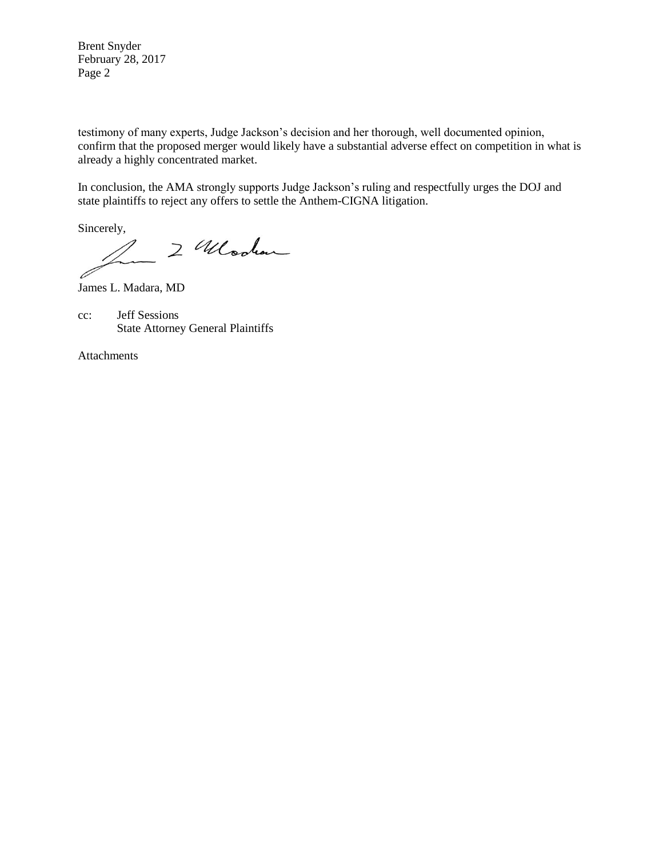Brent Snyder February 28, 2017 Page 2

testimony of many experts, Judge Jackson's decision and her thorough, well documented opinion, confirm that the proposed merger would likely have a substantial adverse effect on competition in what is already a highly concentrated market.

In conclusion, the AMA strongly supports Judge Jackson's ruling and respectfully urges the DOJ and state plaintiffs to reject any offers to settle the Anthem-CIGNA litigation.

Sincerely,

2 Wooden

James L. Madara, MD

cc: Jeff Sessions State Attorney General Plaintiffs

Attachments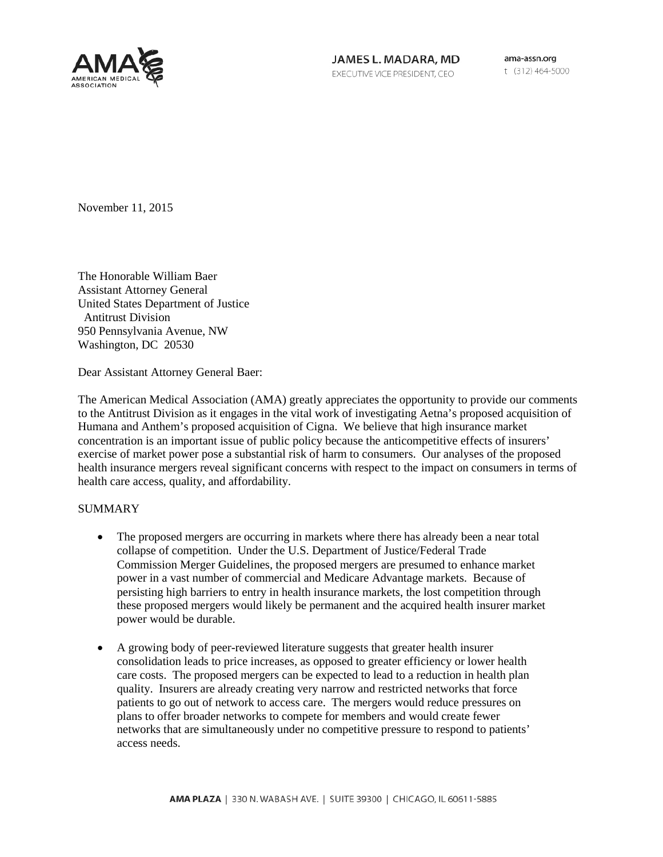

JAMES L. MADARA, MD EXECUTIVE VICE PRESIDENT, CEO

ama-assn.org t (312) 464-5000

November 11, 2015

The Honorable William Baer Assistant Attorney General United States Department of Justice Antitrust Division 950 Pennsylvania Avenue, NW Washington, DC 20530

Dear Assistant Attorney General Baer:

The American Medical Association (AMA) greatly appreciates the opportunity to provide our comments to the Antitrust Division as it engages in the vital work of investigating Aetna's proposed acquisition of Humana and Anthem's proposed acquisition of Cigna. We believe that high insurance market concentration is an important issue of public policy because the anticompetitive effects of insurers' exercise of market power pose a substantial risk of harm to consumers. Our analyses of the proposed health insurance mergers reveal significant concerns with respect to the impact on consumers in terms of health care access, quality, and affordability.

#### **SUMMARY**

- The proposed mergers are occurring in markets where there has already been a near total collapse of competition. Under the U.S. Department of Justice/Federal Trade Commission Merger Guidelines, the proposed mergers are presumed to enhance market power in a vast number of commercial and Medicare Advantage markets. Because of persisting high barriers to entry in health insurance markets, the lost competition through these proposed mergers would likely be permanent and the acquired health insurer market power would be durable.
- A growing body of peer-reviewed literature suggests that greater health insurer consolidation leads to price increases, as opposed to greater efficiency or lower health care costs. The proposed mergers can be expected to lead to a reduction in health plan quality. Insurers are already creating very narrow and restricted networks that force patients to go out of network to access care. The mergers would reduce pressures on plans to offer broader networks to compete for members and would create fewer networks that are simultaneously under no competitive pressure to respond to patients' access needs.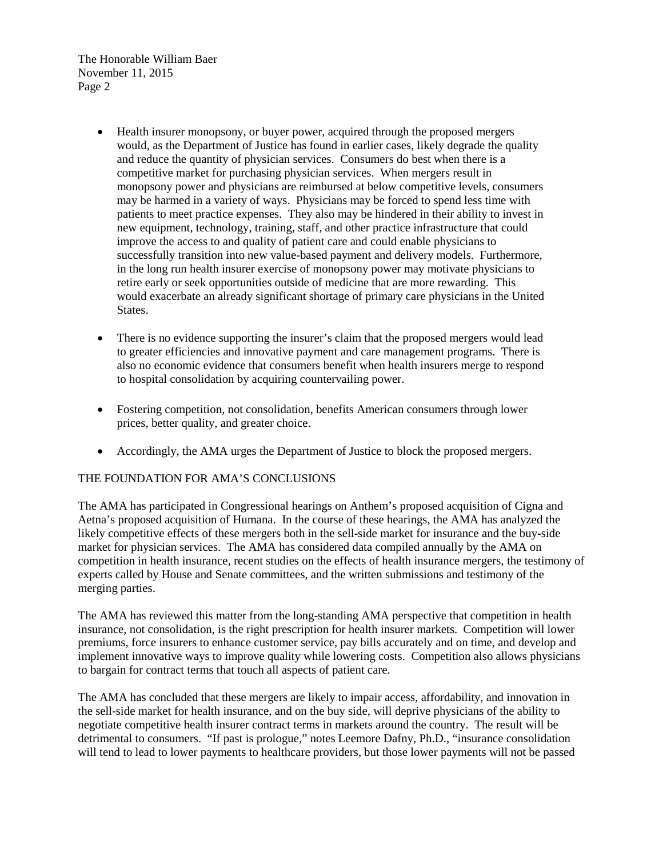- Health insurer monopsony, or buyer power, acquired through the proposed mergers would, as the Department of Justice has found in earlier cases, likely degrade the quality and reduce the quantity of physician services. Consumers do best when there is a competitive market for purchasing physician services. When mergers result in monopsony power and physicians are reimbursed at below competitive levels, consumers may be harmed in a variety of ways. Physicians may be forced to spend less time with patients to meet practice expenses. They also may be hindered in their ability to invest in new equipment, technology, training, staff, and other practice infrastructure that could improve the access to and quality of patient care and could enable physicians to successfully transition into new value-based payment and delivery models. Furthermore, in the long run health insurer exercise of monopsony power may motivate physicians to retire early or seek opportunities outside of medicine that are more rewarding. This would exacerbate an already significant shortage of primary care physicians in the United States.
- There is no evidence supporting the insurer's claim that the proposed mergers would lead to greater efficiencies and innovative payment and care management programs. There is also no economic evidence that consumers benefit when health insurers merge to respond to hospital consolidation by acquiring countervailing power.
- Fostering competition, not consolidation, benefits American consumers through lower prices, better quality, and greater choice.
- Accordingly, the AMA urges the Department of Justice to block the proposed mergers.

## THE FOUNDATION FOR AMA'S CONCLUSIONS

The AMA has participated in Congressional hearings on Anthem's proposed acquisition of Cigna and Aetna's proposed acquisition of Humana. In the course of these hearings, the AMA has analyzed the likely competitive effects of these mergers both in the sell-side market for insurance and the buy-side market for physician services. The AMA has considered data compiled annually by the AMA on competition in health insurance, recent studies on the effects of health insurance mergers, the testimony of experts called by House and Senate committees, and the written submissions and testimony of the merging parties.

The AMA has reviewed this matter from the long-standing AMA perspective that competition in health insurance, not consolidation, is the right prescription for health insurer markets. Competition will lower premiums, force insurers to enhance customer service, pay bills accurately and on time, and develop and implement innovative ways to improve quality while lowering costs. Competition also allows physicians to bargain for contract terms that touch all aspects of patient care.

The AMA has concluded that these mergers are likely to impair access, affordability, and innovation in the sell-side market for health insurance, and on the buy side, will deprive physicians of the ability to negotiate competitive health insurer contract terms in markets around the country. The result will be detrimental to consumers. "If past is prologue," notes Leemore Dafny, Ph.D., "insurance consolidation will tend to lead to lower payments to healthcare providers, but those lower payments will not be passed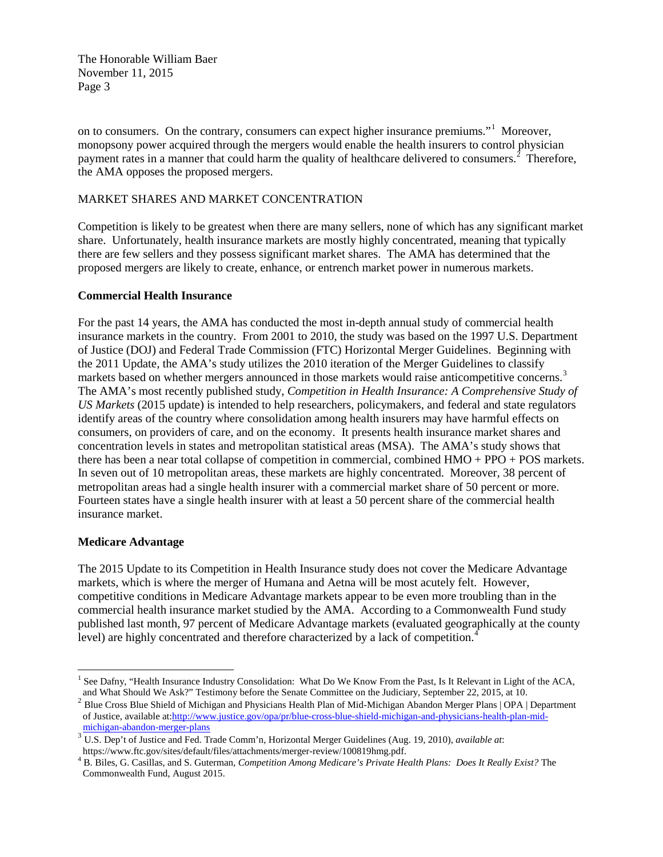on to consumers. On the contrary, consumers can expect higher insurance premiums."<sup>[1](#page-4-0)</sup> Moreover, monopsony power acquired through the mergers would enable the health insurers to control physician payment rates in a manner that could harm the quality of healthcare delivered to consumers.<sup>[2](#page-4-1)</sup> Therefore, the AMA opposes the proposed mergers.

#### MARKET SHARES AND MARKET CONCENTRATION

Competition is likely to be greatest when there are many sellers, none of which has any significant market share. Unfortunately, health insurance markets are mostly highly concentrated, meaning that typically there are few sellers and they possess significant market shares. The AMA has determined that the proposed mergers are likely to create, enhance, or entrench market power in numerous markets.

#### **Commercial Health Insurance**

For the past 14 years, the AMA has conducted the most in-depth annual study of commercial health insurance markets in the country. From 2001 to 2010, the study was based on the 1997 U.S. Department of Justice (DOJ) and Federal Trade Commission (FTC) Horizontal Merger Guidelines. Beginning with the 2011 Update, the AMA's study utilizes the 2010 iteration of the Merger Guidelines to classify markets based on whether mergers announced in those markets would raise anticompetitive concerns.<sup>[3](#page-4-2)</sup> The AMA's most recently published study, *Competition in Health Insurance: A Comprehensive Study of US Markets* (2015 update) is intended to help researchers, policymakers, and federal and state regulators identify areas of the country where consolidation among health insurers may have harmful effects on consumers, on providers of care, and on the economy. It presents health insurance market shares and concentration levels in states and metropolitan statistical areas (MSA). The AMA's study shows that there has been a near total collapse of competition in commercial, combined HMO + PPO + POS markets. In seven out of 10 metropolitan areas, these markets are highly concentrated. Moreover, 38 percent of metropolitan areas had a single health insurer with a commercial market share of 50 percent or more. Fourteen states have a single health insurer with at least a 50 percent share of the commercial health insurance market.

#### **Medicare Advantage**

The 2015 Update to its Competition in Health Insurance study does not cover the Medicare Advantage markets, which is where the merger of Humana and Aetna will be most acutely felt. However, competitive conditions in Medicare Advantage markets appear to be even more troubling than in the commercial health insurance market studied by the AMA. According to a Commonwealth Fund study published last month, 97 percent of Medicare Advantage markets (evaluated geographically at the county level) are highly concentrated and therefore characterized by a lack of competition.<sup>[4](#page-4-3)</sup>

<span id="page-4-0"></span><sup>&</sup>lt;sup>1</sup> See Dafny, "Health Insurance Industry Consolidation: What Do We Know From the Past, Is It Relevant in Light of the ACA, and What Should We Ask?" Testimony before the Senate Committee on the Judiciary, September 22, 20

<span id="page-4-1"></span><sup>&</sup>lt;sup>2</sup> Blue Cross Blue Shield of Michigan and Physicians Health Plan of Mid-Michigan Abandon Merger Plans | OPA | Department of Justice, available at[:http://www.justice.gov/opa/pr/blue-cross-blue-shield-michigan-and-physicians-health-plan-mid-](http://www.justice.gov/opa/pr/blue-cross-blue-shield-michigan-and-physicians-health-plan-mid-michigan-abandon-merger-plans)

<span id="page-4-2"></span> $\frac{3}{10}$  U.S. Dep't of Justice and Fed. Trade Comm'n, Horizontal Merger Guidelines (Aug. 19, 2010), *available at*:<br>https://www.ftc.gov/sites/default/files/attachments/merger-review/100819hmg.pdf.

<span id="page-4-3"></span>https://www.ftc.gov/sites/default/files/attachments/merger-review/100819hmg.pdf. <sup>4</sup> B. Biles, G. Casillas, and S. Guterman, *Competition Among Medicare's Private Health Plans: Does It Really Exist?* The Commonwealth Fund, August 2015.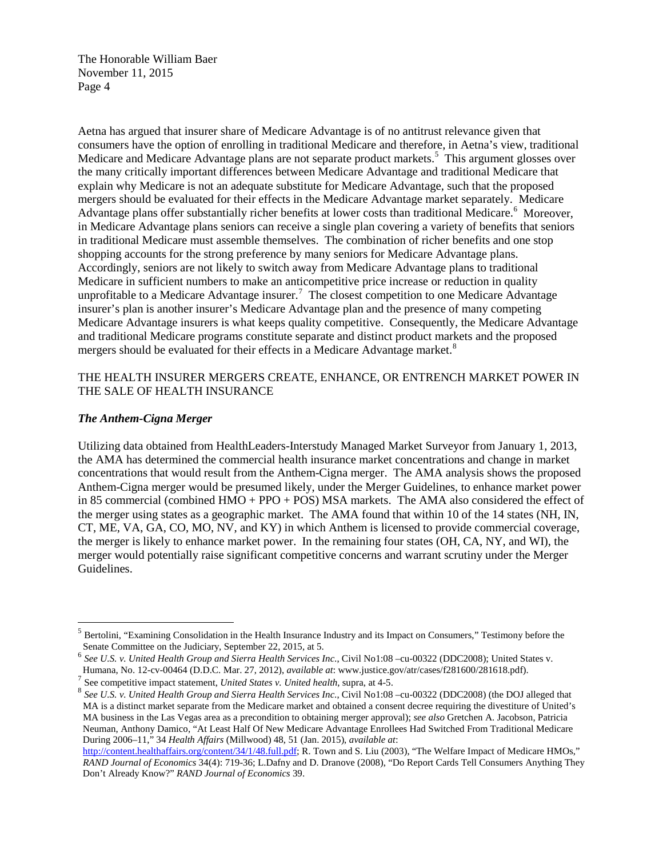Aetna has argued that insurer share of Medicare Advantage is of no antitrust relevance given that consumers have the option of enrolling in traditional Medicare and therefore, in Aetna's view, traditional Medicare and Medicare Advantage plans are not separate product markets.<sup>[5](#page-5-0)</sup> This argument glosses over the many critically important differences between Medicare Advantage and traditional Medicare that explain why Medicare is not an adequate substitute for Medicare Advantage, such that the proposed mergers should be evaluated for their effects in the Medicare Advantage market separately. Medicare Advantage plans offer substantially richer benefits at lower costs than traditional Medicare.<sup>[6](#page-5-1)</sup> Moreover, in Medicare Advantage plans seniors can receive a single plan covering a variety of benefits that seniors in traditional Medicare must assemble themselves. The combination of richer benefits and one stop shopping accounts for the strong preference by many seniors for Medicare Advantage plans. Accordingly, seniors are not likely to switch away from Medicare Advantage plans to traditional Medicare in sufficient numbers to make an anticompetitive price increase or reduction in quality unprofitable to a Medicare Advantage insurer.<sup>[7](#page-5-2)</sup> The closest competition to one Medicare Advantage insurer's plan is another insurer's Medicare Advantage plan and the presence of many competing Medicare Advantage insurers is what keeps quality competitive. Consequently, the Medicare Advantage and traditional Medicare programs constitute separate and distinct product markets and the proposed mergers should be evaluated for their effects in a Medicare Advantage market.<sup>[8](#page-5-3)</sup>

#### THE HEALTH INSURER MERGERS CREATE, ENHANCE, OR ENTRENCH MARKET POWER IN THE SALE OF HEALTH INSURANCE

#### *The Anthem-Cigna Merger*

Utilizing data obtained from HealthLeaders-Interstudy Managed Market Surveyor from January 1, 2013, the AMA has determined the commercial health insurance market concentrations and change in market concentrations that would result from the Anthem-Cigna merger. The AMA analysis shows the proposed Anthem-Cigna merger would be presumed likely, under the Merger Guidelines, to enhance market power in 85 commercial (combined HMO + PPO + POS) MSA markets. The AMA also considered the effect of the merger using states as a geographic market. The AMA found that within 10 of the 14 states (NH, IN, CT, ME, VA, GA, CO, MO, NV, and KY) in which Anthem is licensed to provide commercial coverage, the merger is likely to enhance market power. In the remaining four states (OH, CA, NY, and WI), the merger would potentially raise significant competitive concerns and warrant scrutiny under the Merger Guidelines.

<span id="page-5-0"></span><sup>5</sup> Bertolini, "Examining Consolidation in the Health Insurance Industry and its Impact on Consumers," Testimony before the Senate Committee on the Judiciary, September 22, 2015, at 5.

<span id="page-5-1"></span><sup>6</sup> *See U.S. v. United Health Group and Sierra Health Services Inc*., Civil No1:08 –cu-00322 (DDC2008); United States v.

<span id="page-5-3"></span><span id="page-5-2"></span><sup>&</sup>lt;sup>7</sup> See competitive impact statement, *United States v. United health*, supra, at 4-5.<br><sup>8</sup> See U.S. v. United Health Group and Sierra Health Services Inc., Civil No1:08 -cu-00322 (DDC2008) (the DOJ alleged that MA is a distinct market separate from the Medicare market and obtained a consent decree requiring the divestiture of United's MA business in the Las Vegas area as a precondition to obtaining merger approval); *see also* Gretchen A. Jacobson, Patricia Neuman, Anthony Damico, "At Least Half Of New Medicare Advantage Enrollees Had Switched From Traditional Medicare During 2006–11," 34 *Health Affairs* (Millwood) 48, 51 (Jan. 2015), *available at*:

[http://content.healthaffairs.org/content/34/1/48.full.pdf;](http://content.healthaffairs.org/content/34/1/48.full.pdf) R. Town and S. Liu (2003), "The Welfare Impact of Medicare HMOs," *RAND Journal of Economics* 34(4): 719-36; L.Dafny and D. Dranove (2008), "Do Report Cards Tell Consumers Anything They Don't Already Know?" *RAND Journal of Economics* 39.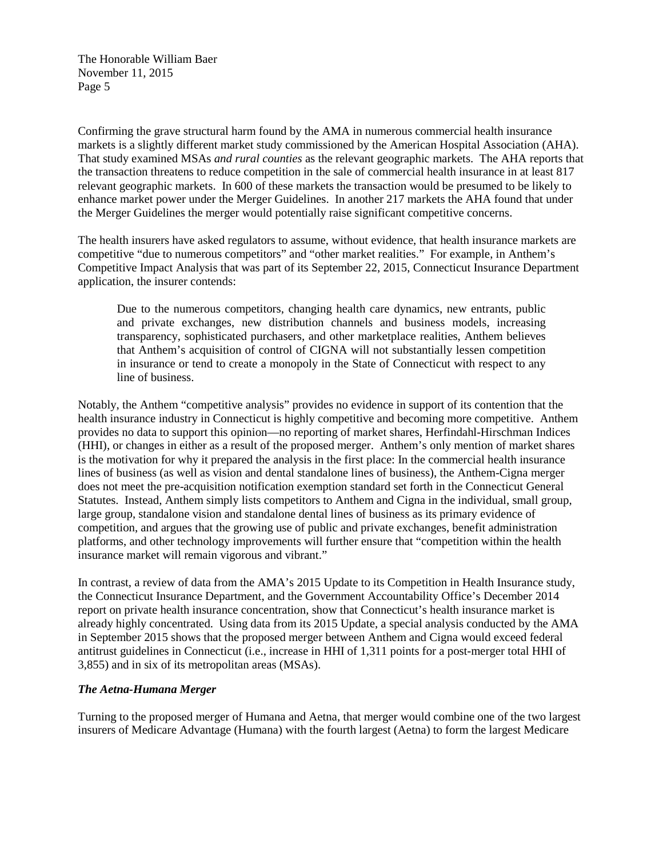Confirming the grave structural harm found by the AMA in numerous commercial health insurance markets is a slightly different market study commissioned by the American Hospital Association (AHA). That study examined MSAs *and rural counties* as the relevant geographic markets. The AHA reports that the transaction threatens to reduce competition in the sale of commercial health insurance in at least 817 relevant geographic markets. In 600 of these markets the transaction would be presumed to be likely to enhance market power under the Merger Guidelines. In another 217 markets the AHA found that under the Merger Guidelines the merger would potentially raise significant competitive concerns.

The health insurers have asked regulators to assume, without evidence, that health insurance markets are competitive "due to numerous competitors" and "other market realities." For example, in Anthem's Competitive Impact Analysis that was part of its September 22, 2015, Connecticut Insurance Department application, the insurer contends:

Due to the numerous competitors, changing health care dynamics, new entrants, public and private exchanges, new distribution channels and business models, increasing transparency, sophisticated purchasers, and other marketplace realities, Anthem believes that Anthem's acquisition of control of CIGNA will not substantially lessen competition in insurance or tend to create a monopoly in the State of Connecticut with respect to any line of business.

Notably, the Anthem "competitive analysis" provides no evidence in support of its contention that the health insurance industry in Connecticut is highly competitive and becoming more competitive. Anthem provides no data to support this opinion—no reporting of market shares, Herfindahl-Hirschman Indices (HHI), or changes in either as a result of the proposed merger. Anthem's only mention of market shares is the motivation for why it prepared the analysis in the first place: In the commercial health insurance lines of business (as well as vision and dental standalone lines of business), the Anthem-Cigna merger does not meet the pre-acquisition notification exemption standard set forth in the Connecticut General Statutes. Instead, Anthem simply lists competitors to Anthem and Cigna in the individual, small group, large group, standalone vision and standalone dental lines of business as its primary evidence of competition, and argues that the growing use of public and private exchanges, benefit administration platforms, and other technology improvements will further ensure that "competition within the health insurance market will remain vigorous and vibrant."

In contrast, a review of data from the AMA's 2015 Update to its Competition in Health Insurance study, the Connecticut Insurance Department, and the Government Accountability Office's December 2014 report on private health insurance concentration, show that Connecticut's health insurance market is already highly concentrated. Using data from its 2015 Update, a special analysis conducted by the AMA in September 2015 shows that the proposed merger between Anthem and Cigna would exceed federal antitrust guidelines in Connecticut (i.e., increase in HHI of 1,311 points for a post-merger total HHI of 3,855) and in six of its metropolitan areas (MSAs).

#### *The Aetna-Humana Merger*

Turning to the proposed merger of Humana and Aetna, that merger would combine one of the two largest insurers of Medicare Advantage (Humana) with the fourth largest (Aetna) to form the largest Medicare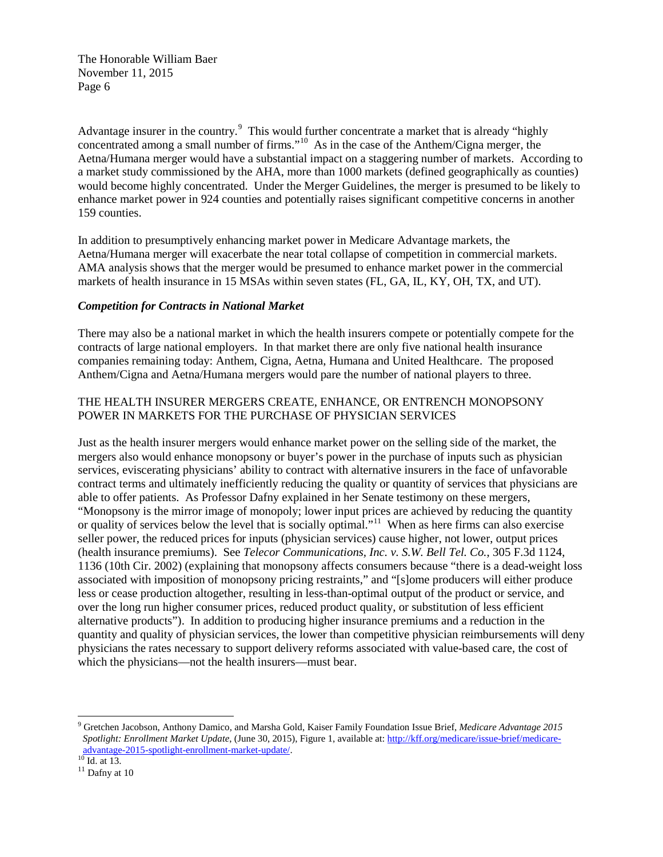Advantage insurer in the country.<sup>[9](#page-7-0)</sup> This would further concentrate a market that is already "highly concentrated among a small number of firms."<sup>[10](#page-7-1)</sup> As in the case of the Anthem/Cigna merger, the Aetna/Humana merger would have a substantial impact on a staggering number of markets. According to a market study commissioned by the AHA, more than 1000 markets (defined geographically as counties) would become highly concentrated. Under the Merger Guidelines, the merger is presumed to be likely to enhance market power in 924 counties and potentially raises significant competitive concerns in another 159 counties.

In addition to presumptively enhancing market power in Medicare Advantage markets, the Aetna/Humana merger will exacerbate the near total collapse of competition in commercial markets. AMA analysis shows that the merger would be presumed to enhance market power in the commercial markets of health insurance in 15 MSAs within seven states (FL, GA, IL, KY, OH, TX, and UT).

#### *Competition for Contracts in National Market*

There may also be a national market in which the health insurers compete or potentially compete for the contracts of large national employers. In that market there are only five national health insurance companies remaining today: Anthem, Cigna, Aetna, Humana and United Healthcare. The proposed Anthem/Cigna and Aetna/Humana mergers would pare the number of national players to three.

### THE HEALTH INSURER MERGERS CREATE, ENHANCE, OR ENTRENCH MONOPSONY POWER IN MARKETS FOR THE PURCHASE OF PHYSICIAN SERVICES

Just as the health insurer mergers would enhance market power on the selling side of the market, the mergers also would enhance monopsony or buyer's power in the purchase of inputs such as physician services, eviscerating physicians' ability to contract with alternative insurers in the face of unfavorable contract terms and ultimately inefficiently reducing the quality or quantity of services that physicians are able to offer patients. As Professor Dafny explained in her Senate testimony on these mergers, "Monopsony is the mirror image of monopoly; lower input prices are achieved by reducing the quantity or quality of services below the level that is socially optimal."[11](#page-7-2) When as here firms can also exercise seller power, the reduced prices for inputs (physician services) cause higher, not lower, output prices (health insurance premiums). See *Telecor Communications, Inc. v. S.W. Bell Tel. Co.*, 305 F.3d 1124, 1136 (10th Cir. 2002) (explaining that monopsony affects consumers because "there is a dead-weight loss associated with imposition of monopsony pricing restraints," and "[s]ome producers will either produce less or cease production altogether, resulting in less-than-optimal output of the product or service, and over the long run higher consumer prices, reduced product quality, or substitution of less efficient alternative products"). In addition to producing higher insurance premiums and a reduction in the quantity and quality of physician services, the lower than competitive physician reimbursements will deny physicians the rates necessary to support delivery reforms associated with value-based care, the cost of which the physicians—not the health insurers—must bear.

<span id="page-7-0"></span><sup>9</sup> Gretchen Jacobson, Anthony Damico, and Marsha Gold, Kaiser Family Foundation Issue Brief, *Medicare Advantage 2015 Spotlight: Enrollment Market Update*, (June 30, 2015), Figure 1, available at[: http://kff.org/medicare/issue-brief/medicare](https://urldefense.proofpoint.com/v2/url?u=http-3A__kff.org_medicare_issue-2Dbrief_medicare-2Dadvantage-2D2015-2Dspotlight-2Denrollment-2Dmarket-2Dupdate_&d=BQMFAg&c=iqeSLYkBTKTEV8nJYtdW_A&r=zMblwI8Sq5724SHzyBE4GtqIERClBtplei_3Cz4e7vg&m=9bQxIjN0br6PQy4Ax_Fjb-RmhIn3-nNFYKTJOwdVRQM&s=yNlfxMCYhro7r36e6uqN5fn0K-_F3pL8WBzyI7vT5Aw&e=)[advantage-2015-spotlight-enrollment-market-update/.](https://urldefense.proofpoint.com/v2/url?u=http-3A__kff.org_medicare_issue-2Dbrief_medicare-2Dadvantage-2D2015-2Dspotlight-2Denrollment-2Dmarket-2Dupdate_&d=BQMFAg&c=iqeSLYkBTKTEV8nJYtdW_A&r=zMblwI8Sq5724SHzyBE4GtqIERClBtplei_3Cz4e7vg&m=9bQxIjN0br6PQy4Ax_Fjb-RmhIn3-nNFYKTJOwdVRQM&s=yNlfxMCYhro7r36e6uqN5fn0K-_F3pL8WBzyI7vT5Aw&e=)<br><sup>10</sup> Id. at 13.<br><sup>11</sup> Dafny at 10

<span id="page-7-2"></span><span id="page-7-1"></span>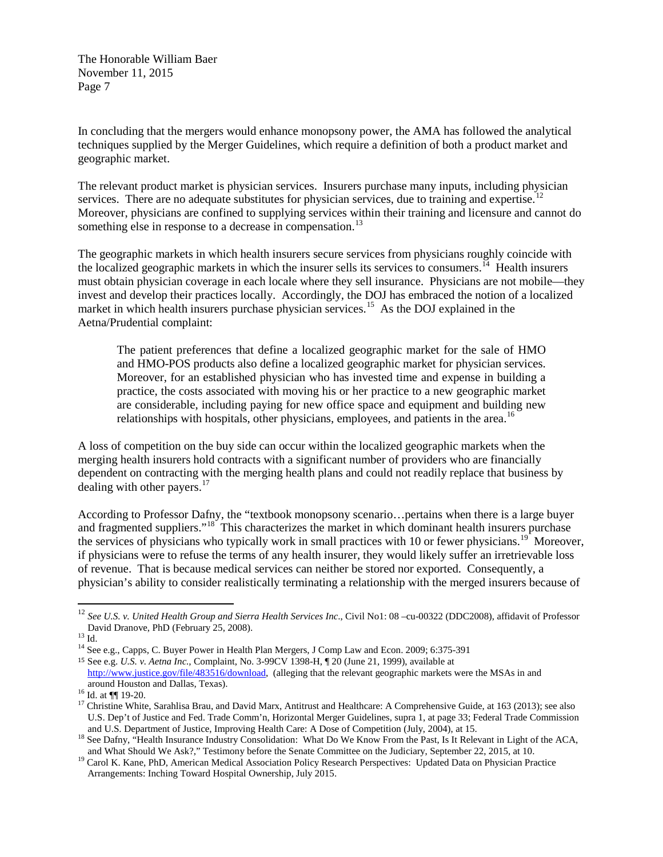In concluding that the mergers would enhance monopsony power, the AMA has followed the analytical techniques supplied by the Merger Guidelines, which require a definition of both a product market and geographic market.

The relevant product market is physician services. Insurers purchase many inputs, including physician services. There are no adequate substitutes for physician services, due to training and expertise.<sup>12</sup> Moreover, physicians are confined to supplying services within their training and licensure and cannot do something else in response to a decrease in compensation.<sup>[13](#page-8-1)</sup>

The geographic markets in which health insurers secure services from physicians roughly coincide with the localized geographic markets in which the insurer sells its services to consumers.<sup> $14$ </sup> Health insurers must obtain physician coverage in each locale where they sell insurance. Physicians are not mobile—they invest and develop their practices locally. Accordingly, the DOJ has embraced the notion of a localized market in which health insurers purchase physician services.<sup>15</sup> As the DOJ explained in the Aetna/Prudential complaint:

The patient preferences that define a localized geographic market for the sale of HMO and HMO-POS products also define a localized geographic market for physician services. Moreover, for an established physician who has invested time and expense in building a practice, the costs associated with moving his or her practice to a new geographic market are considerable, including paying for new office space and equipment and building new relationships with hospitals, other physicians, employees, and patients in the area.<sup>[16](#page-8-4)</sup>

A loss of competition on the buy side can occur within the localized geographic markets when the merging health insurers hold contracts with a significant number of providers who are financially dependent on contracting with the merging health plans and could not readily replace that business by dealing with other payers. $17$ 

According to Professor Dafny, the "textbook monopsony scenario…pertains when there is a large buyer and fragmented suppliers."<sup>[18](#page-8-6)</sup> This characterizes the market in which dominant health insurers purchase the services of physicians who typically work in small practices with 10 or fewer physicians.<sup>19</sup> Moreover, if physicians were to refuse the terms of any health insurer, they would likely suffer an irretrievable loss of revenue. That is because medical services can neither be stored nor exported. Consequently, a physician's ability to consider realistically terminating a relationship with the merged insurers because of

<span id="page-8-0"></span><sup>&</sup>lt;sup>12</sup> *See U.S. v. United Health Group and Sierra Health Services Inc.*, Civil No1: 08 –cu-00322 (DDC2008), affidavit of Professor David Dranove, PhD (February 25, 2008).

<span id="page-8-2"></span><span id="page-8-1"></span> $\frac{13}{13}$  Id. 14 See e.g., Capps, C. Buyer Power in Health Plan Mergers, J Comp Law and Econ. 2009; 6:375-391

<span id="page-8-3"></span><sup>15</sup> See e.g. *U.S. v. Aetna Inc.,* Complaint, No. 3-99CV 1398-H, ¶ 20 (June 21, 1999), available at [http://www.justice.gov/file/483516/download,](http://www.justice.gov/file/483516/download) (alleging that the relevant geographic markets were the MSAs in and around Houston and Dallas, Texas).

<span id="page-8-5"></span><span id="page-8-4"></span><sup>&</sup>lt;sup>16</sup> Id. at ¶¶ 19-20.<br><sup>17</sup> Christine White, Sarahlisa Brau, and David Marx, Antitrust and Healthcare: A Comprehensive Guide, at 163 (2013); see also U.S. Dep't of Justice and Fed. Trade Comm'n, Horizontal Merger Guidelines, supra 1, at page 33; Federal Trade Commission

<span id="page-8-6"></span>and U.S. Department of Justice, Improving Health Care: A Dose of Competition (July, 2004), at 15.<br><sup>18</sup> See Dafny, "Health Insurance Industry Consolidation: What Do We Know From the Past, Is It Relevant in Light of the ACA,

<span id="page-8-7"></span><sup>&</sup>lt;sup>19</sup> Carol K. Kane, PhD, American Medical Association Policy Research Perspectives: Updated Data on Physician Practice Arrangements: Inching Toward Hospital Ownership, July 2015.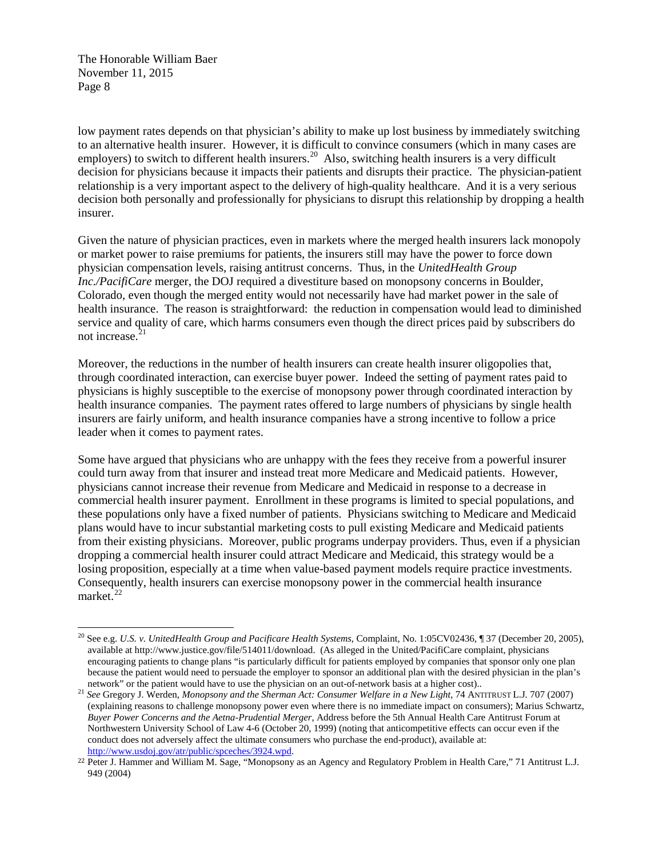low payment rates depends on that physician's ability to make up lost business by immediately switching to an alternative health insurer. However, it is difficult to convince consumers (which in many cases are employers) to switch to different health insurers.<sup>20</sup> Also, switching health insurers is a very difficult decision for physicians because it impacts their patients and disrupts their practice. The physician-patient relationship is a very important aspect to the delivery of high-quality healthcare. And it is a very serious decision both personally and professionally for physicians to disrupt this relationship by dropping a health insurer.

Given the nature of physician practices, even in markets where the merged health insurers lack monopoly or market power to raise premiums for patients, the insurers still may have the power to force down physician compensation levels, raising antitrust concerns. Thus, in the *UnitedHealth Group Inc./PacifiCare* merger, the DOJ required a divestiture based on monopsony concerns in Boulder, Colorado, even though the merged entity would not necessarily have had market power in the sale of health insurance. The reason is straightforward: the reduction in compensation would lead to diminished service and quality of care, which harms consumers even though the direct prices paid by subscribers do not increase. $21$ 

Moreover, the reductions in the number of health insurers can create health insurer oligopolies that, through coordinated interaction, can exercise buyer power. Indeed the setting of payment rates paid to physicians is highly susceptible to the exercise of monopsony power through coordinated interaction by health insurance companies. The payment rates offered to large numbers of physicians by single health insurers are fairly uniform, and health insurance companies have a strong incentive to follow a price leader when it comes to payment rates.

Some have argued that physicians who are unhappy with the fees they receive from a powerful insurer could turn away from that insurer and instead treat more Medicare and Medicaid patients. However, physicians cannot increase their revenue from Medicare and Medicaid in response to a decrease in commercial health insurer payment. Enrollment in these programs is limited to special populations, and these populations only have a fixed number of patients. Physicians switching to Medicare and Medicaid plans would have to incur substantial marketing costs to pull existing Medicare and Medicaid patients from their existing physicians. Moreover, public programs underpay providers. Thus, even if a physician dropping a commercial health insurer could attract Medicare and Medicaid, this strategy would be a losing proposition, especially at a time when value-based payment models require practice investments. Consequently, health insurers can exercise monopsony power in the commercial health insurance market.<sup>[22](#page-9-2)</sup>

<span id="page-9-0"></span><sup>20</sup> See e.g. *U.S. v. UnitedHealth Group and Pacificare Health Systems*, Complaint, No. 1:05CV02436, ¶ 37 (December 20, 2005), available at http://www.justice.gov/file/514011/download. (As alleged in the United/PacifiCare complaint, physicians encouraging patients to change plans "is particularly difficult for patients employed by companies that sponsor only one plan because the patient would need to persuade the employer to sponsor an additional plan with the desired physician in the plan's network" or the patient would have to use the physician on an out-of-network basis at a higher

<span id="page-9-1"></span><sup>&</sup>lt;sup>21</sup> See Gregory J. Werden, Monopsony and the Sherman Act: Consumer Welfare in a New Light, 74 ANTITRUST L.J. 707 (2007) (explaining reasons to challenge monopsony power even where there is no immediate impact on consumers); Marius Schwartz, *Buyer Power Concerns and the Aetna-Prudential Merger,* Address before the 5th Annual Health Care Antitrust Forum at Northwestern University School of Law 4-6 (October 20, 1999) (noting that anticompetitive effects can occur even if the conduct does not adversely affect the ultimate consumers who purchase the end-product), available at: [http://www.usdoj.gov/atr/public/spceches/3924.wpd.](http://www.usdoj.gov/atr/public/spceches/3924.wpd)

<span id="page-9-2"></span><sup>22</sup> Peter J. Hammer and William M. Sage, "Monopsony as an Agency and Regulatory Problem in Health Care," 71 Antitrust L.J. 949 (2004)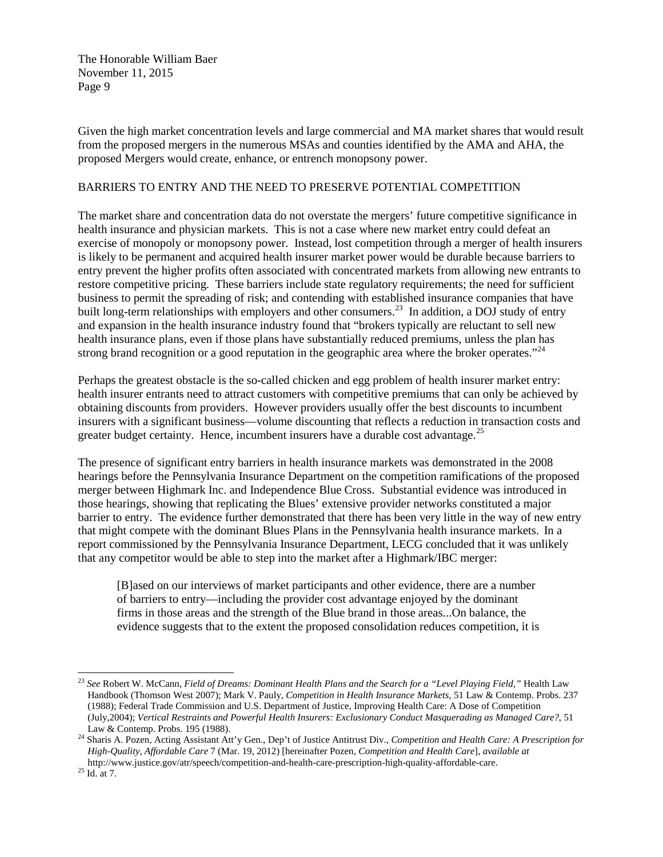Given the high market concentration levels and large commercial and MA market shares that would result from the proposed mergers in the numerous MSAs and counties identified by the AMA and AHA, the proposed Mergers would create, enhance, or entrench monopsony power.

#### BARRIERS TO ENTRY AND THE NEED TO PRESERVE POTENTIAL COMPETITION

The market share and concentration data do not overstate the mergers' future competitive significance in health insurance and physician markets. This is not a case where new market entry could defeat an exercise of monopoly or monopsony power. Instead, lost competition through a merger of health insurers is likely to be permanent and acquired health insurer market power would be durable because barriers to entry prevent the higher profits often associated with concentrated markets from allowing new entrants to restore competitive pricing. These barriers include state regulatory requirements; the need for sufficient business to permit the spreading of risk; and contending with established insurance companies that have built long-term relationships with employers and other consumers.<sup>[23](#page-10-0)</sup> In addition, a DOJ study of entry and expansion in the health insurance industry found that "brokers typically are reluctant to sell new health insurance plans, even if those plans have substantially reduced premiums, unless the plan has strong brand recognition or a good reputation in the geographic area where the broker operates."<sup>[24](#page-10-1)</sup>

Perhaps the greatest obstacle is the so-called chicken and egg problem of health insurer market entry: health insurer entrants need to attract customers with competitive premiums that can only be achieved by obtaining discounts from providers. However providers usually offer the best discounts to incumbent insurers with a significant business—volume discounting that reflects a reduction in transaction costs and greater budget certainty. Hence, incumbent insurers have a durable cost advantage.<sup>[25](#page-10-2)</sup>

The presence of significant entry barriers in health insurance markets was demonstrated in the 2008 hearings before the Pennsylvania Insurance Department on the competition ramifications of the proposed merger between Highmark Inc. and Independence Blue Cross. Substantial evidence was introduced in those hearings, showing that replicating the Blues' extensive provider networks constituted a major barrier to entry. The evidence further demonstrated that there has been very little in the way of new entry that might compete with the dominant Blues Plans in the Pennsylvania health insurance markets. In a report commissioned by the Pennsylvania Insurance Department, LECG concluded that it was unlikely that any competitor would be able to step into the market after a Highmark/IBC merger:

[B]ased on our interviews of market participants and other evidence, there are a number of barriers to entry—including the provider cost advantage enjoyed by the dominant firms in those areas and the strength of the Blue brand in those areas...On balance, the evidence suggests that to the extent the proposed consolidation reduces competition, it is

<span id="page-10-0"></span><sup>&</sup>lt;sup>23</sup> See Robert W. McCann, *Field of Dreams: Dominant Health Plans and the Search for a "Level Playing Field," Health Law* Handbook (Thomson West 2007); Mark V. Pauly, *Competition in Health Insurance Markets*, 51 Law & Contemp. Probs. 237 (1988); Federal Trade Commission and U.S. Department of Justice, Improving Health Care: A Dose of Competition (July,2004); *Vertical Restraints and Powerful Health Insurers: Exclusionary Conduct Masquerading as Managed Care?*, 51

<span id="page-10-1"></span>Law & Contemp. Probs. 195 (1988). <sup>24</sup> Sharis A. Pozen, Acting Assistant Att'y Gen., Dep't of Justice Antitrust Div., *Competition and Health Care: A Prescription for High-Quality, Affordable Care* 7 (Mar. 19, 2012) [hereinafter Pozen, *Competition and Health Care*], *available at*  http://www.justice.gov/atr/speech/competition-and-health-care-prescription-high-quality-affordable-care. 25 Id. at 7.

<span id="page-10-2"></span>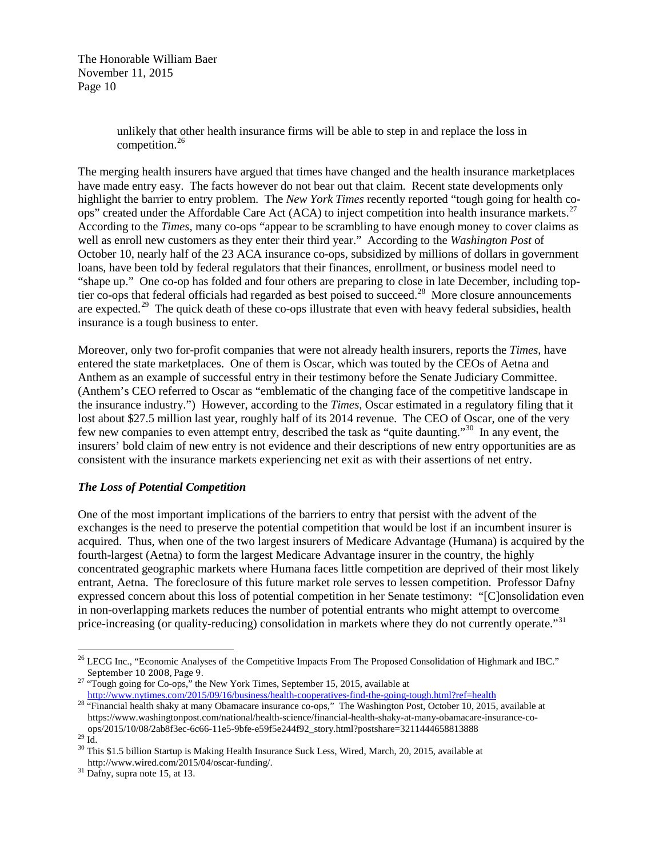> unlikely that other health insurance firms will be able to step in and replace the loss in competition.[26](#page-11-0)

The merging health insurers have argued that times have changed and the health insurance marketplaces have made entry easy. The facts however do not bear out that claim. Recent state developments only highlight the barrier to entry problem. The *New York Times* recently reported "tough going for health co-ops" created under the Affordable Care Act (ACA) to inject competition into health insurance markets.<sup>[27](#page-11-1)</sup> According to the *Times*, many co-ops "appear to be scrambling to have enough money to cover claims as well as enroll new customers as they enter their third year." According to the *Washington Post* of October 10, nearly half of the 23 ACA insurance co-ops, subsidized by millions of dollars in government loans, have been told by federal regulators that their finances, enrollment, or business model need to "shape up." One co-op has folded and four others are preparing to close in late December, including toptier co-ops that federal officials had regarded as best poised to succeed.<sup>28</sup> More closure announcements are expected.<sup>29</sup> The quick death of these co-ops illustrate that even with heavy federal subsidies, health insurance is a tough business to enter.

Moreover, only two for-profit companies that were not already health insurers, reports the *Times*, have entered the state marketplaces. One of them is Oscar, which was touted by the CEOs of Aetna and Anthem as an example of successful entry in their testimony before the Senate Judiciary Committee. (Anthem's CEO referred to Oscar as "emblematic of the changing face of the competitive landscape in the insurance industry.") However, according to the *Times*, Oscar estimated in a regulatory filing that it lost about \$27.5 million last year, roughly half of its 2014 revenue. The CEO of Oscar, one of the very few new companies to even attempt entry, described the task as "quite daunting."[30](#page-11-4) In any event, the insurers' bold claim of new entry is not evidence and their descriptions of new entry opportunities are as consistent with the insurance markets experiencing net exit as with their assertions of net entry.

#### *The Loss of Potential Competition*

One of the most important implications of the barriers to entry that persist with the advent of the exchanges is the need to preserve the potential competition that would be lost if an incumbent insurer is acquired. Thus, when one of the two largest insurers of Medicare Advantage (Humana) is acquired by the fourth-largest (Aetna) to form the largest Medicare Advantage insurer in the country, the highly concentrated geographic markets where Humana faces little competition are deprived of their most likely entrant, Aetna. The foreclosure of this future market role serves to lessen competition. Professor Dafny expressed concern about this loss of potential competition in her Senate testimony: "[C]onsolidation even in non-overlapping markets reduces the number of potential entrants who might attempt to overcome price-increasing (or quality-reducing) consolidation in markets where they do not currently operate.<sup>[31](#page-11-5)</sup>

<sup>&</sup>lt;sup>26</sup> LECG Inc., "Economic Analyses of the Competitive Impacts From The Proposed Consolidation of Highmark and IBC."

<span id="page-11-1"></span><span id="page-11-0"></span>September 10 2008, Page 9.<br>
<sup>27</sup> "Tough going for Co-ops," the New York Times, September 15, 2015, available at<br>
http://www.nytimes.com/2015/09/16/business/health-cooperatives-find-the-going-tough.html?ref=health

<span id="page-11-2"></span><sup>&</sup>lt;sup>28</sup> "Financial health shaky at many Obamacare insurance co-ops," The Washington Post, October 10, 2015, available at https://www.washingtonpost.com/national/health-science/financial-health-shaky-at-many-obamacare-insurance-co-

<span id="page-11-4"></span><span id="page-11-3"></span>ops/2015/10/08/2ab8f3ec-6c66-11e5-9bfe-e59f5e244f92\_story.html?postshare=3211444658813888<br>
<sup>29</sup> Id.<br>
<sup>30</sup> This \$1.5 billion Startup is Making Health Insurance Suck Less, Wired, March, 20, 2015, available at<br>
http://www.wir

<span id="page-11-5"></span> $h^{31}$  Dafny, supra note 15, at 13.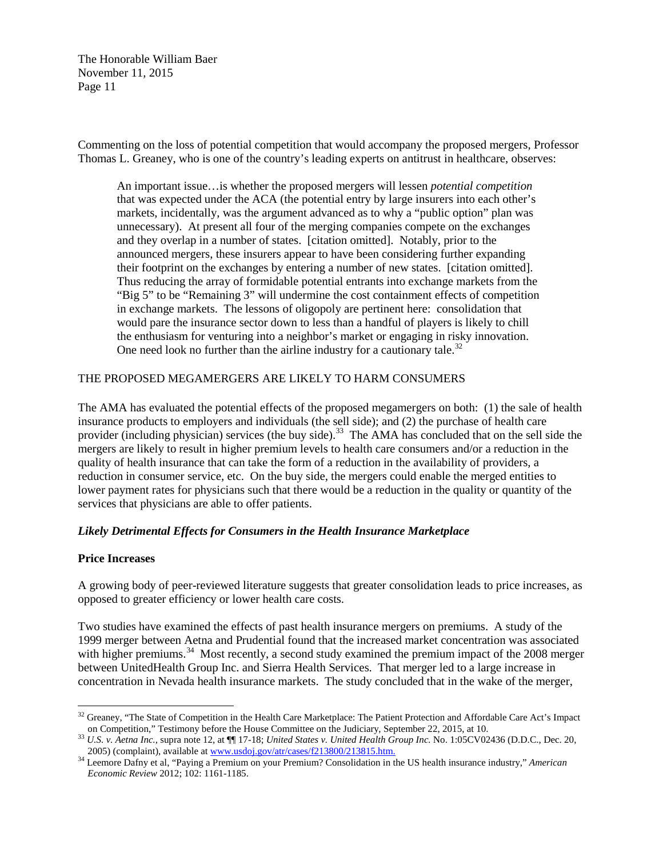Commenting on the loss of potential competition that would accompany the proposed mergers, Professor Thomas L. Greaney, who is one of the country's leading experts on antitrust in healthcare, observes:

An important issue…is whether the proposed mergers will lessen *potential competition*  that was expected under the ACA (the potential entry by large insurers into each other's markets, incidentally, was the argument advanced as to why a "public option" plan was unnecessary). At present all four of the merging companies compete on the exchanges and they overlap in a number of states. [citation omitted]. Notably, prior to the announced mergers, these insurers appear to have been considering further expanding their footprint on the exchanges by entering a number of new states. [citation omitted]. Thus reducing the array of formidable potential entrants into exchange markets from the "Big 5" to be "Remaining 3" will undermine the cost containment effects of competition in exchange markets. The lessons of oligopoly are pertinent here: consolidation that would pare the insurance sector down to less than a handful of players is likely to chill the enthusiasm for venturing into a neighbor's market or engaging in risky innovation. One need look no further than the airline industry for a cautionary tale.<sup>[32](#page-12-0)</sup>

#### THE PROPOSED MEGAMERGERS ARE LIKELY TO HARM CONSUMERS

The AMA has evaluated the potential effects of the proposed megamergers on both: (1) the sale of health insurance products to employers and individuals (the sell side); and (2) the purchase of health care provider (including physician) services (the buy side).<sup>[33](#page-12-1)</sup> The AMA has concluded that on the sell side the mergers are likely to result in higher premium levels to health care consumers and/or a reduction in the quality of health insurance that can take the form of a reduction in the availability of providers, a reduction in consumer service, etc. On the buy side, the mergers could enable the merged entities to lower payment rates for physicians such that there would be a reduction in the quality or quantity of the services that physicians are able to offer patients.

#### *Likely Detrimental Effects for Consumers in the Health Insurance Marketplace*

#### **Price Increases**

A growing body of peer-reviewed literature suggests that greater consolidation leads to price increases, as opposed to greater efficiency or lower health care costs.

Two studies have examined the effects of past health insurance mergers on premiums. A study of the 1999 merger between Aetna and Prudential found that the increased market concentration was associated with higher premiums.<sup>[34](#page-12-2)</sup> Most recently, a second study examined the premium impact of the 2008 merger between UnitedHealth Group Inc. and Sierra Health Services. That merger led to a large increase in concentration in Nevada health insurance markets. The study concluded that in the wake of the merger,

<span id="page-12-0"></span><sup>&</sup>lt;sup>32</sup> Greaney, "The State of Competition in the Health Care Marketplace: The Patient Protection and Affordable Care Act's Impact

<span id="page-12-1"></span>on Competition," Testimony before the House Committee on the Judiciary, September 22, 2015, at 10.<br>
<sup>33</sup> U.S. v. Aetna Inc., supra note 12, at  $\P$  17-18; United States v. United Health Group Inc. No. 1:05CV02436 (D.D.C., D

<span id="page-12-2"></span><sup>&</sup>lt;sup>34</sup> Leemore Dafny et al, "Paying a Premium on your Premium? Consolidation in the US health insurance industry," *American Economic Review* 2012; 102: 1161-1185.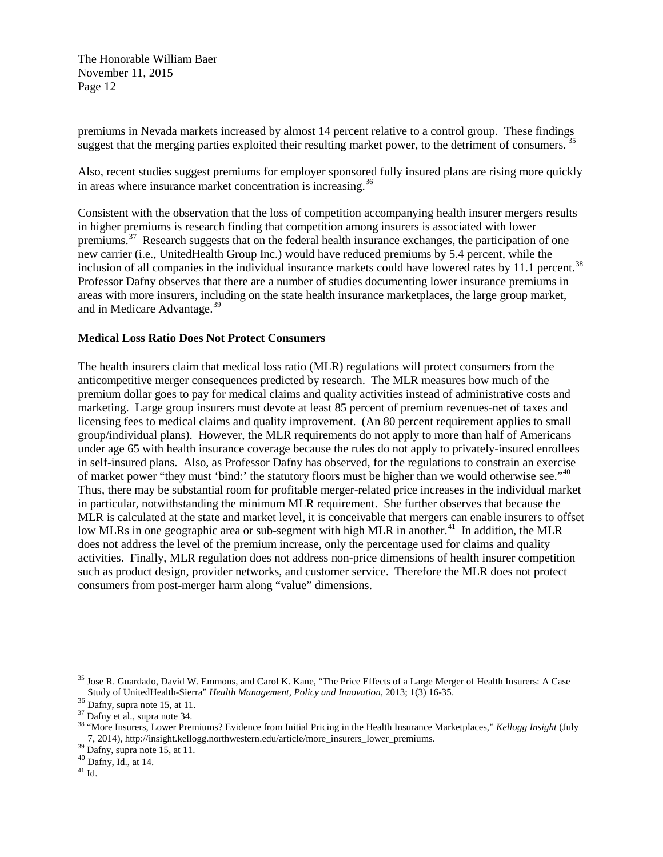premiums in Nevada markets increased by almost 14 percent relative to a control group. These findings suggest that the merging parties exploited their resulting market power, to the detriment of consumers.<sup>[35](#page-13-0)</sup>

Also, recent studies suggest premiums for employer sponsored fully insured plans are rising more quickly in areas where insurance market concentration is increasing.<sup>[36](#page-13-1)</sup>

Consistent with the observation that the loss of competition accompanying health insurer mergers results in higher premiums is research finding that competition among insurers is associated with lower premiums.[37](#page-13-2) Research suggests that on the federal health insurance exchanges, the participation of one new carrier (i.e., UnitedHealth Group Inc.) would have reduced premiums by 5.4 percent, while the inclusion of all companies in the individual insurance markets could have lowered rates by 11.1 percent.<sup>38</sup> Professor Dafny observes that there are a number of studies documenting lower insurance premiums in areas with more insurers, including on the state health insurance marketplaces, the large group market, and in Medicare Advantage.<sup>[39](#page-13-4)</sup>

#### **Medical Loss Ratio Does Not Protect Consumers**

The health insurers claim that medical loss ratio (MLR) regulations will protect consumers from the anticompetitive merger consequences predicted by research. The MLR measures how much of the premium dollar goes to pay for medical claims and quality activities instead of administrative costs and marketing. Large group insurers must devote at least 85 percent of premium revenues-net of taxes and licensing fees to medical claims and quality improvement. (An 80 percent requirement applies to small group/individual plans). However, the MLR requirements do not apply to more than half of Americans under age 65 with health insurance coverage because the rules do not apply to privately-insured enrollees in self-insured plans. Also, as Professor Dafny has observed, for the regulations to constrain an exercise of market power "they must 'bind:' the statutory floors must be higher than we would otherwise see."<sup>40</sup> Thus, there may be substantial room for profitable merger-related price increases in the individual market in particular, notwithstanding the minimum MLR requirement. She further observes that because the MLR is calculated at the state and market level, it is conceivable that mergers can enable insurers to offset low MLRs in one geographic area or sub-segment with high MLR in another.<sup>41</sup> In addition, the MLR does not address the level of the premium increase, only the percentage used for claims and quality activities. Finally, MLR regulation does not address non-price dimensions of health insurer competition such as product design, provider networks, and customer service. Therefore the MLR does not protect consumers from post-merger harm along "value" dimensions.

<span id="page-13-0"></span><sup>&</sup>lt;sup>35</sup> Jose R. Guardado, David W. Emmons, and Carol K. Kane, "The Price Effects of a Large Merger of Health Insurers: A Case Study of UnitedHealth-Sierra" *Health Management, Policy and Innovation*, 2013; 1(3) 16-35.<br><sup>36</sup> Dafny, supra note 15, at 11.<br><sup>37</sup> Dafny et al., supra note 34.

<span id="page-13-1"></span>

<span id="page-13-3"></span><span id="page-13-2"></span><sup>&</sup>lt;sup>38</sup> "More Insurers, Lower Premiums? Evidence from Initial Pricing in the Health Insurance Marketplaces," *Kellogg Insight* (July 7, 2014), http://insight.kellogg.northwestern.edu/article/more\_insurers\_lower\_premiums. <sup>39</sup> Dafny, supra note 15, at 11. <sup>40</sup> Dafny, Id., at 14.

<span id="page-13-4"></span>

<span id="page-13-6"></span><span id="page-13-5"></span> $^{41}$  Id.  $\,$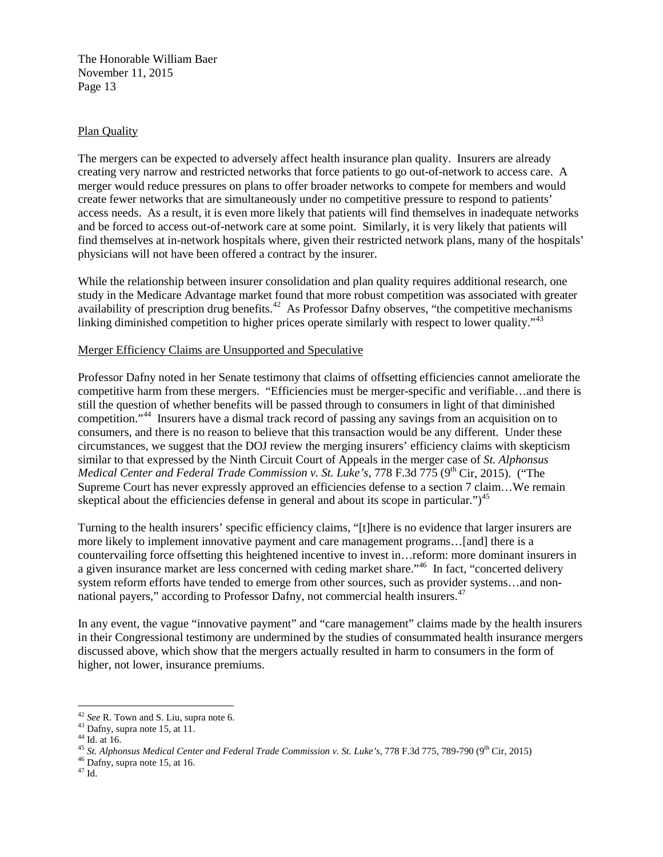#### Plan Quality

The mergers can be expected to adversely affect health insurance plan quality. Insurers are already creating very narrow and restricted networks that force patients to go out-of-network to access care. A merger would reduce pressures on plans to offer broader networks to compete for members and would create fewer networks that are simultaneously under no competitive pressure to respond to patients' access needs. As a result, it is even more likely that patients will find themselves in inadequate networks and be forced to access out-of-network care at some point. Similarly, it is very likely that patients will find themselves at in-network hospitals where, given their restricted network plans, many of the hospitals' physicians will not have been offered a contract by the insurer.

While the relationship between insurer consolidation and plan quality requires additional research, one study in the Medicare Advantage market found that more robust competition was associated with greater availability of prescription drug benefits.<sup>[42](#page-14-0)</sup> As Professor Dafny observes, "the competitive mechanisms" linking diminished competition to higher prices operate similarly with respect to lower quality."<sup>[43](#page-14-1)</sup>

#### Merger Efficiency Claims are Unsupported and Speculative

Professor Dafny noted in her Senate testimony that claims of offsetting efficiencies cannot ameliorate the competitive harm from these mergers. "Efficiencies must be merger-specific and verifiable…and there is still the question of whether benefits will be passed through to consumers in light of that diminished competition."[44](#page-14-2) Insurers have a dismal track record of passing any savings from an acquisition on to consumers, and there is no reason to believe that this transaction would be any different. Under these circumstances, we suggest that the DOJ review the merging insurers' efficiency claims with skepticism similar to that expressed by the Ninth Circuit Court of Appeals in the merger case of *St. Alphonsus Medical Center and Federal Trade Commission v. St. Luke's, 778 F.3d 775 (9<sup>th</sup> Cir, 2015). ("The* Supreme Court has never expressly approved an efficiencies defense to a section 7 claim…We remain skeptical about the efficiencies defense in general and about its scope in particular.") $^{45}$  $^{45}$  $^{45}$ 

Turning to the health insurers' specific efficiency claims, "[t]here is no evidence that larger insurers are more likely to implement innovative payment and care management programs…[and] there is a countervailing force offsetting this heightened incentive to invest in…reform: more dominant insurers in a given insurance market are less concerned with ceding market share."<sup>[46](#page-14-4)</sup> In fact, "concerted delivery" system reform efforts have tended to emerge from other sources, such as provider systems…and non-national payers," according to Professor Dafny, not commercial health insurers.<sup>[47](#page-14-5)</sup>

In any event, the vague "innovative payment" and "care management" claims made by the health insurers in their Congressional testimony are undermined by the studies of consummated health insurance mergers discussed above, which show that the mergers actually resulted in harm to consumers in the form of higher, not lower, insurance premiums.

<span id="page-14-3"></span><span id="page-14-2"></span>

<span id="page-14-1"></span><span id="page-14-0"></span><sup>&</sup>lt;sup>42</sup> See R. Town and S. Liu, supra note 6.<br><sup>43</sup> Dafny, supra note 15, at 11.<br><sup>44</sup> Id. at 16.<br><sup>45</sup> St. Alphonsus Medical Center and Federal Trade Commission v. St. Luke's, 778 F.3d 775, 789-790 (9<sup>th</sup> Cir, 2015)<br><sup>46</sup> Dafny

<span id="page-14-5"></span><span id="page-14-4"></span>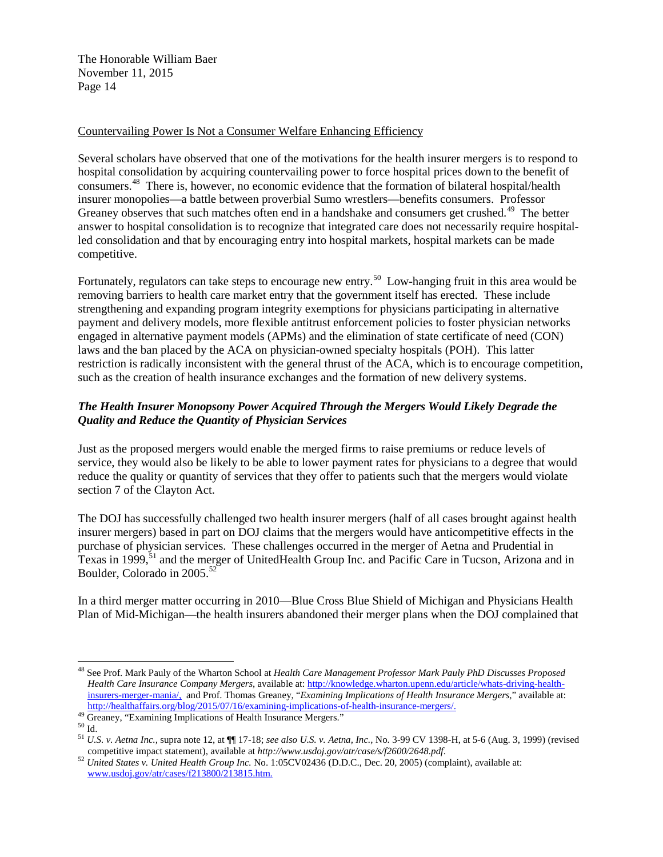#### Countervailing Power Is Not a Consumer Welfare Enhancing Efficiency

Several scholars have observed that one of the motivations for the health insurer mergers is to respond to hospital consolidation by acquiring countervailing power to force hospital prices down to the benefit of consumers.[48](#page-15-0) There is, however, no economic evidence that the formation of bilateral hospital/health insurer monopolies—a battle between proverbial Sumo wrestlers—benefits consumers. Professor Greaney observes that such matches often end in a handshake and consumers get crushed.<sup>[49](#page-15-1)</sup> The better answer to hospital consolidation is to recognize that integrated care does not necessarily require hospitalled consolidation and that by encouraging entry into hospital markets, hospital markets can be made competitive.

Fortunately, regulators can take steps to encourage new entry.<sup>50</sup> Low-hanging fruit in this area would be removing barriers to health care market entry that the government itself has erected. These include strengthening and expanding program integrity exemptions for physicians participating in alternative payment and delivery models, more flexible antitrust enforcement policies to foster physician networks engaged in alternative payment models (APMs) and the elimination of state certificate of need (CON) laws and the ban placed by the ACA on physician-owned specialty hospitals (POH). This latter restriction is radically inconsistent with the general thrust of the ACA, which is to encourage competition, such as the creation of health insurance exchanges and the formation of new delivery systems.

# *The Health Insurer Monopsony Power Acquired Through the Mergers Would Likely Degrade the Quality and Reduce the Quantity of Physician Services*

Just as the proposed mergers would enable the merged firms to raise premiums or reduce levels of service, they would also be likely to be able to lower payment rates for physicians to a degree that would reduce the quality or quantity of services that they offer to patients such that the mergers would violate section 7 of the Clayton Act.

The DOJ has successfully challenged two health insurer mergers (half of all cases brought against health insurer mergers) based in part on DOJ claims that the mergers would have anticompetitive effects in the purchase of physician services. These challenges occurred in the merger of Aetna and Prudential in Texas in 1999,<sup>[51](#page-15-3)</sup> and the merger of UnitedHealth Group Inc. and Pacific Care in Tucson, Arizona and in Boulder, Colorado in 2005.<sup>[52](#page-15-4)</sup>

In a third merger matter occurring in 2010—Blue Cross Blue Shield of Michigan and Physicians Health Plan of Mid-Michigan—the health insurers abandoned their merger plans when the DOJ complained that

<span id="page-15-0"></span><sup>48</sup> See Prof. Mark Pauly of the Wharton School at *Health Care Management Professor Mark Pauly PhD Discusses Proposed Health Care Insurance Company Mergers*, available at: [http://knowledge.wharton.upenn.edu/article/whats-driving-health](https://urldefense.proofpoint.com/v2/url?u=http-3A__knowledge.wharton.upenn.edu_article_whats-2Ddriving-2Dhealth-2Dinsurers-2Dmerger-2Dmania_&d=BQMFAg&c=iqeSLYkBTKTEV8nJYtdW_A&r=zMblwI8Sq5724SHzyBE4GtqIERClBtplei_3Cz4e7vg&m=hEMUc2PFQIukoyqSi4W6OUQmSeIPJKSZT8VhMZDaFXw&s=tcNzHQcNNjYwHeiAvK7XrN2x25TWppYsztYcJfY3MyE&e=)[insurers-merger-mania/,](https://urldefense.proofpoint.com/v2/url?u=http-3A__knowledge.wharton.upenn.edu_article_whats-2Ddriving-2Dhealth-2Dinsurers-2Dmerger-2Dmania_&d=BQMFAg&c=iqeSLYkBTKTEV8nJYtdW_A&r=zMblwI8Sq5724SHzyBE4GtqIERClBtplei_3Cz4e7vg&m=hEMUc2PFQIukoyqSi4W6OUQmSeIPJKSZT8VhMZDaFXw&s=tcNzHQcNNjYwHeiAvK7XrN2x25TWppYsztYcJfY3MyE&e=) and Prof. Thomas Greaney, "*Examining Implications of Health Insurance Mergers*," available at:

<span id="page-15-3"></span>

<span id="page-15-2"></span><span id="page-15-1"></span><sup>&</sup>lt;sup>49</sup> Greaney, "Examining Implications of Health Insurance Mergers."<br><sup>50</sup> Id.<br><sup>51</sup> U.S. *v. Aetna Inc.*, supra note 12, at  $\P\P$  17-18; *see also U.S. v. Aetna, Inc.*, No. 3-99 CV 1398-H, at 5-6 (Aug. 3, 1999) (revised<br><sup>51</sup>

<span id="page-15-4"></span><sup>&</sup>lt;sup>52</sup> United States v. United Health Group Inc. No. 1:05CV02436 (D.D.C., Dec. 20, 2005) (complaint), available at: [www.usdoj.gov/atr/cases/f213800/213815.htm.](http://www.usdoj.gov/atr/cases/f213800/213815.htm)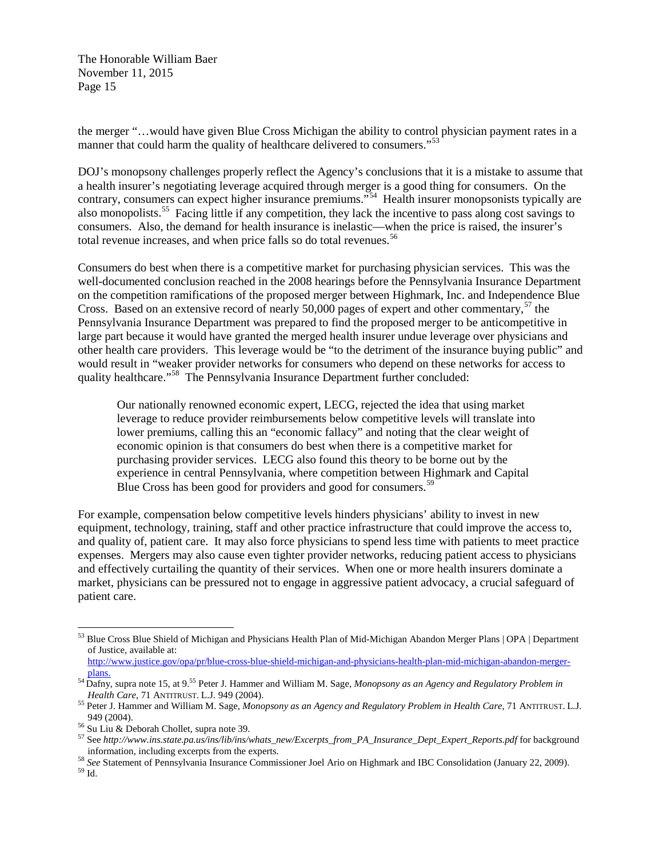the merger "…would have given Blue Cross Michigan the ability to control physician payment rates in a manner that could harm the quality of healthcare delivered to consumers."<sup>[53](#page-16-0)</sup>

DOJ's monopsony challenges properly reflect the Agency's conclusions that it is a mistake to assume that a health insurer's negotiating leverage acquired through merger is a good thing for consumers. On the contrary, consumers can expect higher insurance premiums."<sup>[54](#page-16-1)</sup> Health insurer monopsonists typically are also monopolists.<sup>[55](#page-16-2)</sup> Facing little if any competition, they lack the incentive to pass along cost savings to consumers. Also, the demand for health insurance is inelastic—when the price is raised, the insurer's total revenue increases, and when price falls so do total revenues.<sup>[56](#page-16-3)</sup>

Consumers do best when there is a competitive market for purchasing physician services. This was the well-documented conclusion reached in the 2008 hearings before the Pennsylvania Insurance Department on the competition ramifications of the proposed merger between Highmark, Inc. and Independence Blue Cross. Based on an extensive record of nearly 50,000 pages of expert and other commentary, $57$  the Pennsylvania Insurance Department was prepared to find the proposed merger to be anticompetitive in large part because it would have granted the merged health insurer undue leverage over physicians and other health care providers. This leverage would be "to the detriment of the insurance buying public" and would result in "weaker provider networks for consumers who depend on these networks for access to quality healthcare."[58](#page-16-5) The Pennsylvania Insurance Department further concluded:

Our nationally renowned economic expert, LECG, rejected the idea that using market leverage to reduce provider reimbursements below competitive levels will translate into lower premiums, calling this an "economic fallacy" and noting that the clear weight of economic opinion is that consumers do best when there is a competitive market for purchasing provider services. LECG also found this theory to be borne out by the experience in central Pennsylvania, where competition between Highmark and Capital Blue Cross has been good for providers and good for consumers.<sup>[59](#page-16-6)</sup>

For example, compensation below competitive levels hinders physicians' ability to invest in new equipment, technology, training, staff and other practice infrastructure that could improve the access to, and quality of, patient care. It may also force physicians to spend less time with patients to meet practice expenses. Mergers may also cause even tighter provider networks, reducing patient access to physicians and effectively curtailing the quantity of their services. When one or more health insurers dominate a market, physicians can be pressured not to engage in aggressive patient advocacy, a crucial safeguard of patient care.

<span id="page-16-0"></span><sup>53</sup> Blue Cross Blue Shield of Michigan and Physicians Health Plan of Mid-Michigan Abandon Merger Plans | OPA | Department of Justice, available at:

[http://www.justice.gov/opa/pr/blue-cross-blue-shield-michigan-and-physicians-health-plan-mid-michigan-abandon-merger](http://www.justice.gov/opa/pr/blue-cross-blue-shield-michigan-and-physicians-health-plan-mid-michigan-abandon-merger-plans)[plans.](http://www.justice.gov/opa/pr/blue-cross-blue-shield-michigan-and-physicians-health-plan-mid-michigan-abandon-merger-plans) <sup>54</sup> Dafny, supra note 15, at 9. <sup>55</sup> Peter J. Hammer and William M. Sage, *Monopsony as an Agency and Regulatory Problem in* 

<span id="page-16-2"></span><span id="page-16-1"></span>*Health Care*, 71 ANTITRUST. L.J. 949 (2004).<br><sup>55</sup> Peter J. Hammer and William M. Sage, *Monopsony as an Agency and Regulatory Problem in Health Care*, 71 ANTITRUST. L.J.<br>949 (2004).

<span id="page-16-4"></span><span id="page-16-3"></span><sup>&</sup>lt;sup>56</sup> Su Liu & Deborah Chollet, supra note 39.<br><sup>57</sup> See *http://www.ins.state.pa.us/ins/lib/ins/whats\_new/Excerpts\_from\_PA\_Insurance\_Dept\_Expert\_Reports.pdf for background<br>information, including excerpts from the experts.* 

<span id="page-16-6"></span><span id="page-16-5"></span><sup>&</sup>lt;sup>58</sup> *See* Statement of Pennsylvania Insurance Commissioner Joel Ario on Highmark and IBC Consolidation (January 22, 2009). <sup>59</sup> Id.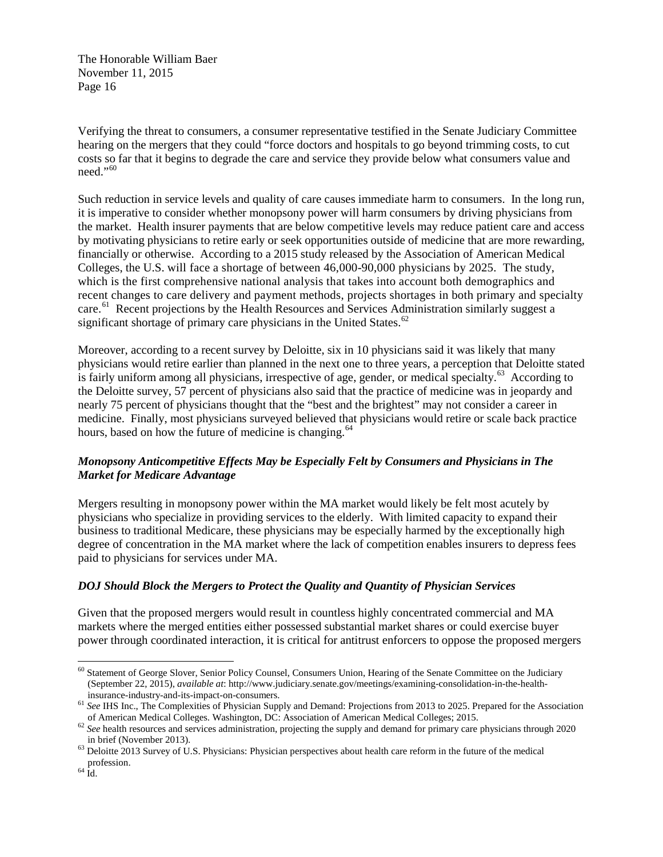Verifying the threat to consumers, a consumer representative testified in the Senate Judiciary Committee hearing on the mergers that they could "force doctors and hospitals to go beyond trimming costs, to cut costs so far that it begins to degrade the care and service they provide below what consumers value and  $need$ ."<sup>60</sup>

Such reduction in service levels and quality of care causes immediate harm to consumers. In the long run, it is imperative to consider whether monopsony power will harm consumers by driving physicians from the market. Health insurer payments that are below competitive levels may reduce patient care and access by motivating physicians to retire early or seek opportunities outside of medicine that are more rewarding, financially or otherwise. According to a 2015 study released by the Association of American Medical Colleges, the U.S. will face a shortage of between 46,000-90,000 physicians by 2025. The study, which is the first comprehensive national analysis that takes into account both demographics and recent changes to care delivery and payment methods, projects shortages in both primary and specialty care.<sup>[61](#page-17-1)</sup> Recent projections by the Health Resources and Services Administration similarly suggest a significant shortage of primary care physicians in the United States. $62$ 

Moreover, according to a recent survey by Deloitte, six in 10 physicians said it was likely that many physicians would retire earlier than planned in the next one to three years, a perception that Deloitte stated is fairly uniform among all physicians, irrespective of age, gender, or medical specialty.<sup>[63](#page-17-3)</sup> According to the Deloitte survey, 57 percent of physicians also said that the practice of medicine was in jeopardy and nearly 75 percent of physicians thought that the "best and the brightest" may not consider a career in medicine. Finally, most physicians surveyed believed that physicians would retire or scale back practice hours, based on how the future of medicine is changing.<sup>64</sup>

## *Monopsony Anticompetitive Effects May be Especially Felt by Consumers and Physicians in The Market for Medicare Advantage*

Mergers resulting in monopsony power within the MA market would likely be felt most acutely by physicians who specialize in providing services to the elderly. With limited capacity to expand their business to traditional Medicare, these physicians may be especially harmed by the exceptionally high degree of concentration in the MA market where the lack of competition enables insurers to depress fees paid to physicians for services under MA.

## *DOJ Should Block the Mergers to Protect the Quality and Quantity of Physician Services*

Given that the proposed mergers would result in countless highly concentrated commercial and MA markets where the merged entities either possessed substantial market shares or could exercise buyer power through coordinated interaction, it is critical for antitrust enforcers to oppose the proposed mergers

<span id="page-17-0"></span><sup>&</sup>lt;sup>60</sup> Statement of George Slover, Senior Policy Counsel, Consumers Union, Hearing of the Senate Committee on the Judiciary (September 22, 2015), *available at*: http://www.judiciary.senate.gov/meetings/examining-consolidation-in-the-health-

<span id="page-17-1"></span><sup>&</sup>lt;sup>61</sup> *See* IHS Inc., The Complexities of Physician Supply and Demand: Projections from 2013 to 2025. Prepared for the Association of American Medical Colleges: 2015.

<span id="page-17-2"></span> $62$  See health resources and services administration, projecting the supply and demand for primary care physicians through 2020

<span id="page-17-3"></span>in brief (November 2013).<br><sup>63</sup> Deloitte 2013 Survey of U.S. Physicians: Physician perspectives about health care reform in the future of the medical profession. <sup>64</sup> Id.

<span id="page-17-4"></span>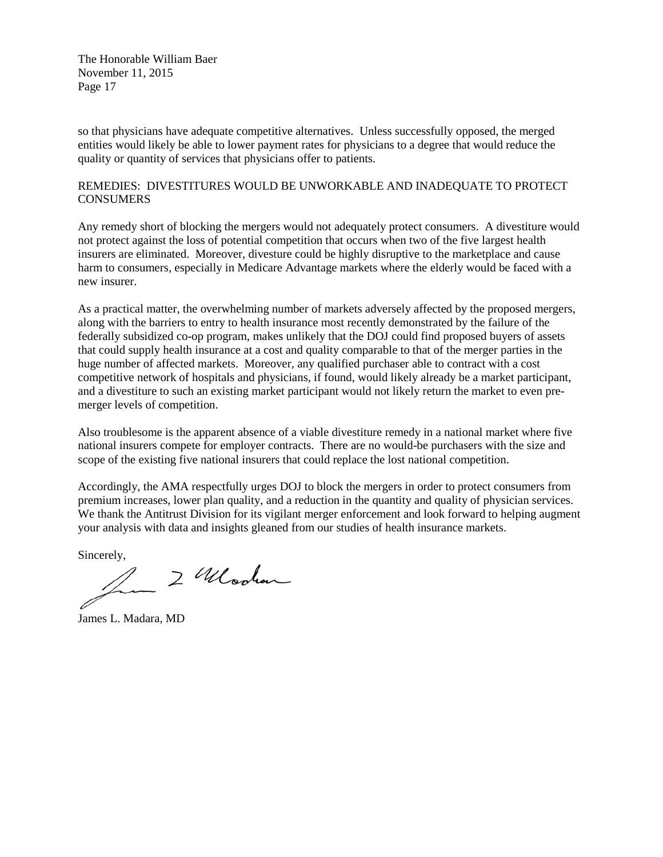so that physicians have adequate competitive alternatives. Unless successfully opposed, the merged entities would likely be able to lower payment rates for physicians to a degree that would reduce the quality or quantity of services that physicians offer to patients.

#### REMEDIES: DIVESTITURES WOULD BE UNWORKABLE AND INADEQUATE TO PROTECT **CONSUMERS**

Any remedy short of blocking the mergers would not adequately protect consumers. A divestiture would not protect against the loss of potential competition that occurs when two of the five largest health insurers are eliminated. Moreover, divesture could be highly disruptive to the marketplace and cause harm to consumers, especially in Medicare Advantage markets where the elderly would be faced with a new insurer.

As a practical matter, the overwhelming number of markets adversely affected by the proposed mergers, along with the barriers to entry to health insurance most recently demonstrated by the failure of the federally subsidized co-op program, makes unlikely that the DOJ could find proposed buyers of assets that could supply health insurance at a cost and quality comparable to that of the merger parties in the huge number of affected markets. Moreover, any qualified purchaser able to contract with a cost competitive network of hospitals and physicians, if found, would likely already be a market participant, and a divestiture to such an existing market participant would not likely return the market to even premerger levels of competition.

Also troublesome is the apparent absence of a viable divestiture remedy in a national market where five national insurers compete for employer contracts. There are no would-be purchasers with the size and scope of the existing five national insurers that could replace the lost national competition.

Accordingly, the AMA respectfully urges DOJ to block the mergers in order to protect consumers from premium increases, lower plan quality, and a reduction in the quantity and quality of physician services. We thank the Antitrust Division for its vigilant merger enforcement and look forward to helping augment your analysis with data and insights gleaned from our studies of health insurance markets.

Sincerely,

2 Wlooken

James L. Madara, MD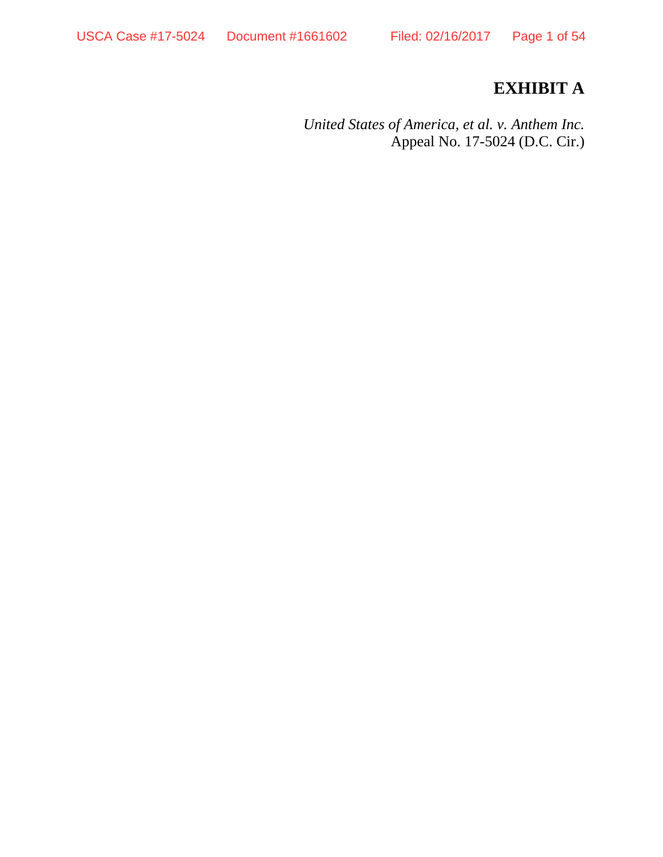# **EXHIBIT A**

*United States of America, et al. v. Anthem Inc.* Appeal No. 17-5024 (D.C. Cir.)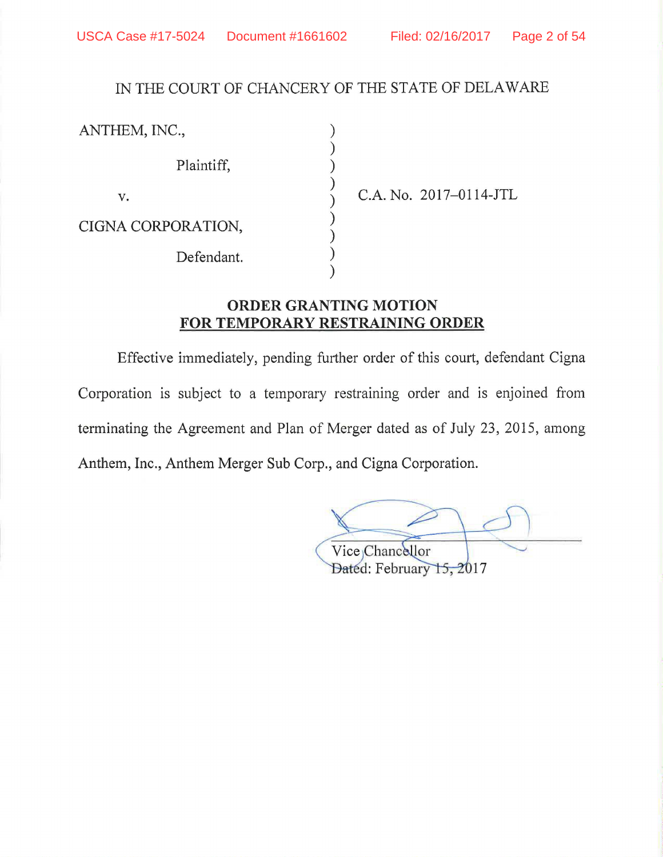# IN THE COURT OF CHANCERY OF THE STATE OF DELAWARE

) ) ) ) ) ) ) ) )

| ANTHEM, INC.,      |  |
|--------------------|--|
| Plaintiff,         |  |
| v.                 |  |
| CIGNA CORPORATION, |  |
| Defendant.         |  |
|                    |  |

C.A. No. 2017-0114-JTL

# **ORDER GRANTING MOTION FOR TEMPORARY RESTRAINING ORDER**

Effective immediately, pending further order of this court, defendant Cigna Corporation is subject to a temporary restraining order and is enjoined from terminating the Agreement and Plan of Merger dated as of July 23, 2015, among Anthem, Inc., Anthem Merger Sub Corp., and Cigna Corporation.

Vice Chancellor Dated: February 15, 2017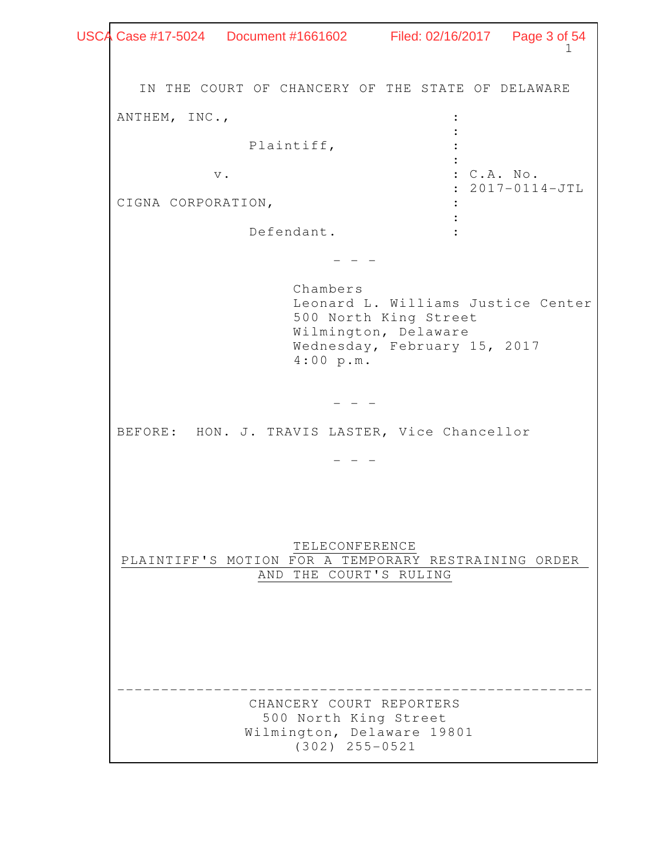$\begin{array}{ccc} \bullet & \bullet & 1 \end{array}$ IN THE COURT OF CHANCERY OF THE STATE OF DELAWARE ANTHEM, INC.,  $\cdot$ the contract of the contract of the contract of the contract of the contract of the contract of the contract of Plaintiff,  $\qquad \qquad :$ the contract of the contract of the contract of the contract of the contract of the contract of the contract of v.  $\qquad \qquad \bullet$  : C.A. No. : 2017-0114-JTL CIGNA CORPORATION, the contract of the contract of the contract of the contract of the contract of Defendant. :  $-$  Chambers Leonard L. Williams Justice Center 500 North King Street Wilmington, Delaware Wednesday, February 15, 2017 4:00 p.m. - - - BEFORE: HON. J. TRAVIS LASTER, Vice Chancellor - - - TELECONFERENCE PLAINTIFF'S MOTION FOR A TEMPORARY RESTRAINING ORDER AND THE COURT'S RULING ------------------------------------------------------ CHANCERY COURT REPORTERS 500 North King Street Wilmington, Delaware 19801 (302) 255-0521 USCA Case #17-5024 Document #1661602 Filed: 02/16/2017 Page 3 of 54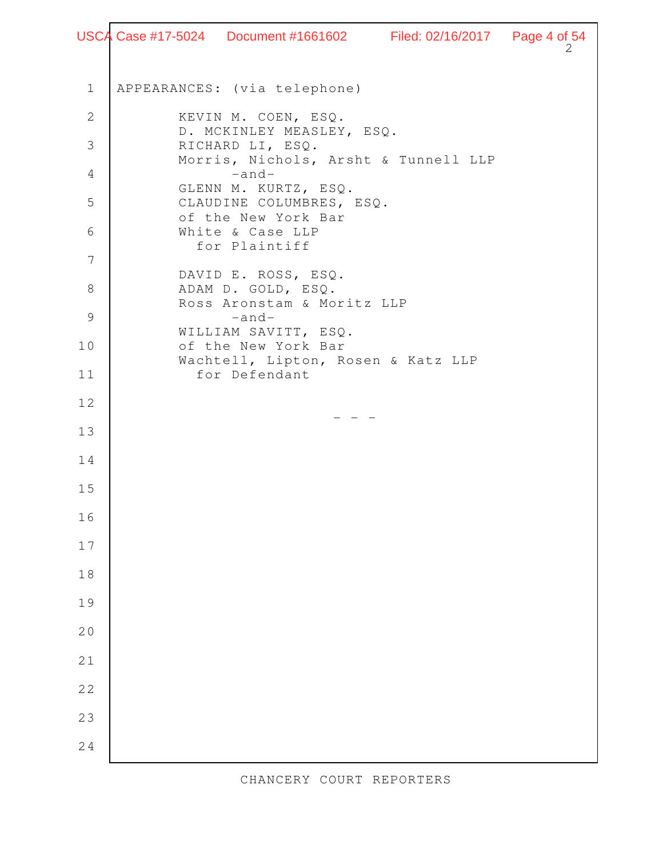```
\overline{\phantom{a}} 2
     APPEARANCES: (via telephone) 
              KEVIN M. COEN, ESQ. 
              D. MCKINLEY MEASLEY, ESQ. 
              RICHARD LI, ESQ. 
              Morris, Nichols, Arsht & Tunnell LLP 
                     -and- 
              GLENN M. KURTZ, ESQ. 
              CLAUDINE COLUMBRES, ESQ. 
              of the New York Bar 
              White & Case LLP 
                for Plaintiff 
             DAVID E. ROSS, ESQ. 
             ADAM D. GOLD, ESQ. 
             Ross Aronstam & Moritz LLP 
                     -and-
             WILLIAM SAVITT, ESQ. 
             of the New York Bar 
             Wachtell, Lipton, Rosen & Katz LLP 
                for Defendant 
                                  - - - 1
  2
  3
  4
  5
  6
  7
  8
  9
10
11
12
13
14
15
16
17
18
19
20
21
22
23
24
USCA Case #17-5024 Document #1661602 Filed: 02/16/2017 Page 4 of 54
```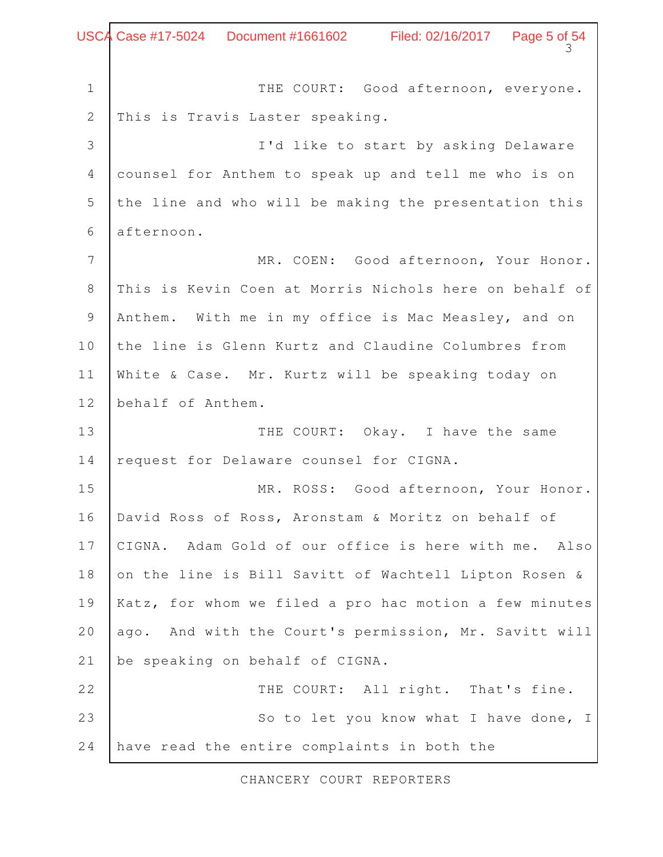$\frac{3}{3}$ THE COURT: Good afternoon, everyone. This is Travis Laster speaking. I'd like to start by asking Delaware counsel for Anthem to speak up and tell me who is on the line and who will be making the presentation this afternoon. MR. COEN: Good afternoon, Your Honor. This is Kevin Coen at Morris Nichols here on behalf of Anthem. With me in my office is Mac Measley, and on the line is Glenn Kurtz and Claudine Columbres from White & Case. Mr. Kurtz will be speaking today on behalf of Anthem. THE COURT: Okay. I have the same request for Delaware counsel for CIGNA. MR. ROSS: Good afternoon, Your Honor. David Ross of Ross, Aronstam & Moritz on behalf of CIGNA. Adam Gold of our office is here with me. Also on the line is Bill Savitt of Wachtell Lipton Rosen & Katz, for whom we filed a pro hac motion a few minutes ago. And with the Court's permission, Mr. Savitt will be speaking on behalf of CIGNA. THE COURT: All right. That's fine. So to let you know what I have done, I have read the entire complaints in both the 1 2 3 4 5 6 7 8 9 10 11 12 13 14 15 16 17 18 19 20 21 22 23 24 Case #17-5024 Document #1661602 Filed: 02/16/2017 Page 5 of 54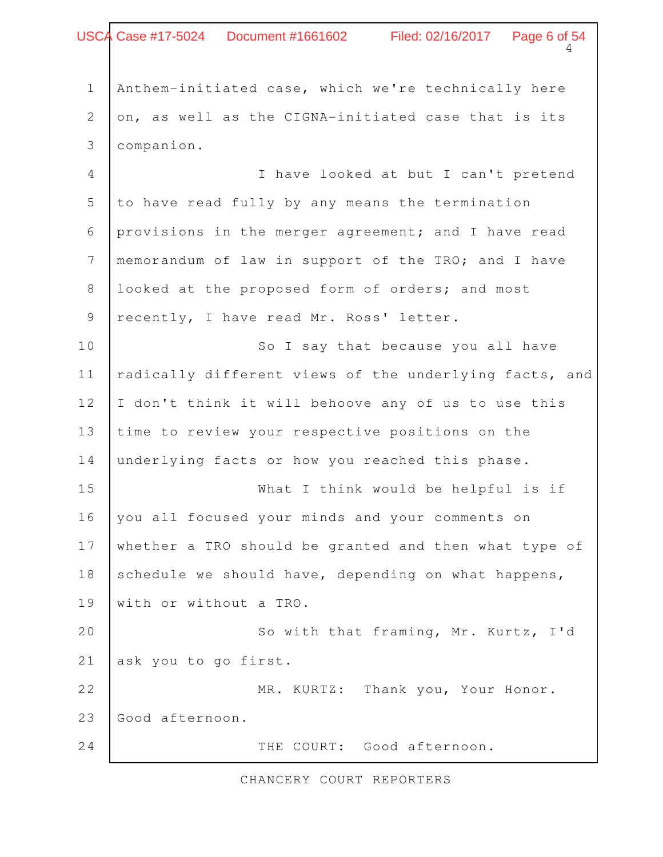# $4$ Anthem-initiated case, which we're technically here on, as well as the CIGNA-initiated case that is its companion. I have looked at but I can't pretend to have read fully by any means the termination provisions in the merger agreement; and I have read memorandum of law in support of the TRO; and I have looked at the proposed form of orders; and most recently, I have read Mr. Ross' letter. So I say that because you all have radically different views of the underlying facts, and I don't think it will behoove any of us to use this time to review your respective positions on the underlying facts or how you reached this phase. What I think would be helpful is if you all focused your minds and your comments on whether a TRO should be granted and then what type of schedule we should have, depending on what happens, with or without a TRO. So with that framing, Mr. Kurtz, I'd ask you to go first. MR. KURTZ: Thank you, Your Honor. Good afternoon. THE COURT: Good afternoon. 1 2 3 4 5 6 7 8 9 10 11 12 13 14 15 16 17 18 19 20 21 22 23 24 Case #17-5024 Document #1661602 Filed: 02/16/2017 Page 6 of 54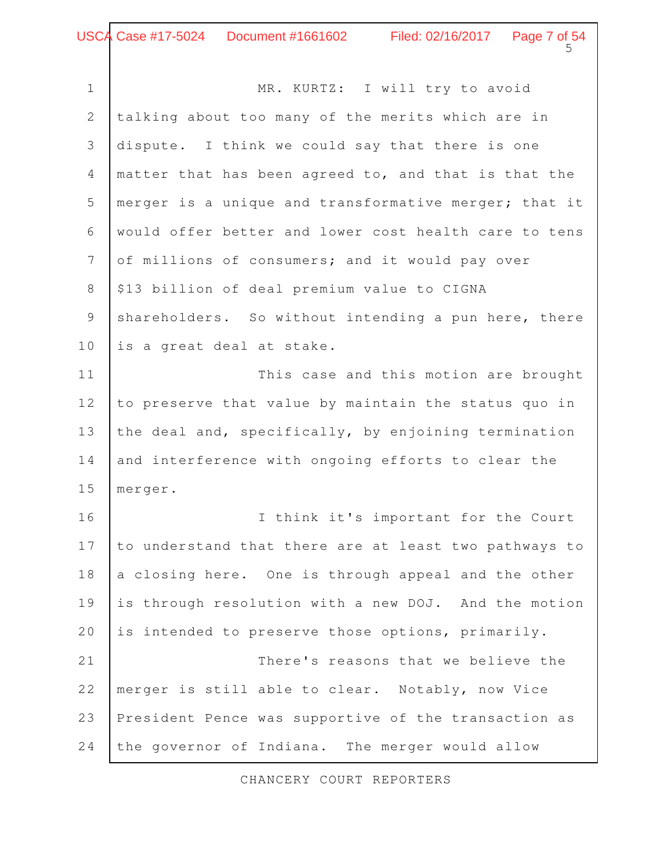MR. KURTZ: I will try to avoid talking about too many of the merits which are in dispute. I think we could say that there is one matter that has been agreed to, and that is that the merger is a unique and transformative merger; that it would offer better and lower cost health care to tens of millions of consumers; and it would pay over \$13 billion of deal premium value to CIGNA shareholders. So without intending a pun here, there is a great deal at stake. This case and this motion are brought to preserve that value by maintain the status quo in the deal and, specifically, by enjoining termination and interference with ongoing efforts to clear the merger. I think it's important for the Court to understand that there are at least two pathways to a closing here. One is through appeal and the other is through resolution with a new DOJ. And the motion is intended to preserve those options, primarily. There's reasons that we believe the merger is still able to clear. Notably, now Vice President Pence was supportive of the transaction as the governor of Indiana. The merger would allow 1 2 3 4 5 6 7 8 9 10 11 12 13 14 15 16 17 18 19 20 21 22 23 24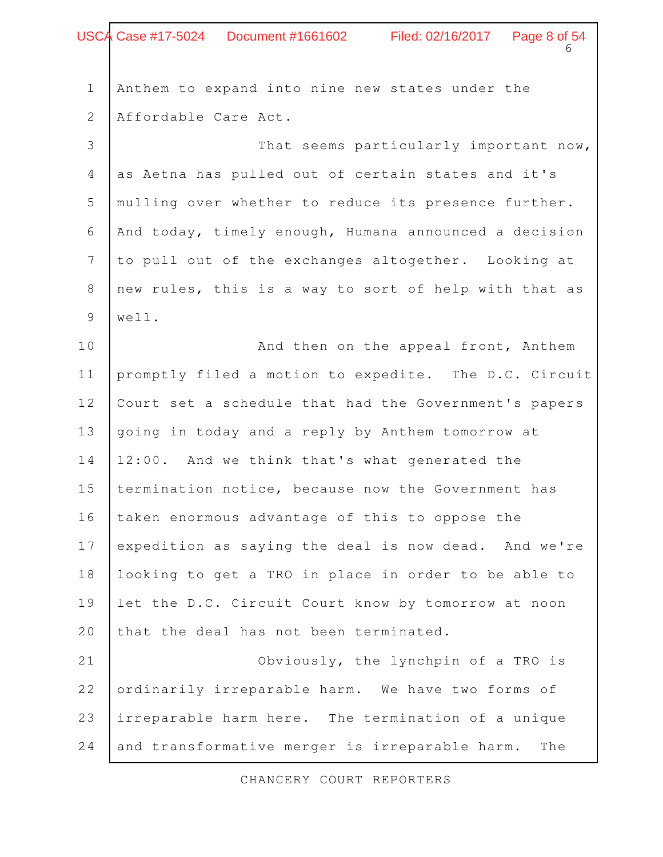|                | USCA Case #17-5024  Document #1661602   Filed: 02/16/2017   Page 8 of 54 |
|----------------|--------------------------------------------------------------------------|
| $\mathbbm{1}$  | Anthem to expand into nine new states under the                          |
| $\overline{2}$ | Affordable Care Act.                                                     |
| 3              | That seems particularly important now,                                   |
| $\overline{4}$ | as Aetna has pulled out of certain states and it's                       |
| 5              | mulling over whether to reduce its presence further.                     |
| 6              | And today, timely enough, Humana announced a decision                    |
| $\overline{7}$ | to pull out of the exchanges altogether. Looking at                      |
| $\,8\,$        | new rules, this is a way to sort of help with that as                    |
| 9              | well.                                                                    |
| 10             | And then on the appeal front, Anthem                                     |
| 11             | promptly filed a motion to expedite. The D.C. Circuit                    |
| 12             | Court set a schedule that had the Government's papers                    |
| 13             | going in today and a reply by Anthem tomorrow at                         |
| 14             | 12:00. And we think that's what generated the                            |
| 15             | termination notice, because now the Government has                       |
| 16             | taken enormous advantage of this to oppose the                           |
| 17             | expedition as saying the deal is now dead. And we're                     |
| 18             | looking to get a TRO in place in order to be able to                     |
| 19             | let the D.C. Circuit Court know by tomorrow at noon                      |
| 20             | that the deal has not been terminated.                                   |
| 21             | Obviously, the lynchpin of a TRO is                                      |
| 22             | ordinarily irreparable harm. We have two forms of                        |
| 23             | irreparable harm here. The termination of a unique                       |
| 24             | and transformative merger is irreparable harm.<br>The                    |

 $\Gamma$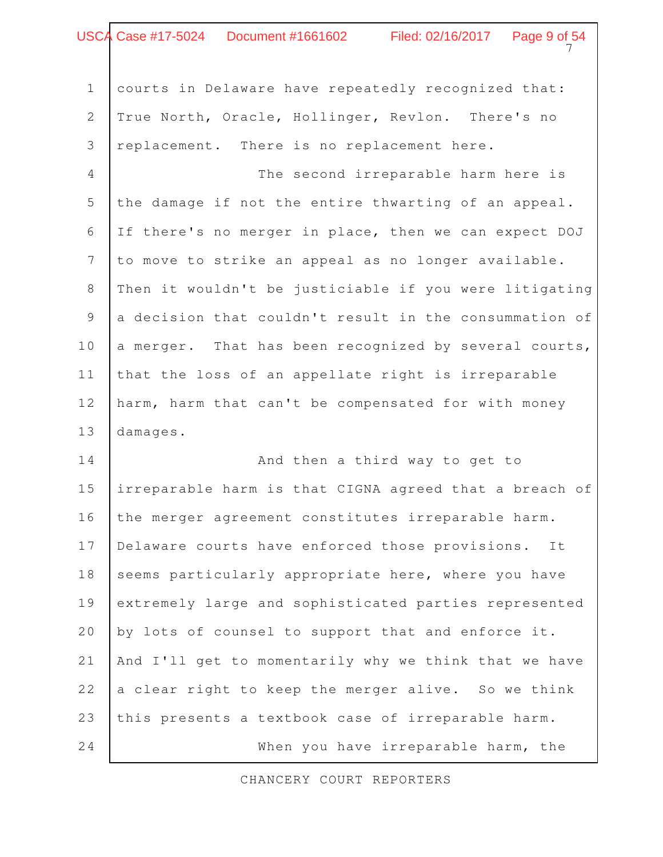# $\overline{7}$ Case #17-5024 Document #1661602 Filed: 02/16/2017 Page 9 of 54

courts in Delaware have repeatedly recognized that: True North, Oracle, Hollinger, Revlon. There's no replacement. There is no replacement here. 1 2 3

The second irreparable harm here is the damage if not the entire thwarting of an appeal. If there's no merger in place, then we can expect DOJ to move to strike an appeal as no longer available. Then it wouldn't be justiciable if you were litigating a decision that couldn't result in the consummation of a merger. That has been recognized by several courts, that the loss of an appellate right is irreparable harm, harm that can't be compensated for with money damages. 4 5 6 7 8 9 10 11 12 13

And then a third way to get to irreparable harm is that CIGNA agreed that a breach of the merger agreement constitutes irreparable harm. Delaware courts have enforced those provisions. It seems particularly appropriate here, where you have extremely large and sophisticated parties represented by lots of counsel to support that and enforce it. And I'll get to momentarily why we think that we have a clear right to keep the merger alive. So we think this presents a textbook case of irreparable harm. When you have irreparable harm, the 14 15 16 17 18 19 20 21 22 23 24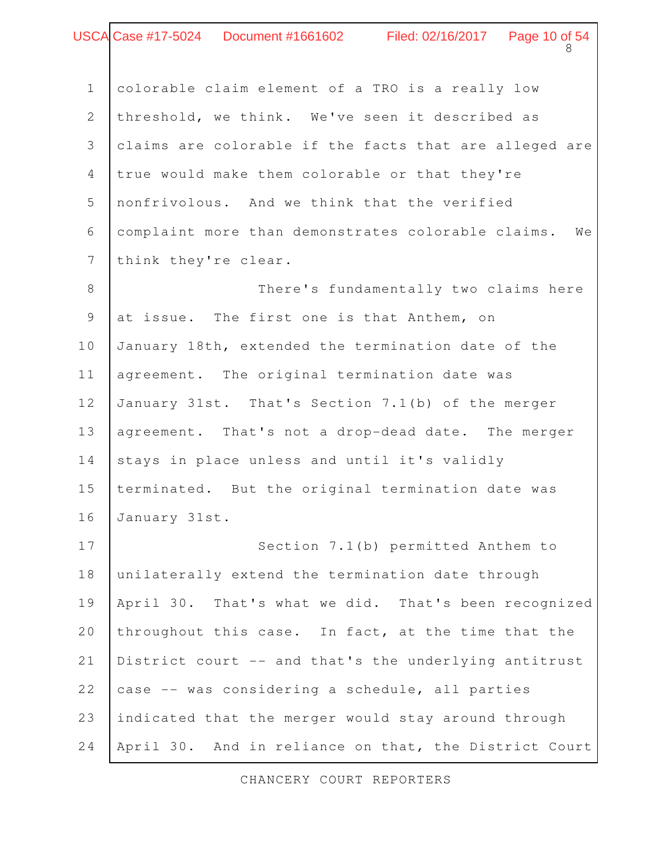# Case #17-5024 Document #1661602 Filed: 02/16/2017 Page 10 of 54

colorable claim element of a TRO is a really low threshold, we think. We've seen it described as claims are colorable if the facts that are alleged are true would make them colorable or that they're nonfrivolous. And we think that the verified complaint more than demonstrates colorable claims. We think they're clear. There's fundamentally two claims here at issue. The first one is that Anthem, on January 18th, extended the termination date of the agreement. The original termination date was January 31st. That's Section 7.1(b) of the merger agreement. That's not a drop-dead date. The merger stays in place unless and until it's validly terminated. But the original termination date was January 31st. Section 7.1(b) permitted Anthem to unilaterally extend the termination date through April 30. That's what we did. That's been recognized throughout this case. In fact, at the time that the District court -- and that's the underlying antitrust case -- was considering a schedule, all parties indicated that the merger would stay around through April 30. And in reliance on that, the District Court 1 2 3 4 5 6 7 8 9 10 11 12 13 14 15 16 17 18 19 20 21 22 23 24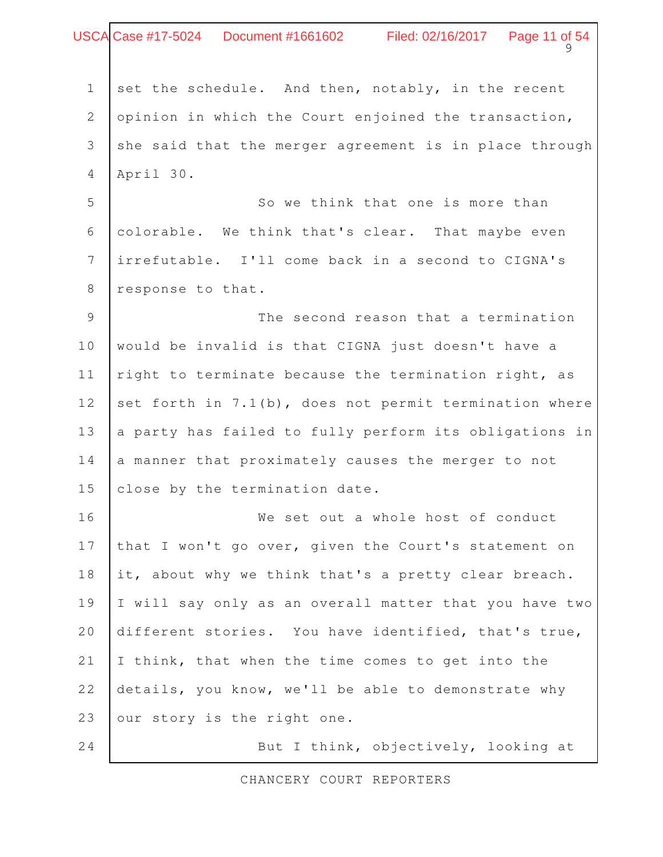|                 | USCA Case #17-5024 Document #1661602 Filed: 02/16/2017 Page 11 of 54 |
|-----------------|----------------------------------------------------------------------|
|                 |                                                                      |
| $\mathbf 1$     | set the schedule. And then, notably, in the recent                   |
| $\overline{2}$  | opinion in which the Court enjoined the transaction,                 |
| 3               | she said that the merger agreement is in place through               |
| 4               | April 30.                                                            |
| 5               | So we think that one is more than                                    |
| 6               | colorable. We think that's clear. That maybe even                    |
| $7\overline{ }$ | irrefutable. I'll come back in a second to CIGNA's                   |
| 8               | response to that.                                                    |
| 9               | The second reason that a termination                                 |
| 10              | would be invalid is that CIGNA just doesn't have a                   |
| 11              | right to terminate because the termination right, as                 |
| 12              | set forth in 7.1(b), does not permit termination where               |
| 13              | a party has failed to fully perform its obligations in               |
| 14              | a manner that proximately causes the merger to not                   |
| 15              | close by the termination date.                                       |
| 16              | We set out a whole host of conduct                                   |
| 17              | that I won't go over, given the Court's statement on                 |
| 18              | it, about why we think that's a pretty clear breach.                 |
| 19              | I will say only as an overall matter that you have two               |
| 20              | different stories. You have identified, that's true,                 |
| 21              | I think, that when the time comes to get into the                    |
| 22              | details, you know, we'll be able to demonstrate why                  |
| 23              | our story is the right one.                                          |
| 24              | But I think, objectively, looking at                                 |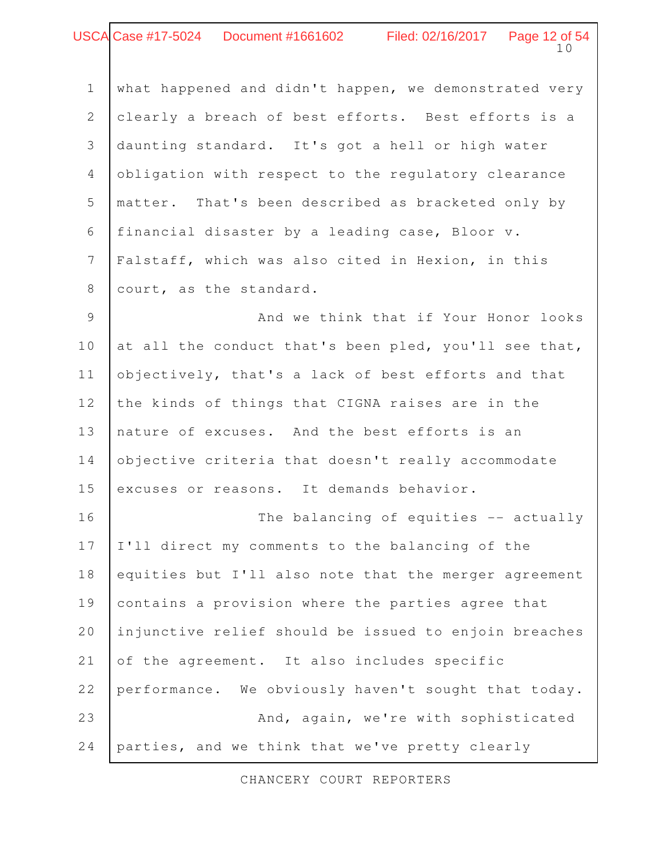#### 10 USCA Case #17-5024 Document #1661602 Filed: 02/16/2017 Page 12 of 54

| $\mathbf 1$     | what happened and didn't happen, we demonstrated very |
|-----------------|-------------------------------------------------------|
| $\mathbf{2}$    | clearly a breach of best efforts. Best efforts is a   |
| 3               | daunting standard. It's got a hell or high water      |
| $\overline{4}$  | obligation with respect to the regulatory clearance   |
| 5               | matter. That's been described as bracketed only by    |
| 6               | financial disaster by a leading case, Bloor v.        |
| $7\phantom{.0}$ | Falstaff, which was also cited in Hexion, in this     |
| $8\,$           | court, as the standard.                               |
| 9               | And we think that if Your Honor looks                 |
| 10              | at all the conduct that's been pled, you'll see that, |
| 11              | objectively, that's a lack of best efforts and that   |
| 12              | the kinds of things that CIGNA raises are in the      |
| 13              | nature of excuses. And the best efforts is an         |
| 14              | objective criteria that doesn't really accommodate    |
| 15              | excuses or reasons. It demands behavior.              |
| 16              | The balancing of equities -- actually                 |
| 17              | I'll direct my comments to the balancing of the       |
| 18              | equities but I'll also note that the merger agreement |
| 19              | contains a provision where the parties agree that     |
| 20              | injunctive relief should be issued to enjoin breaches |
| 21              | of the agreement. It also includes specific           |
| 22              | performance. We obviously haven't sought that today.  |
|                 |                                                       |

And, again, we're with sophisticated parties, and we think that we've pretty clearly 23 24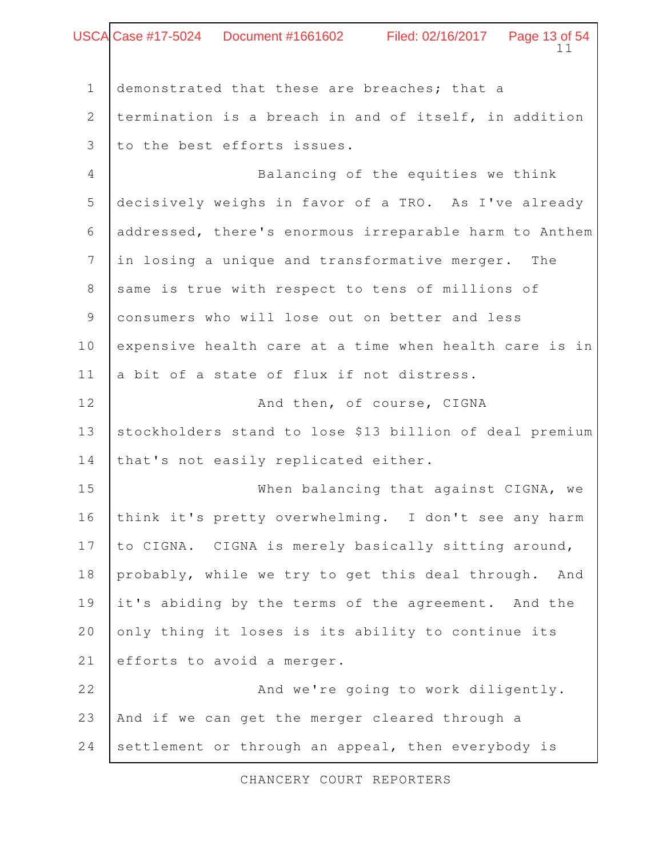|                | USCA Case #17-5024 Document #1661602 Filed: 02/16/2017 Page 13 of 54 |
|----------------|----------------------------------------------------------------------|
|                | 11                                                                   |
| $\mathbf 1$    | demonstrated that these are breaches; that a                         |
| 2              | termination is a breach in and of itself, in addition                |
| 3              | to the best efforts issues.                                          |
| $\overline{4}$ | Balancing of the equities we think                                   |
| 5              | decisively weighs in favor of a TRO. As I've already                 |
| 6              | addressed, there's enormous irreparable harm to Anthem               |
| 7              | in losing a unique and transformative merger. The                    |
| 8              | same is true with respect to tens of millions of                     |
| 9              | consumers who will lose out on better and less                       |
| 10             | expensive health care at a time when health care is in               |
| 11             | a bit of a state of flux if not distress.                            |
| 12             | And then, of course, CIGNA                                           |
| 13             | stockholders stand to lose \$13 billion of deal premium              |
| 14             | that's not easily replicated either.                                 |
| 15             | When balancing that against CIGNA, we                                |
| 16             | think it's pretty overwhelming. I don't see any harm                 |
| 17             | to CIGNA. CIGNA is merely basically sitting around,                  |
| 18             | probably, while we try to get this deal through.<br>And              |
| 19             | it's abiding by the terms of the agreement. And the                  |
| 20             | only thing it loses is its ability to continue its                   |
| 21             | efforts to avoid a merger.                                           |
| 22             | And we're going to work diligently.                                  |
| 23             | And if we can get the merger cleared through a                       |
| 24             | settlement or through an appeal, then everybody is                   |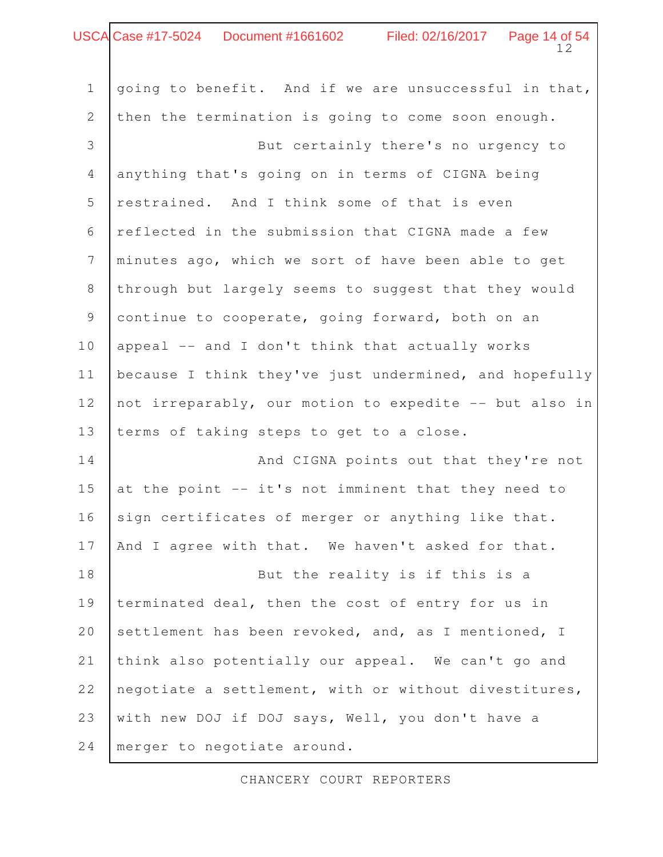| USCA Case #17-5024    Document #1661602<br>Filed: 02/16/2017   Page 14 of 54<br>12 |                                                        |
|------------------------------------------------------------------------------------|--------------------------------------------------------|
|                                                                                    |                                                        |
| $\mathbf 1$                                                                        | going to benefit. And if we are unsuccessful in that,  |
| 2                                                                                  | then the termination is going to come soon enough.     |
| 3                                                                                  | But certainly there's no urgency to                    |
| $\overline{4}$                                                                     | anything that's going on in terms of CIGNA being       |
| 5                                                                                  | restrained. And I think some of that is even           |
| 6                                                                                  | reflected in the submission that CIGNA made a few      |
| $\overline{7}$                                                                     | minutes ago, which we sort of have been able to get    |
| 8                                                                                  | through but largely seems to suggest that they would   |
| 9                                                                                  | continue to cooperate, going forward, both on an       |
| 10                                                                                 | appeal -- and I don't think that actually works        |
| 11                                                                                 | because I think they've just undermined, and hopefully |
| 12                                                                                 | not irreparably, our motion to expedite -- but also in |
| 13                                                                                 | terms of taking steps to get to a close.               |
| 14                                                                                 | And CIGNA points out that they're not                  |
| 15                                                                                 | at the point -- it's not imminent that they need to    |
| 16                                                                                 | sign certificates of merger or anything like that.     |
| 17                                                                                 | And I agree with that. We haven't asked for that.      |
| 18                                                                                 | But the reality is if this is a                        |
| 19                                                                                 | terminated deal, then the cost of entry for us in      |
| 20                                                                                 | settlement has been revoked, and, as I mentioned, I    |
| 21                                                                                 | think also potentially our appeal. We can't go and     |
| 22                                                                                 | negotiate a settlement, with or without divestitures,  |
| 23                                                                                 | with new DOJ if DOJ says, Well, you don't have a       |
| 24                                                                                 | merger to negotiate around.                            |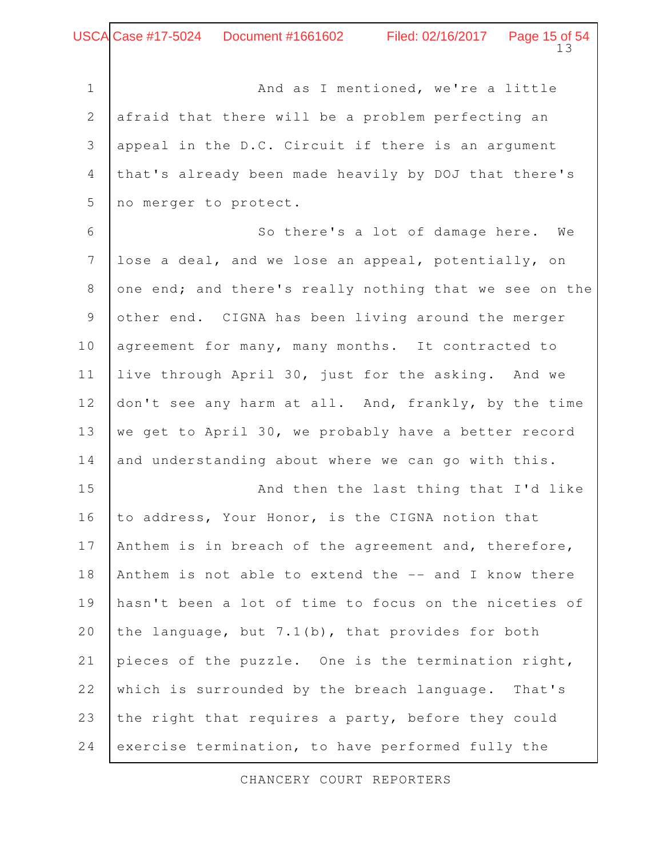And as I mentioned, we're a little afraid that there will be a problem perfecting an appeal in the D.C. Circuit if there is an argument that's already been made heavily by DOJ that there's no merger to protect. 1 2 3 4 5

So there's a lot of damage here. We lose a deal, and we lose an appeal, potentially, on one end; and there's really nothing that we see on the other end. CIGNA has been living around the merger agreement for many, many months. It contracted to live through April 30, just for the asking. And we don't see any harm at all. And, frankly, by the time we get to April 30, we probably have a better record and understanding about where we can go with this. 6 7 8 9 10 11 12 13 14

And then the last thing that I'd like to address, Your Honor, is the CIGNA notion that Anthem is in breach of the agreement and, therefore, Anthem is not able to extend the -- and I know there hasn't been a lot of time to focus on the niceties of the language, but 7.1(b), that provides for both pieces of the puzzle. One is the termination right, which is surrounded by the breach language. That's the right that requires a party, before they could exercise termination, to have performed fully the 15 16 17 18 19 20 21 22 23 24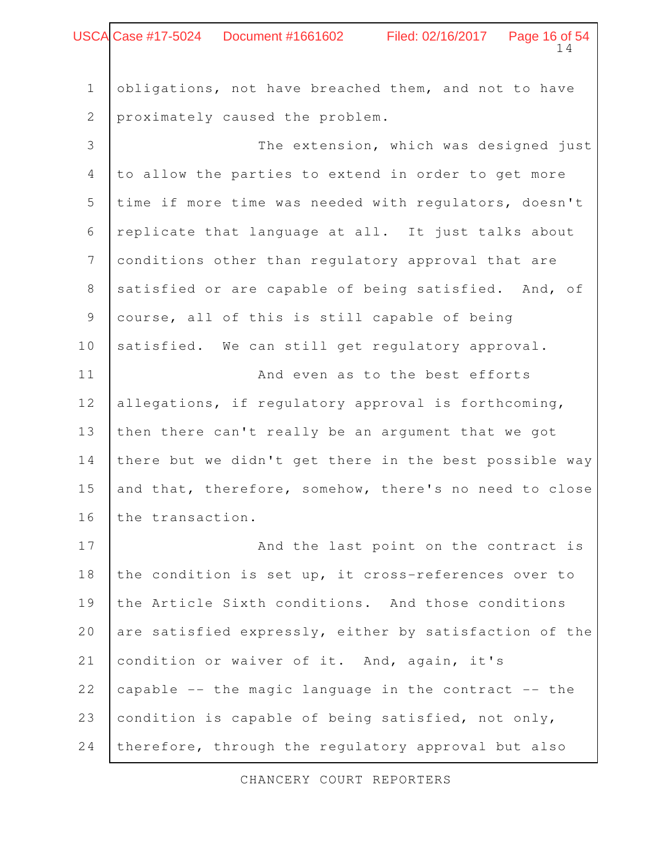|              | USCA Case #17-5024    Document #1661602<br>Filed: 02/16/2017   Page 16 of 54<br>14 |
|--------------|------------------------------------------------------------------------------------|
|              |                                                                                    |
| $\mathbf 1$  | obligations, not have breached them, and not to have                               |
| $\mathbf{2}$ | proximately caused the problem.                                                    |
| 3            | The extension, which was designed just                                             |
| 4            | to allow the parties to extend in order to get more                                |
| 5            | time if more time was needed with regulators, doesn't                              |
| 6            | replicate that language at all. It just talks about                                |
| 7            | conditions other than regulatory approval that are                                 |
| 8            | satisfied or are capable of being satisfied. And, of                               |
| 9            | course, all of this is still capable of being                                      |
| 10           | satisfied. We can still get regulatory approval.                                   |
| 11           | And even as to the best efforts                                                    |
| 12           | allegations, if regulatory approval is forthcoming,                                |
| 13           | then there can't really be an argument that we got                                 |
| 14           | there but we didn't get there in the best possible way                             |
| 15           | and that, therefore, somehow, there's no need to close                             |
| 16           | the transaction.                                                                   |
| 17           | And the last point on the contract is                                              |
| 18           | the condition is set up, it cross-references over to                               |
| 19           | the Article Sixth conditions. And those conditions                                 |
| 20           | are satisfied expressly, either by satisfaction of the                             |
| 21           | condition or waiver of it. And, again, it's                                        |
| 22           | capable -- the magic language in the contract -- the                               |
| 23           | condition is capable of being satisfied, not only,                                 |
| 24           | therefore, through the regulatory approval but also                                |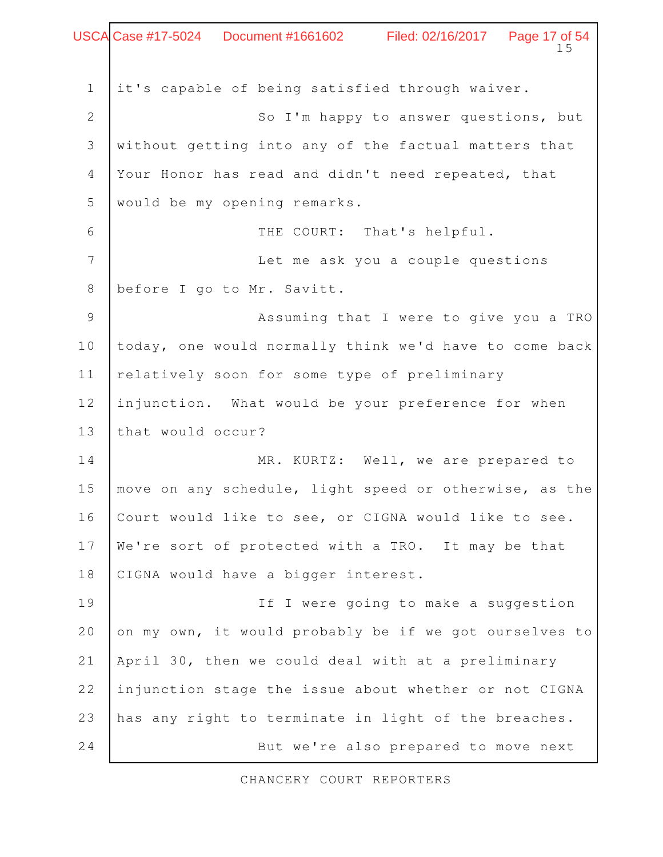|                | USCA Case #17-5024  Document #1661602   Filed: 02/16/2017   Page 17 of 54<br>15 |
|----------------|---------------------------------------------------------------------------------|
| $\mathbf 1$    | it's capable of being satisfied through waiver.                                 |
| $\overline{2}$ | So I'm happy to answer questions, but                                           |
| 3              | without getting into any of the factual matters that                            |
| $\overline{4}$ | Your Honor has read and didn't need repeated, that                              |
| 5              | would be my opening remarks.                                                    |
| 6              | THE COURT: That's helpful.                                                      |
| 7              | Let me ask you a couple questions                                               |
| $8\,$          | before I go to Mr. Savitt.                                                      |
| $\mathcal{G}$  | Assuming that I were to give you a TRO                                          |
| $10$           | today, one would normally think we'd have to come back                          |
| 11             | relatively soon for some type of preliminary                                    |
| 12             | injunction. What would be your preference for when                              |
| 13             | that would occur?                                                               |
| 14             | MR. KURTZ: Well, we are prepared to                                             |
| 15             | move on any schedule, light speed or otherwise, as the                          |
| 16             | Court would like to see, or CIGNA would like to see.                            |
| 17             | We're sort of protected with a TRO. It may be that                              |
| 18             | CIGNA would have a bigger interest.                                             |
| 19             | If I were going to make a suggestion                                            |
| 20             | on my own, it would probably be if we got ourselves to                          |
| 21             | April 30, then we could deal with at a preliminary                              |
| 22             | injunction stage the issue about whether or not CIGNA                           |
| 23             | has any right to terminate in light of the breaches.                            |
| 24             | But we're also prepared to move next                                            |

 $\Gamma$ 

٦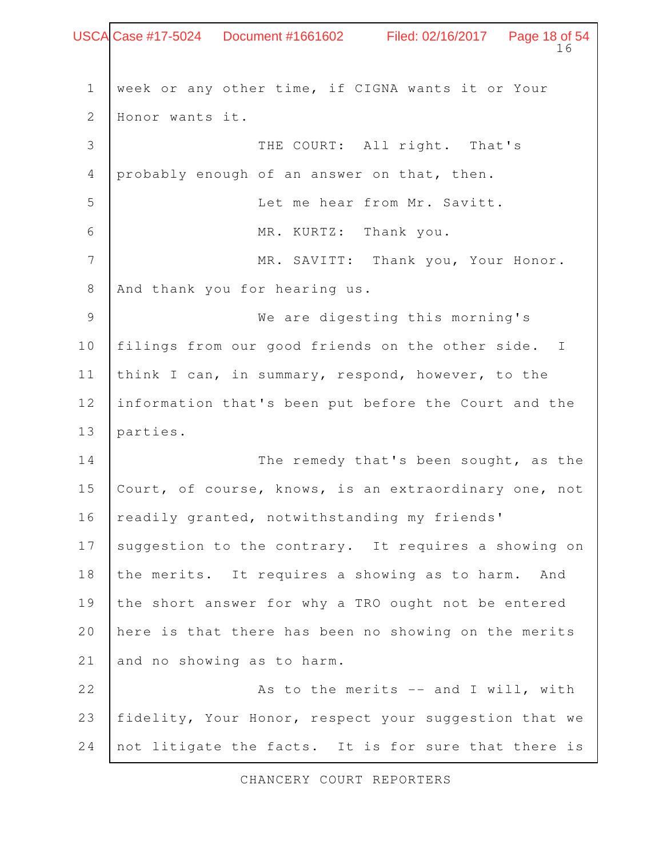Page 18 of 54<br>16 week or any other time, if CIGNA wants it or Your Honor wants it. THE COURT: All right. That's probably enough of an answer on that, then. Let me hear from Mr. Savitt. MR. KURTZ: Thank you. MR. SAVITT: Thank you, Your Honor. And thank you for hearing us. We are digesting this morning's filings from our good friends on the other side. I think I can, in summary, respond, however, to the information that's been put before the Court and the parties. The remedy that's been sought, as the Court, of course, knows, is an extraordinary one, not readily granted, notwithstanding my friends' suggestion to the contrary. It requires a showing on the merits. It requires a showing as to harm. And the short answer for why a TRO ought not be entered here is that there has been no showing on the merits and no showing as to harm. As to the merits  $--$  and I will, with fidelity, Your Honor, respect your suggestion that we not litigate the facts. It is for sure that there is 1 2 3 4 5 6 7 8 9 10 11 12 13 14 15 16 17 18 19 20 21 22 23 24 Case #17-5024 Document #1661602 Filed: 02/16/2017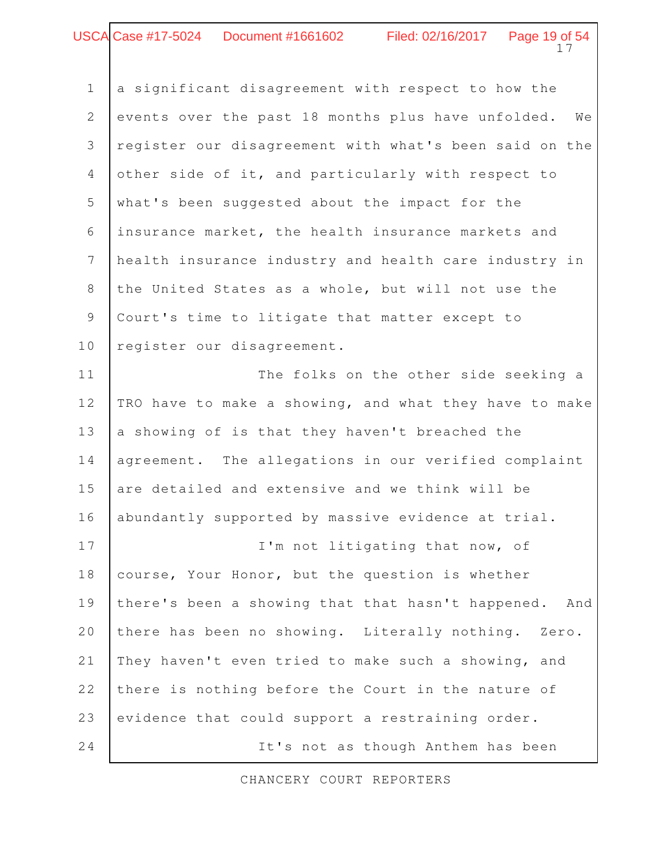#### Page 19 of 54 Case #17-5024 Document #1661602 Filed: 02/16/2017

a significant disagreement with respect to how the events over the past 18 months plus have unfolded. We register our disagreement with what's been said on the other side of it, and particularly with respect to what's been suggested about the impact for the insurance market, the health insurance markets and health insurance industry and health care industry in the United States as a whole, but will not use the Court's time to litigate that matter except to register our disagreement. The folks on the other side seeking a TRO have to make a showing, and what they have to make a showing of is that they haven't breached the agreement. The allegations in our verified complaint are detailed and extensive and we think will be abundantly supported by massive evidence at trial. I'm not litigating that now, of course, Your Honor, but the question is whether there's been a showing that that hasn't happened. And there has been no showing. Literally nothing. Zero. They haven't even tried to make such a showing, and there is nothing before the Court in the nature of evidence that could support a restraining order. 1 2 3 4 5 6 7 8 9 10 11 12 13 14 15 16 17 18 19 20 21 22 23

CHANCERY COURT REPORTERS

24

It's not as though Anthem has been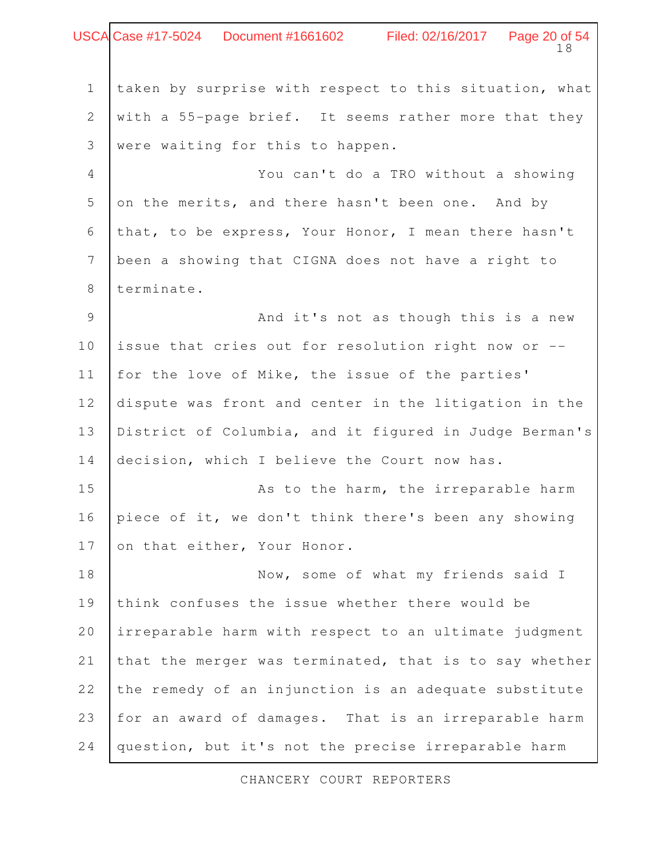Page 20 of 54<br>18 taken by surprise with respect to this situation, what with a 55-page brief. It seems rather more that they were waiting for this to happen. You can't do a TRO without a showing on the merits, and there hasn't been one. And by that, to be express, Your Honor, I mean there hasn't been a showing that CIGNA does not have a right to terminate. And it's not as though this is a new issue that cries out for resolution right now or - for the love of Mike, the issue of the parties' dispute was front and center in the litigation in the District of Columbia, and it figured in Judge Berman's decision, which I believe the Court now has. As to the harm, the irreparable harm piece of it, we don't think there's been any showing on that either, Your Honor. Now, some of what my friends said I think confuses the issue whether there would be irreparable harm with respect to an ultimate judgment that the merger was terminated, that is to say whether the remedy of an injunction is an adequate substitute for an award of damages. That is an irreparable harm 1 2 3 4 5 6 7 8 9 10 11 12 13 14 15 16 17 18 19 20 21 22 23 Case #17-5024 Document #1661602 Filed: 02/16/2017

CHANCERY COURT REPORTERS

question, but it's not the precise irreparable harm

24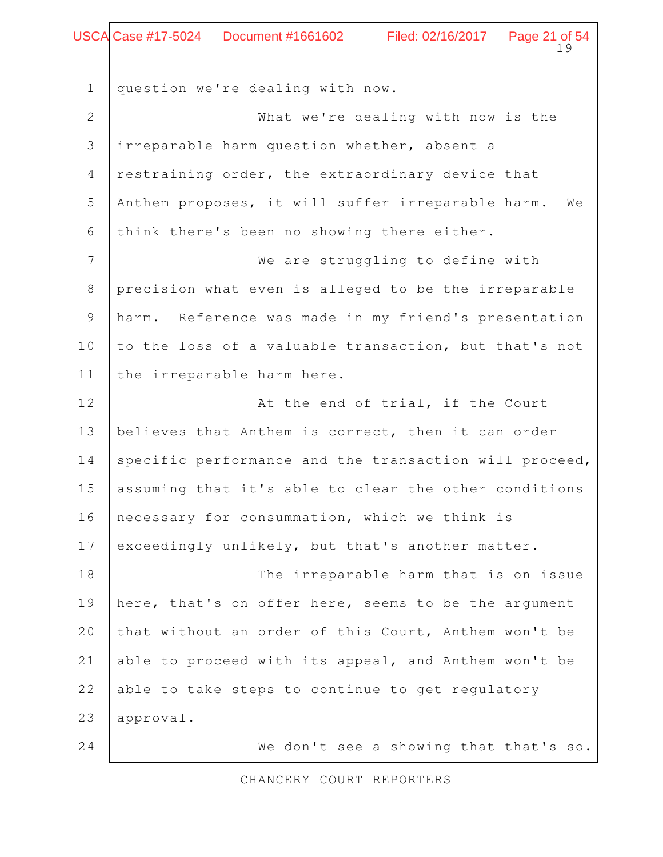#### Page 21 of 54<br>19 Case #17-5024 Document #1661602 Filed: 02/16/2017

question we're dealing with now. What we're dealing with now is the irreparable harm question whether, absent a restraining order, the extraordinary device that Anthem proposes, it will suffer irreparable harm. We think there's been no showing there either. We are struggling to define with precision what even is alleged to be the irreparable harm. Reference was made in my friend's presentation to the loss of a valuable transaction, but that's not the irreparable harm here. At the end of trial, if the Court believes that Anthem is correct, then it can order specific performance and the transaction will proceed, assuming that it's able to clear the other conditions necessary for consummation, which we think is exceedingly unlikely, but that's another matter. The irreparable harm that is on issue here, that's on offer here, seems to be the argument that without an order of this Court, Anthem won't be able to proceed with its appeal, and Anthem won't be able to take steps to continue to get regulatory approval. We don't see a showing that that's so. 1 2 3 4 5 6 7 8 9 10 11 12 13 14 15 16 17 18 19 20 21 22 23 24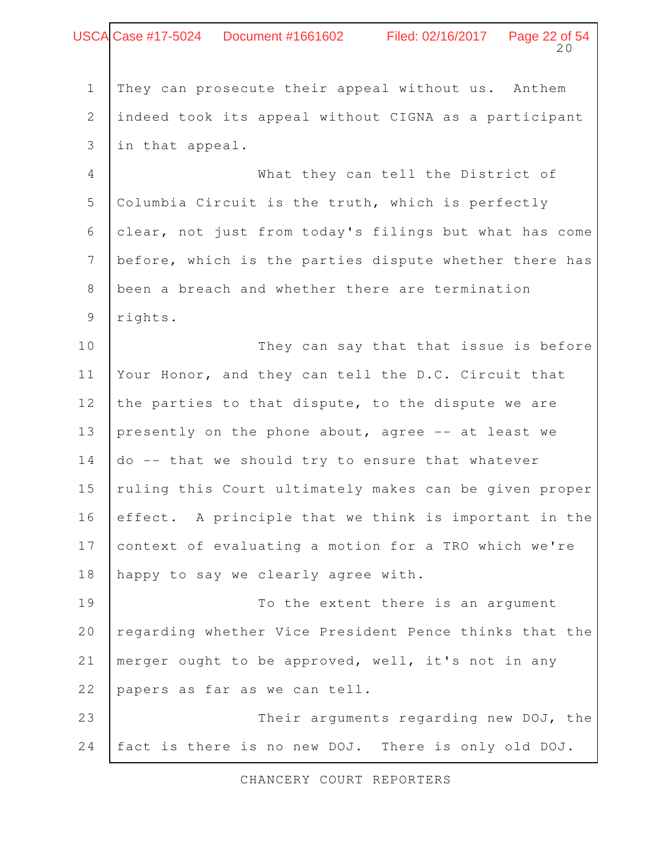# Page 22 of 54<br>20 They can prosecute their appeal without us. Anthem indeed took its appeal without CIGNA as a participant in that appeal. What they can tell the District of Columbia Circuit is the truth, which is perfectly clear, not just from today's filings but what has come before, which is the parties dispute whether there has been a breach and whether there are termination rights. They can say that that issue is before Your Honor, and they can tell the D.C. Circuit that the parties to that dispute, to the dispute we are presently on the phone about, agree -- at least we do -- that we should try to ensure that whatever ruling this Court ultimately makes can be given proper effect. A principle that we think is important in the context of evaluating a motion for a TRO which we're happy to say we clearly agree with. To the extent there is an argument regarding whether Vice President Pence thinks that the merger ought to be approved, well, it's not in any papers as far as we can tell. Their arguments regarding new DOJ, the fact is there is no new DOJ. There is only old DOJ. 1 2 3 4 5 6 7 8 9 10 11 12 13 14 15 16 17 18 19 20 21 22 23 24 Case #17-5024 Document #1661602 Filed: 02/16/2017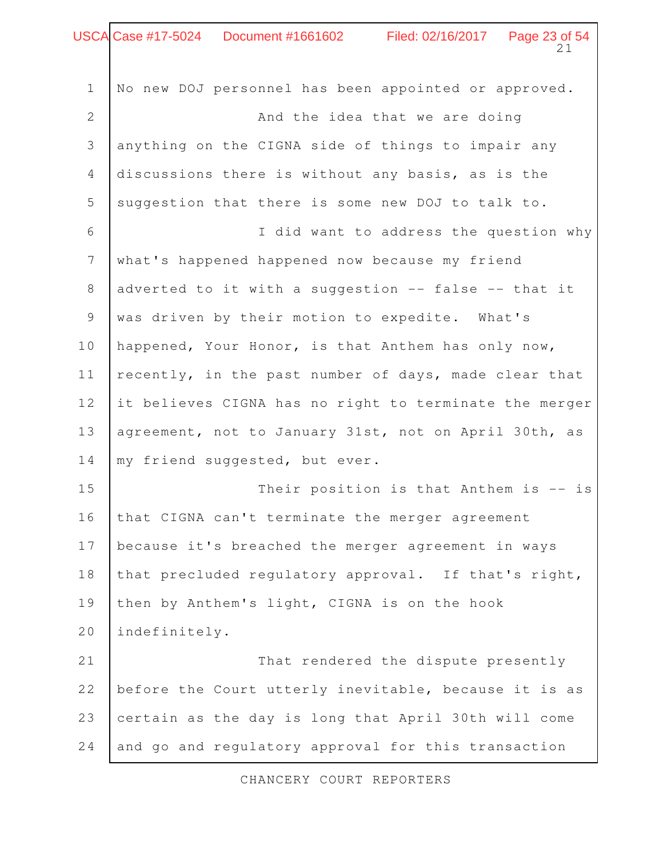# Page 23 of 54<br>21 No new DOJ personnel has been appointed or approved. And the idea that we are doing anything on the CIGNA side of things to impair any discussions there is without any basis, as is the suggestion that there is some new DOJ to talk to. I did want to address the question why what's happened happened now because my friend adverted to it with a suggestion -- false -- that it was driven by their motion to expedite. What's happened, Your Honor, is that Anthem has only now, recently, in the past number of days, made clear that it believes CIGNA has no right to terminate the merger agreement, not to January 31st, not on April 30th, as my friend suggested, but ever. Their position is that Anthem is -- is that CIGNA can't terminate the merger agreement 1 2 3 4 5 6 7 8 9 10 11 12 13 14 15 16 Case #17-5024 Document #1661602 Filed: 02/16/2017

because it's breached the merger agreement in ways that precluded regulatory approval. If that's right, then by Anthem's light, CIGNA is on the hook 17 18 19

indefinitely. That rendered the dispute presently before the Court utterly inevitable, because it is as certain as the day is long that April 30th will come and go and regulatory approval for this transaction 20 21 22 23 24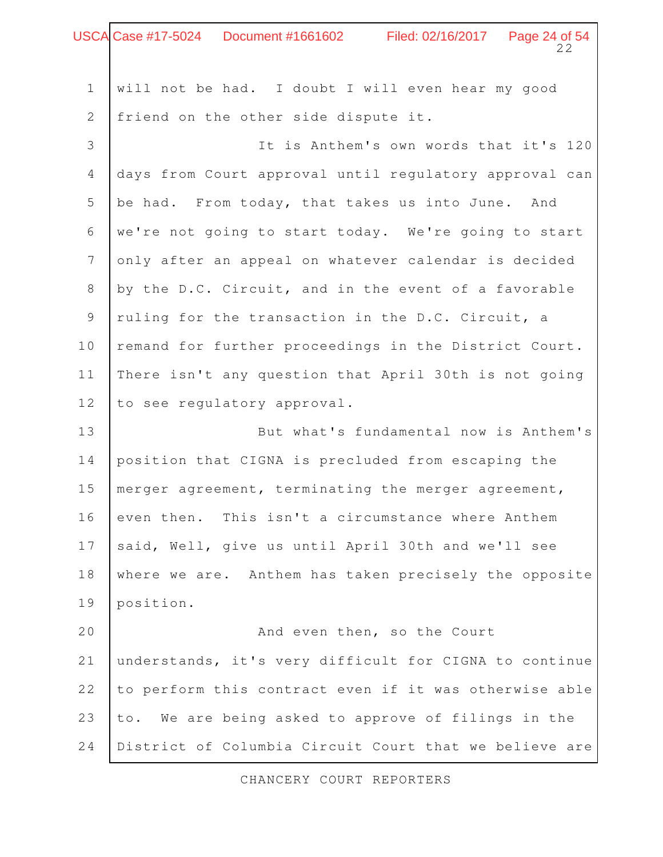|                 | USCA Case #17-5024 Document #1661602 Filed: 02/16/2017 Page 24 of 54<br>22 |
|-----------------|----------------------------------------------------------------------------|
| $1\,$           | will not be had. I doubt I will even hear my good                          |
| $\mathbf{2}$    | friend on the other side dispute it.                                       |
| 3               | It is Anthem's own words that it's 120                                     |
| 4               | days from Court approval until regulatory approval can                     |
| 5               | be had. From today, that takes us into June. And                           |
| 6               | we're not going to start today. We're going to start                       |
| $7\phantom{.0}$ | only after an appeal on whatever calendar is decided                       |
| 8               | by the D.C. Circuit, and in the event of a favorable                       |
| 9               | ruling for the transaction in the D.C. Circuit, a                          |
| 10              | remand for further proceedings in the District Court.                      |
| 11              | There isn't any question that April 30th is not going                      |
| 12              | to see regulatory approval.                                                |
| 13              | But what's fundamental now is Anthem's                                     |
| 14              | position that CIGNA is precluded from escaping the                         |
| 15              | merger agreement, terminating the merger agreement,                        |
| 16              | even then. This isn't a circumstance where Anthem                          |
| 17              | said, Well, give us until April 30th and we'll see                         |
| 18              | where we are. Anthem has taken precisely the opposite                      |
| 19              | position.                                                                  |
| 20              | And even then, so the Court                                                |
| 21              | understands, it's very difficult for CIGNA to continue                     |
| 22              | to perform this contract even if it was otherwise able                     |
| 23              | to. We are being asked to approve of filings in the                        |
| 24              | District of Columbia Circuit Court that we believe are                     |

Г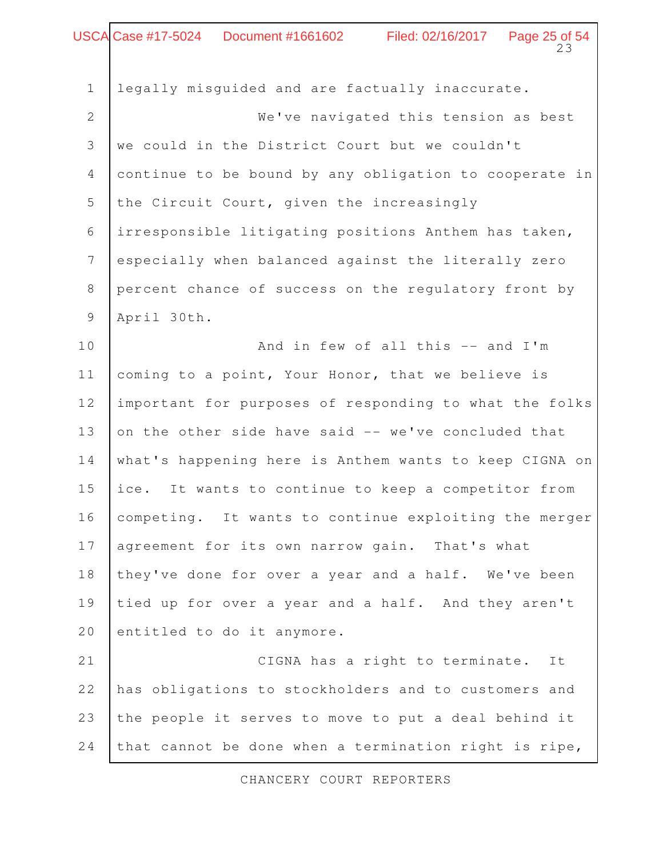#### 23 Case #17-5024 Document #1661602 Filed: 02/16/2017 Page 25 of 54

legally misguided and are factually inaccurate. We've navigated this tension as best we could in the District Court but we couldn't continue to be bound by any obligation to cooperate in the Circuit Court, given the increasingly irresponsible litigating positions Anthem has taken, especially when balanced against the literally zero percent chance of success on the regulatory front by April 30th. And in few of all this -- and I'm coming to a point, Your Honor, that we believe is important for purposes of responding to what the folks on the other side have said -- we've concluded that what's happening here is Anthem wants to keep CIGNA on ice. It wants to continue to keep a competitor from competing. It wants to continue exploiting the merger agreement for its own narrow gain. That's what they've done for over a year and a half. We've been tied up for over a year and a half. And they aren't entitled to do it anymore. CIGNA has a right to terminate. It has obligations to stockholders and to customers and the people it serves to move to put a deal behind it that cannot be done when a termination right is ripe, 1 2 3 4 5 6 7 8 9 10 11 12 13 14 15 16 17 18 19 20 21 22 23 24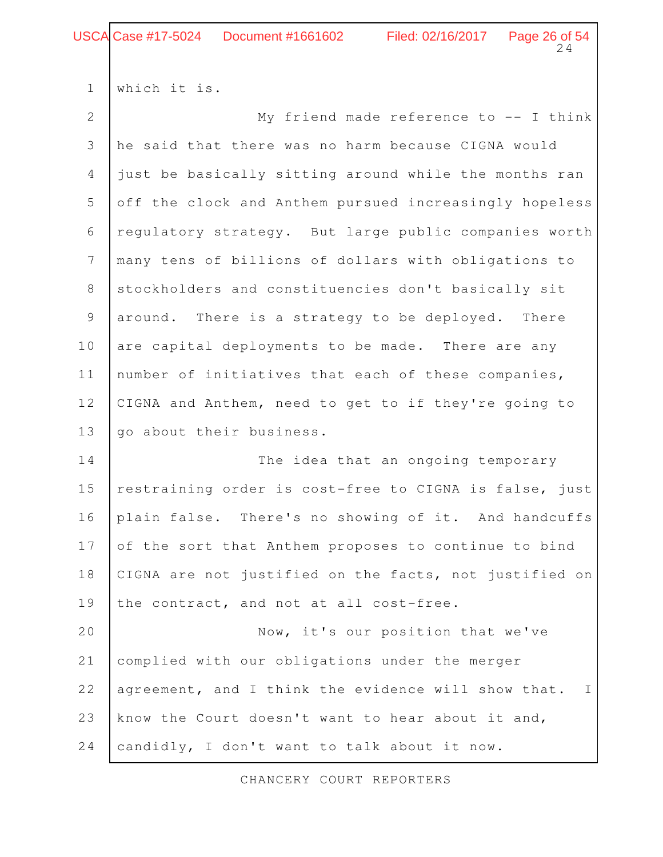## USCA Case #17-5024 Document #1661602 Filed: 02/16/2017 Page 26 of 54

which it is. 1

| $\overline{2}$ | My friend made reference to $--$ I think                            |
|----------------|---------------------------------------------------------------------|
| 3              | he said that there was no harm because CIGNA would                  |
| $\overline{4}$ | just be basically sitting around while the months ran               |
| 5              | off the clock and Anthem pursued increasingly hopeless              |
| 6              | regulatory strategy. But large public companies worth               |
| $\overline{7}$ | many tens of billions of dollars with obligations to                |
| $8\,$          | stockholders and constituencies don't basically sit                 |
| $\overline{9}$ | around. There is a strategy to be deployed. There                   |
| 10             | are capital deployments to be made. There are any                   |
| 11             | number of initiatives that each of these companies,                 |
| 12             | CIGNA and Anthem, need to get to if they're going to                |
| 13             | go about their business.                                            |
| 14             | The idea that an ongoing temporary                                  |
| $15$           | restraining order is cost-free to CIGNA is false, just              |
| 16             | plain false. There's no showing of it. And handcuffs                |
| 17             | of the sort that Anthem proposes to continue to bind                |
| 18             | CIGNA are not justified on the facts, not justified on              |
| 19             | the contract, and not at all cost-free.                             |
| 20             | Now, it's our position that we've                                   |
| 21             | complied with our obligations under the merger                      |
| 22             | agreement, and I think the evidence will show that.<br>$\mathbb{I}$ |
| 23             | know the Court doesn't want to hear about it and,                   |
| 24             | candidly, I don't want to talk about it now.                        |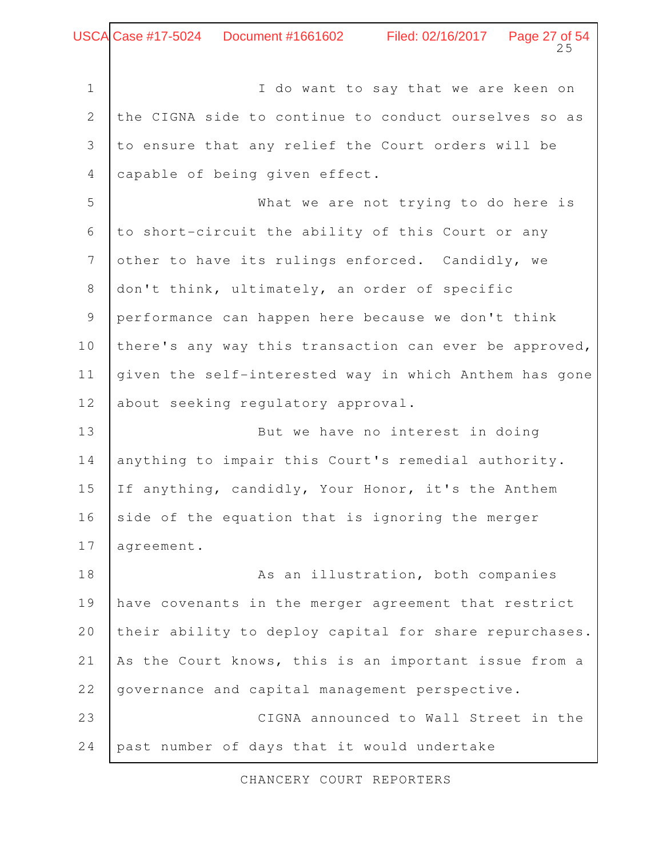I do want to say that we are keen on the CIGNA side to continue to conduct ourselves so as to ensure that any relief the Court orders will be capable of being given effect. What we are not trying to do here is 1 2 3 4 5

to short-circuit the ability of this Court or any other to have its rulings enforced. Candidly, we don't think, ultimately, an order of specific performance can happen here because we don't think there's any way this transaction can ever be approved, given the self-interested way in which Anthem has gone about seeking regulatory approval. 6 7 8 9 10 11 12

But we have no interest in doing anything to impair this Court's remedial authority. If anything, candidly, Your Honor, it's the Anthem side of the equation that is ignoring the merger agreement. 13 14 15 16 17

As an illustration, both companies have covenants in the merger agreement that restrict their ability to deploy capital for share repurchases. As the Court knows, this is an important issue from a governance and capital management perspective. CIGNA announced to Wall Street in the past number of days that it would undertake 18 19 20 21 22 23 24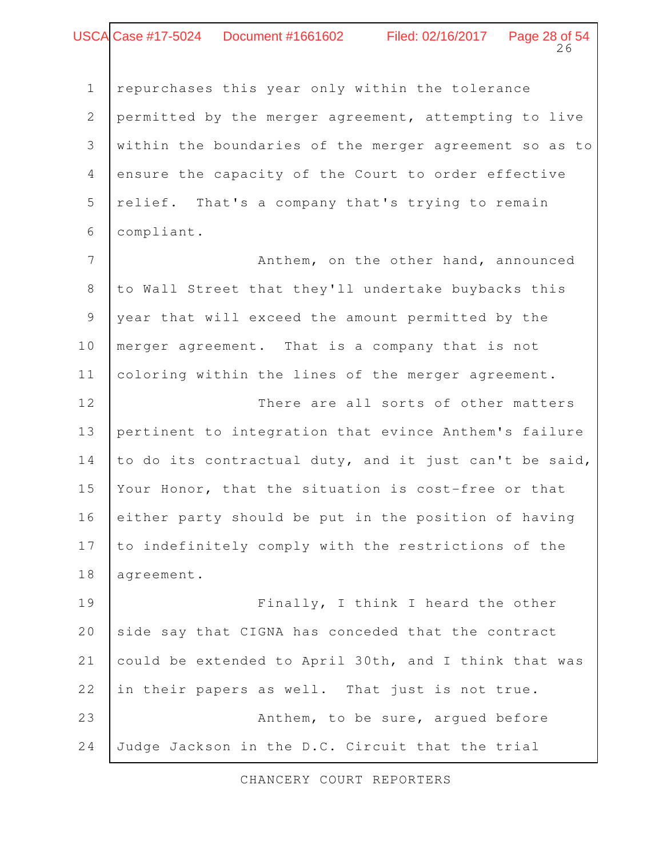#### Page 28 of 54<br>26 Case #17-5024 Document #1661602 Filed: 02/16/2017

1

repurchases this year only within the tolerance

permitted by the merger agreement, attempting to live within the boundaries of the merger agreement so as to ensure the capacity of the Court to order effective relief. That's a company that's trying to remain compliant. 2 3 4 5 6

Anthem, on the other hand, announced to Wall Street that they'll undertake buybacks this year that will exceed the amount permitted by the merger agreement. That is a company that is not coloring within the lines of the merger agreement. 7 8 9 10 11

There are all sorts of other matters pertinent to integration that evince Anthem's failure to do its contractual duty, and it just can't be said, Your Honor, that the situation is cost-free or that either party should be put in the position of having to indefinitely comply with the restrictions of the agreement. 12 13 14 15 16 17 18

Finally, I think I heard the other side say that CIGNA has conceded that the contract could be extended to April 30th, and I think that was in their papers as well. That just is not true. Anthem, to be sure, argued before Judge Jackson in the D.C. Circuit that the trial 19 20 21 22 23 24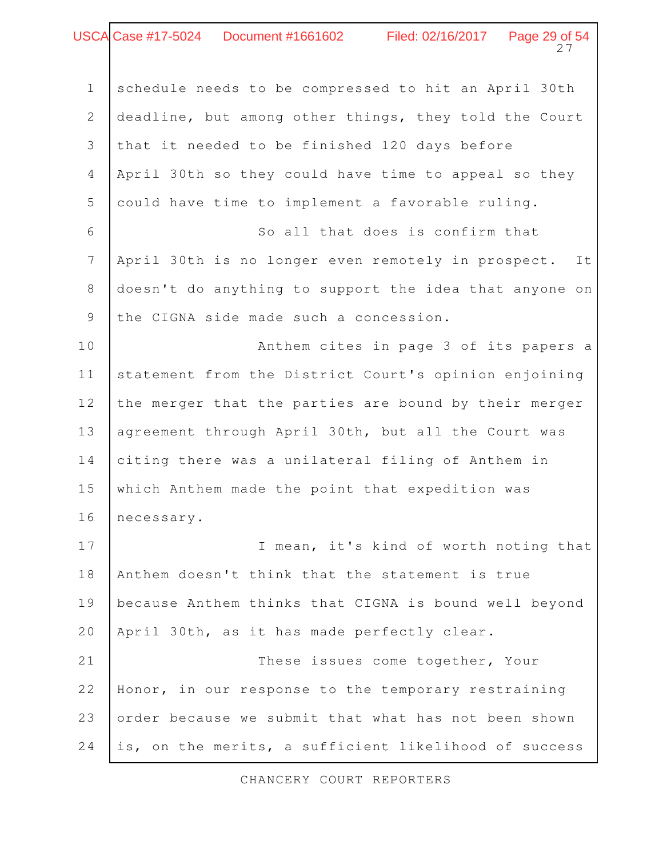## $27$ USCA Case #17-5024 Document #1661602 Filed: 02/16/2017 Page 29 of 54

| $\mathbf 1$    | schedule needs to be compressed to hit an April 30th     |
|----------------|----------------------------------------------------------|
| $\mathbf{2}$   | deadline, but among other things, they told the Court    |
| 3              | that it needed to be finished 120 days before            |
| $\overline{4}$ | April 30th so they could have time to appeal so they     |
| 5              | could have time to implement a favorable ruling.         |
| 6              | So all that does is confirm that                         |
| $\overline{7}$ | April 30th is no longer even remotely in prospect.<br>It |
| $\,8\,$        | doesn't do anything to support the idea that anyone on   |
| $\overline{9}$ | the CIGNA side made such a concession.                   |
| 10             | Anthem cites in page 3 of its papers a                   |
| 11             | statement from the District Court's opinion enjoining    |
| 12             | the merger that the parties are bound by their merger    |
| 13             | agreement through April 30th, but all the Court was      |
| 14             | citing there was a unilateral filing of Anthem in        |
| 15             | which Anthem made the point that expedition was          |
| 16             | necessary.                                               |
| 17             | I mean, it's kind of worth noting that                   |
| 18             | Anthem doesn't think that the statement is true          |
| 19             | because Anthem thinks that CIGNA is bound well beyond    |
| 20             | April 30th, as it has made perfectly clear.              |
| 21             | These issues come together, Your                         |
| 22             | Honor, in our response to the temporary restraining      |
| 23             | order because we submit that what has not been shown     |
| 24             | is, on the merits, a sufficient likelihood of success    |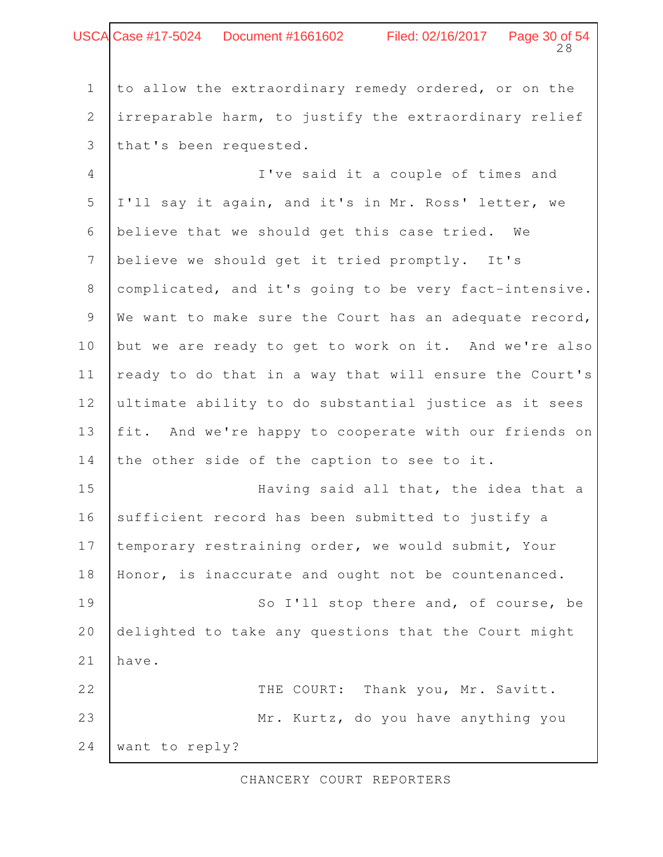| <b>USCA Case #17-5024</b><br>Document #1661602 | Filed: 02/16/2017 | Page 30 of 54 |
|------------------------------------------------|-------------------|---------------|
|------------------------------------------------|-------------------|---------------|

to allow the extraordinary remedy ordered, or on the irreparable harm, to justify the extraordinary relief that's been requested. 1 2 3

I've said it a couple of times and I'll say it again, and it's in Mr. Ross' letter, we believe that we should get this case tried. We believe we should get it tried promptly. It's complicated, and it's going to be very fact-intensive. We want to make sure the Court has an adequate record, but we are ready to get to work on it. And we're also ready to do that in a way that will ensure the Court's ultimate ability to do substantial justice as it sees fit. And we're happy to cooperate with our friends on the other side of the caption to see to it. Having said all that, the idea that a sufficient record has been submitted to justify a temporary restraining order, we would submit, Your Honor, is inaccurate and ought not be countenanced. So I'll stop there and, of course, be delighted to take any questions that the Court might have. THE COURT: Thank you, Mr. Savitt. Mr. Kurtz, do you have anything you 4 5 6 7 8 9 10 11 12 13 14 15 16 17 18 19 20 21 22 23

want to reply? 24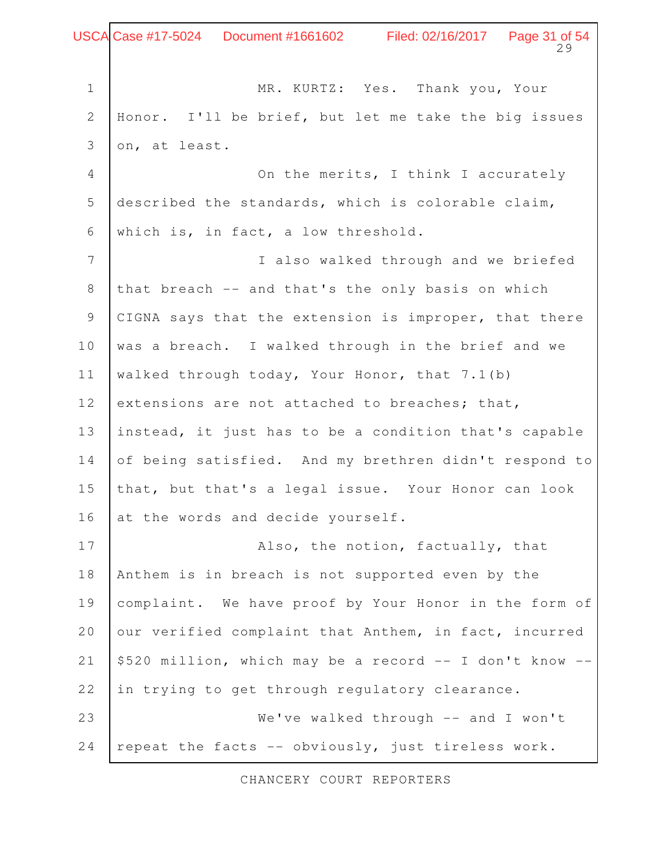Page 31 of 54 MR. KURTZ: Yes. Thank you, Your Honor. I'll be brief, but let me take the big issues on, at least. On the merits, I think I accurately described the standards, which is colorable claim, which is, in fact, a low threshold. I also walked through and we briefed that breach -- and that's the only basis on which CIGNA says that the extension is improper, that there was a breach. I walked through in the brief and we walked through today, Your Honor, that 7.1(b) extensions are not attached to breaches; that, instead, it just has to be a condition that's capable of being satisfied. And my brethren didn't respond to that, but that's a legal issue. Your Honor can look at the words and decide yourself. Also, the notion, factually, that Anthem is in breach is not supported even by the complaint. We have proof by Your Honor in the form of our verified complaint that Anthem, in fact, incurred \$520 million, which may be a record -- I don't know - in trying to get through regulatory clearance. We've walked through -- and I won't repeat the facts -- obviously, just tireless work. 1 2 3 4 5 6 7 8 9 10 11 12 13 14 15 16 17 18 19 20 21 22 23 24 Case #17-5024 Document #1661602 Filed: 02/16/2017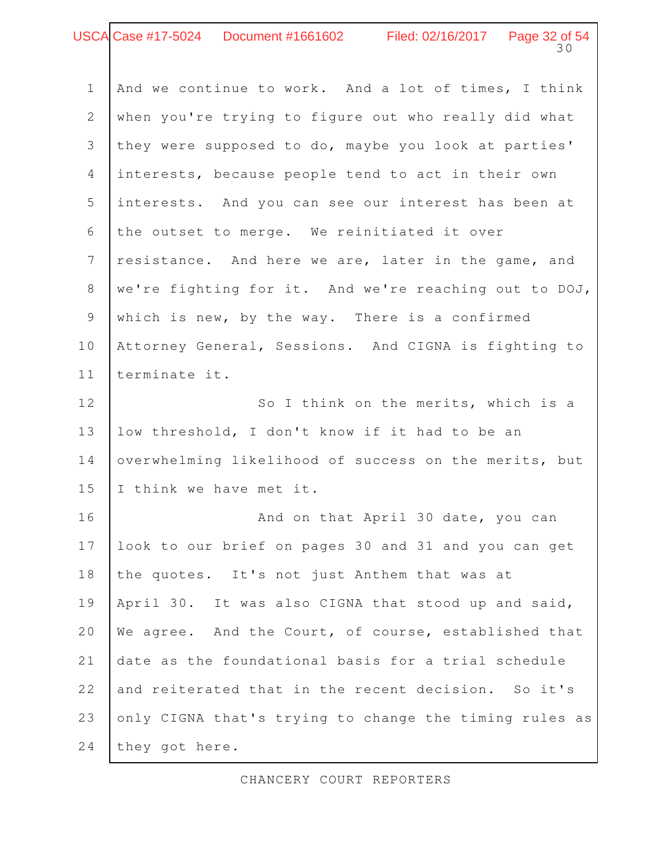### Page 32 of 54 Case #17-5024 Document #1661602 Filed: 02/16/2017

| $\mathbf 1$    | And we continue to work. And a lot of times, I think  |
|----------------|-------------------------------------------------------|
| $\mathbf{2}$   | when you're trying to figure out who really did what  |
| 3              | they were supposed to do, maybe you look at parties'  |
| $\overline{4}$ | interests, because people tend to act in their own    |
| 5              | interests. And you can see our interest has been at   |
| 6              | the outset to merge. We reinitiated it over           |
| $7\phantom{.}$ | resistance. And here we are, later in the game, and   |
| $\,8\,$        | we're fighting for it. And we're reaching out to DOJ, |
| $\overline{9}$ | which is new, by the way. There is a confirmed        |
| 10             | Attorney General, Sessions. And CIGNA is fighting to  |
| 11             | terminate it.                                         |
| 12             | So I think on the merits, which is a                  |
| 13             | low threshold, I don't know if it had to be an        |
| 14             | overwhelming likelihood of success on the merits, but |
| 15             | I think we have met it.                               |
| 16             | And on that April 30 date, you can                    |
| 17             | look to our brief on pages 30 and 31 and you can get  |

the quotes. It's not just Anthem that was at April 30. It was also CIGNA that stood up and said, We agree. And the Court, of course, established that date as the foundational basis for a trial schedule and reiterated that in the recent decision. So it's only CIGNA that's trying to change the timing rules as they got here. 18 19 20 21 22 23 24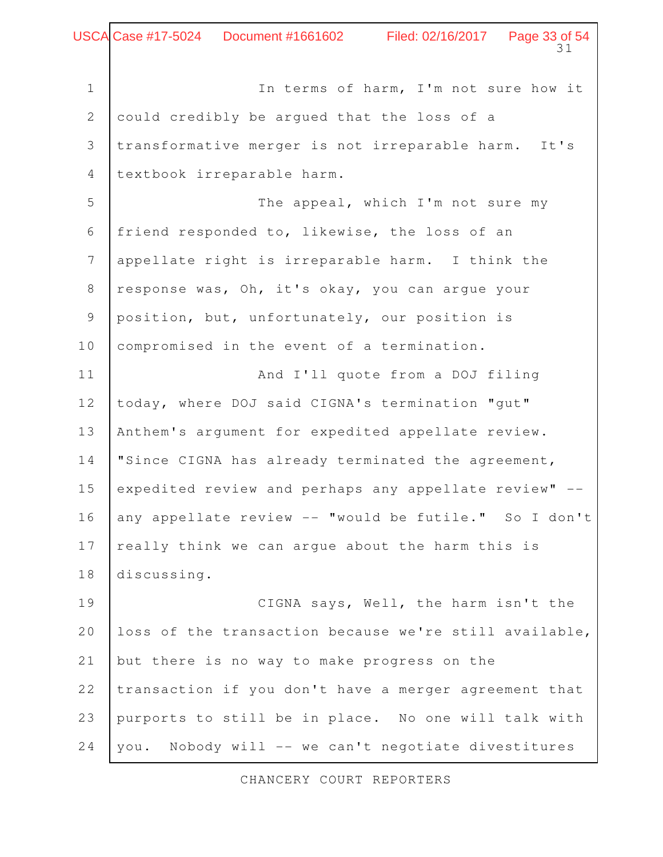Page 33 of 54<br>31 In terms of harm, I'm not sure how it could credibly be argued that the loss of a transformative merger is not irreparable harm. It's textbook irreparable harm. The appeal, which I'm not sure my friend responded to, likewise, the loss of an appellate right is irreparable harm. I think the response was, Oh, it's okay, you can argue your position, but, unfortunately, our position is compromised in the event of a termination. And I'll quote from a DOJ filing today, where DOJ said CIGNA's termination "gut" Anthem's argument for expedited appellate review. "Since CIGNA has already terminated the agreement, expedited review and perhaps any appellate review" - any appellate review -- "would be futile." So I don't really think we can argue about the harm this is discussing. CIGNA says, Well, the harm isn't the loss of the transaction because we're still available, but there is no way to make progress on the transaction if you don't have a merger agreement that purports to still be in place. No one will talk with you. Nobody will -- we can't negotiate divestitures 1 2 3 4 5 6 7 8 9 10 11 12 13 14 15 16 17 18 19 20 21 22 23 24 Case #17-5024 Document #1661602 Filed: 02/16/2017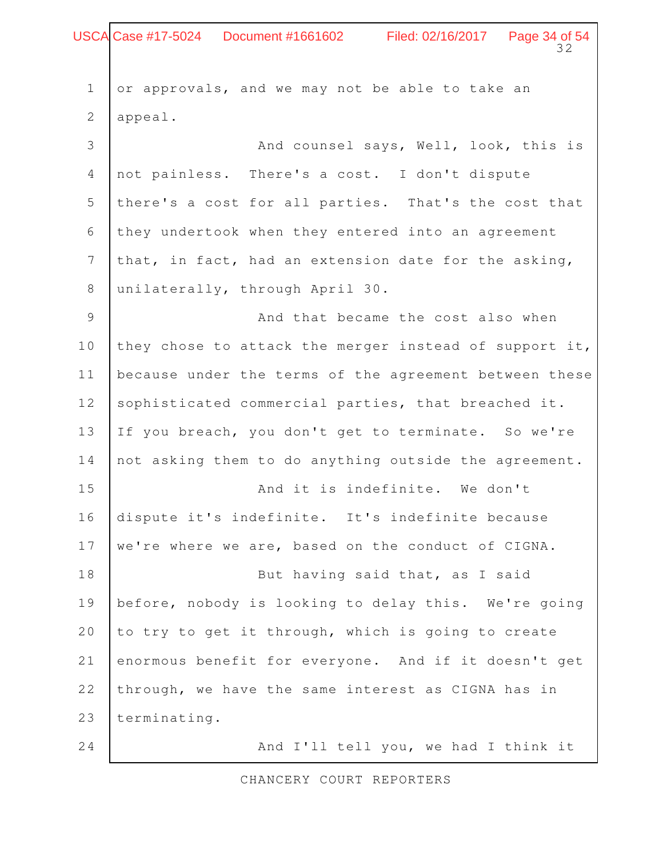## $32$ USCA Case #17-5024 Document #1661602 Filed: 02/16/2017 Page 34 of 54

| $\mathbf 1$     | or approvals, and we may not be able to take an        |
|-----------------|--------------------------------------------------------|
| $\mathbf{2}$    | appeal.                                                |
| 3               | And counsel says, Well, look, this is                  |
| $\overline{4}$  | not painless. There's a cost. I don't dispute          |
| 5               | there's a cost for all parties. That's the cost that   |
| 6               | they undertook when they entered into an agreement     |
| $7\phantom{.0}$ | that, in fact, had an extension date for the asking,   |
| 8               | unilaterally, through April 30.                        |
| $\mathcal{G}$   | And that became the cost also when                     |
| 10              | they chose to attack the merger instead of support it, |
| 11              | because under the terms of the agreement between these |
| 12              | sophisticated commercial parties, that breached it.    |
| 13              | If you breach, you don't get to terminate. So we're    |
| 14              | not asking them to do anything outside the agreement.  |
| 15              | And it is indefinite. We don't                         |
| 16              | dispute it's indefinite. It's indefinite because       |
| 17              | we're where we are, based on the conduct of CIGNA.     |
| 18              | But having said that, as I said                        |
| 19              | before, nobody is looking to delay this. We're going   |
| 20              | to try to get it through, which is going to create     |
| 21              | enormous benefit for everyone. And if it doesn't get   |
| 22              | through, we have the same interest as CIGNA has in     |
| 23              | terminating.                                           |
| 24              | And I'll tell you, we had I think it                   |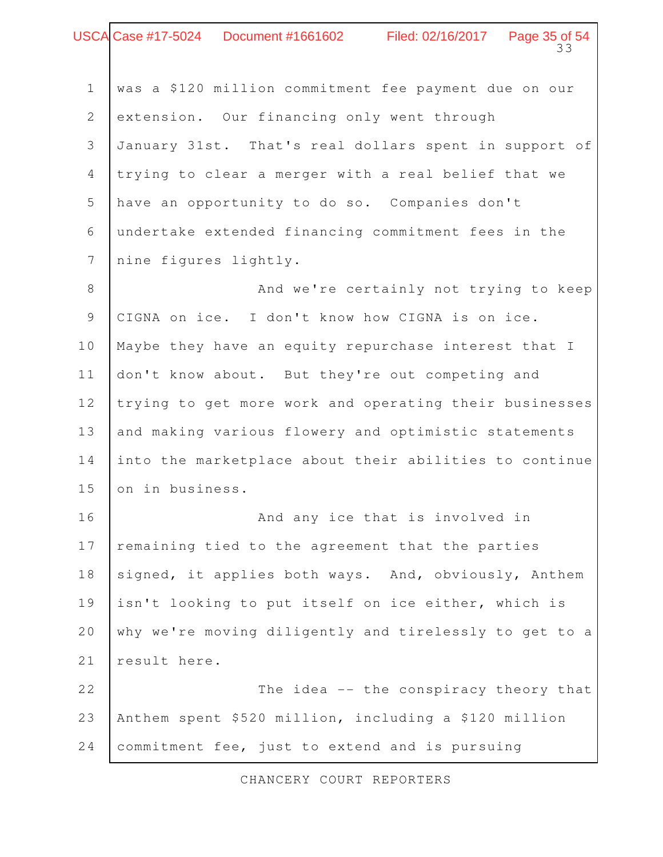## $33$ USCA Case #17-5024 Document #1661602 Filed: 02/16/2017 Page 35 of 54

| $\mathbf 1$    | was a \$120 million commitment fee payment due on our  |
|----------------|--------------------------------------------------------|
| 2              | extension. Our financing only went through             |
| 3              | January 31st. That's real dollars spent in support of  |
| $\overline{4}$ | trying to clear a merger with a real belief that we    |
| 5              | have an opportunity to do so. Companies don't          |
| 6              | undertake extended financing commitment fees in the    |
| 7              | nine figures lightly.                                  |
| $\,8\,$        | And we're certainly not trying to keep                 |
| $\mathsf 9$    | CIGNA on ice. I don't know how CIGNA is on ice.        |
| 10             | Maybe they have an equity repurchase interest that I   |
| 11             | don't know about. But they're out competing and        |
| 12             | trying to get more work and operating their businesses |
| 13             | and making various flowery and optimistic statements   |
| 14             | into the marketplace about their abilities to continue |
| 15             | on in business.                                        |
| 16             | And any ice that is involved in                        |
| 17             | remaining tied to the agreement that the parties       |
| 18             | signed, it applies both ways. And, obviously, Anthem   |
| 19             | isn't looking to put itself on ice either, which is    |
| 20             | why we're moving diligently and tirelessly to get to a |
| 21             | result here.                                           |
| 22             | The idea -- the conspiracy theory that                 |
| 23             | Anthem spent \$520 million, including a \$120 million  |
| 24             | commitment fee, just to extend and is pursuing         |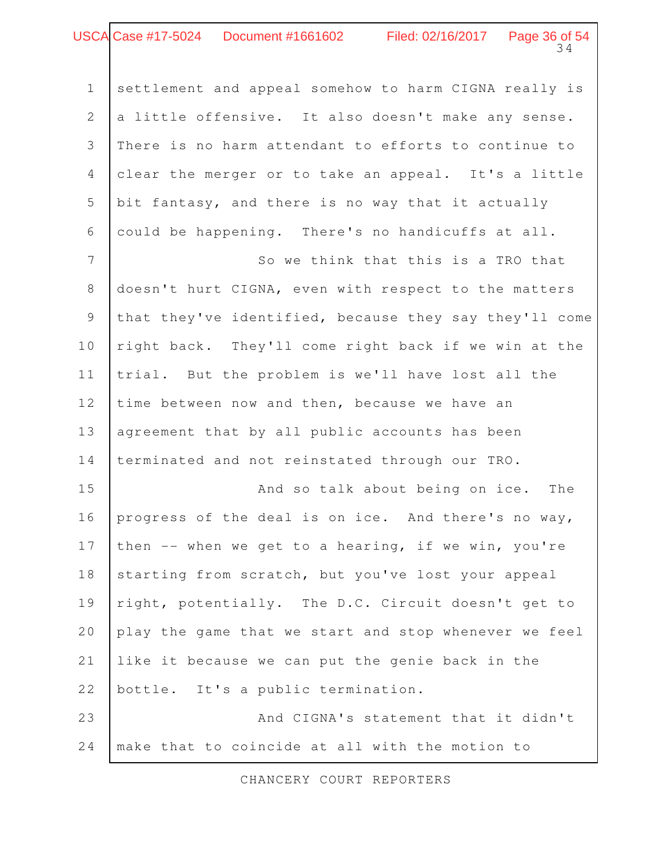### Page 36 of 54<br>34 Case #17-5024 Document #1661602 Filed: 02/16/2017

settlement and appeal somehow to harm CIGNA really is a little offensive. It also doesn't make any sense. There is no harm attendant to efforts to continue to clear the merger or to take an appeal. It's a little bit fantasy, and there is no way that it actually could be happening. There's no handicuffs at all. 1 2 3 4 5 6

So we think that this is a TRO that doesn't hurt CIGNA, even with respect to the matters that they've identified, because they say they'll come right back. They'll come right back if we win at the trial. But the problem is we'll have lost all the time between now and then, because we have an agreement that by all public accounts has been terminated and not reinstated through our TRO. 7 8 9 10 11 12 13 14

And so talk about being on ice. The progress of the deal is on ice. And there's no way, then -- when we get to a hearing, if we win, you're starting from scratch, but you've lost your appeal right, potentially. The D.C. Circuit doesn't get to play the game that we start and stop whenever we feel like it because we can put the genie back in the bottle. It's a public termination. 15 16 17 18 19 20 21 22

And CIGNA's statement that it didn't make that to coincide at all with the motion to 23 24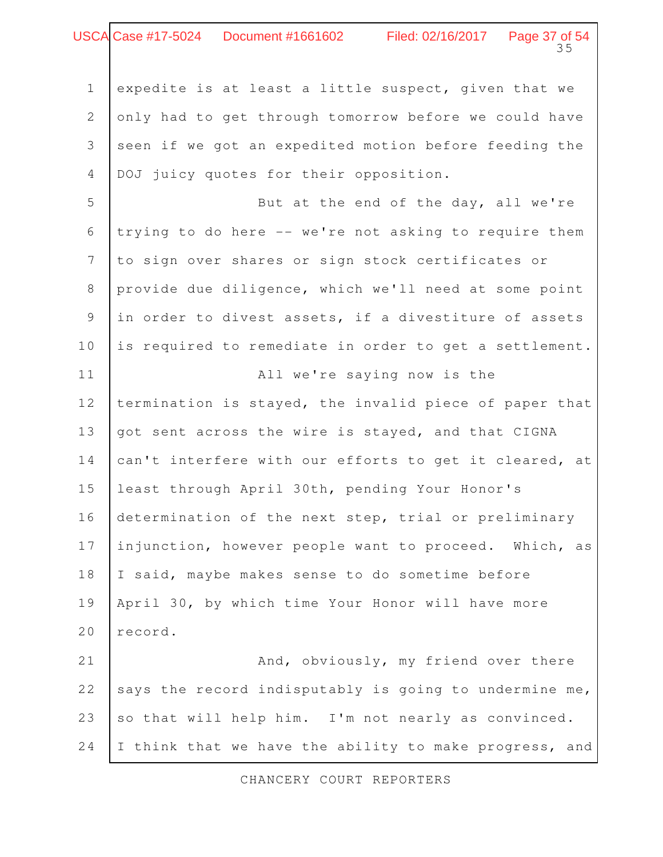### 35 Case #17-5024 Document #1661602 Filed: 02/16/2017 Page 37 of 54

expedite is at least a little suspect, given that we only had to get through tomorrow before we could have seen if we got an expedited motion before feeding the DOJ juicy quotes for their opposition. 1 2 3 4

But at the end of the day, all we're trying to do here -- we're not asking to require them to sign over shares or sign stock certificates or provide due diligence, which we'll need at some point in order to divest assets, if a divestiture of assets is required to remediate in order to get a settlement. 5 6 7 8 9 10

All we're saying now is the termination is stayed, the invalid piece of paper that got sent across the wire is stayed, and that CIGNA can't interfere with our efforts to get it cleared, at least through April 30th, pending Your Honor's determination of the next step, trial or preliminary injunction, however people want to proceed. Which, as I said, maybe makes sense to do sometime before April 30, by which time Your Honor will have more record. And, obviously, my friend over there 11 12 13 14 15 16 17 18 19 20 21

says the record indisputably is going to undermine me, so that will help him. I'm not nearly as convinced. I think that we have the ability to make progress, and 22 23 24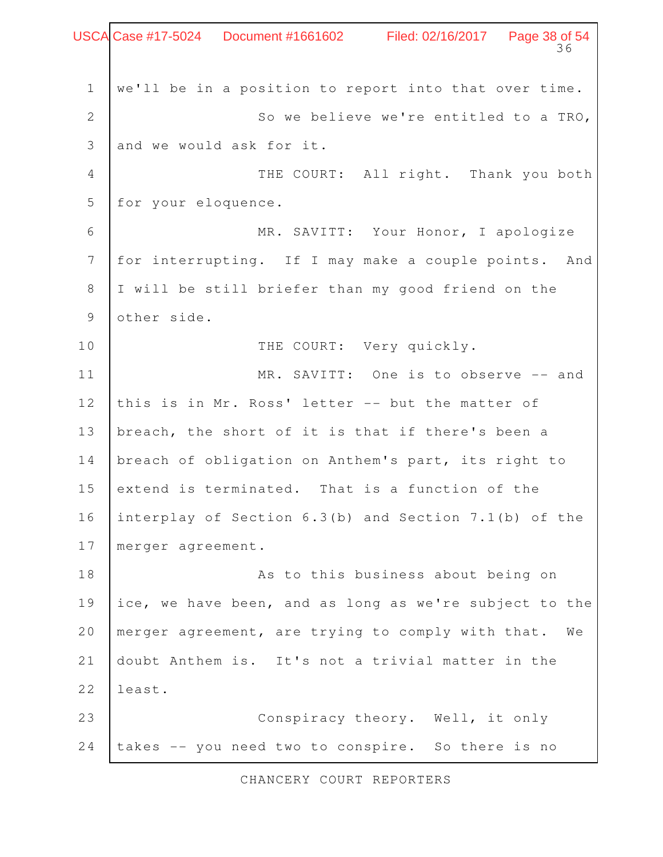Page 38 of 54 we'll be in a position to report into that over time. So we believe we're entitled to a TRO, and we would ask for it. THE COURT: All right. Thank you both for your eloquence. MR. SAVITT: Your Honor, I apologize for interrupting. If I may make a couple points. And I will be still briefer than my good friend on the other side. THE COURT: Very quickly. MR. SAVITT: One is to observe -- and this is in Mr. Ross' letter -- but the matter of breach, the short of it is that if there's been a breach of obligation on Anthem's part, its right to extend is terminated. That is a function of the interplay of Section 6.3(b) and Section 7.1(b) of the merger agreement. As to this business about being on ice, we have been, and as long as we're subject to the merger agreement, are trying to comply with that. We doubt Anthem is. It's not a trivial matter in the least. Conspiracy theory. Well, it only takes -- you need two to conspire. So there is no 1 2 3 4 5 6 7 8 9 10 11 12 13 14 15 16 17 18 19 20 21 22 23 24 Case #17-5024 Document #1661602 Filed: 02/16/2017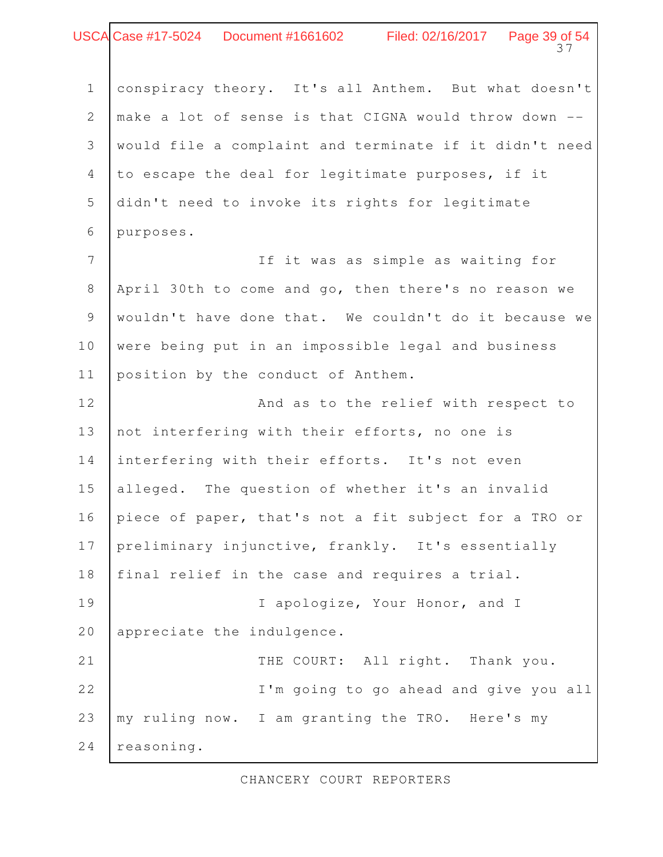### 37 Case #17-5024 Document #1661602 Filed: 02/16/2017 Page 39 of 54

conspiracy theory. It's all Anthem. But what doesn't make a lot of sense is that CIGNA would throw down - would file a complaint and terminate if it didn't need to escape the deal for legitimate purposes, if it didn't need to invoke its rights for legitimate purposes. 1 2 3 4 5 6

If it was as simple as waiting for April 30th to come and go, then there's no reason we wouldn't have done that. We couldn't do it because we were being put in an impossible legal and business position by the conduct of Anthem. 7 8 9 10 11

And as to the relief with respect to not interfering with their efforts, no one is interfering with their efforts. It's not even alleged. The question of whether it's an invalid piece of paper, that's not a fit subject for a TRO or preliminary injunctive, frankly. It's essentially final relief in the case and requires a trial. I apologize, Your Honor, and I appreciate the indulgence. THE COURT: All right. Thank you. I'm going to go ahead and give you all my ruling now. I am granting the TRO. Here's my reasoning. 12 13 14 15 16 17 18 19 20 21 22 23 24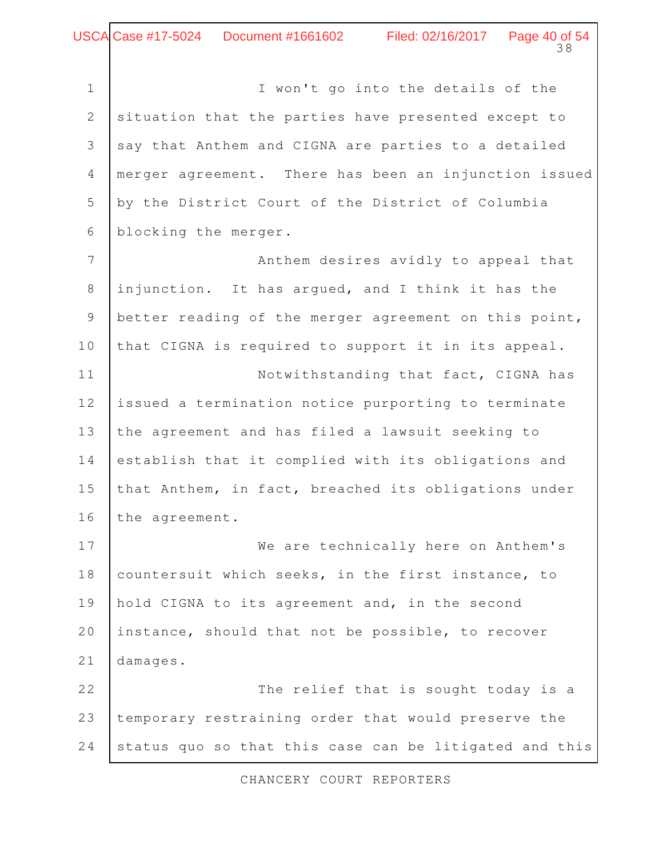I won't go into the details of the situation that the parties have presented except to say that Anthem and CIGNA are parties to a detailed merger agreement. There has been an injunction issued by the District Court of the District of Columbia blocking the merger. 1 2 3 4 5 6

Anthem desires avidly to appeal that injunction. It has argued, and I think it has the better reading of the merger agreement on this point, that CIGNA is required to support it in its appeal. Notwithstanding that fact, CIGNA has issued a termination notice purporting to terminate the agreement and has filed a lawsuit seeking to establish that it complied with its obligations and that Anthem, in fact, breached its obligations under the agreement. 7 8 9 10 11 12 13 14 15 16

We are technically here on Anthem's countersuit which seeks, in the first instance, to hold CIGNA to its agreement and, in the second instance, should that not be possible, to recover damages. 17 18 19 20 21

The relief that is sought today is a temporary restraining order that would preserve the status quo so that this case can be litigated and this 22 23 24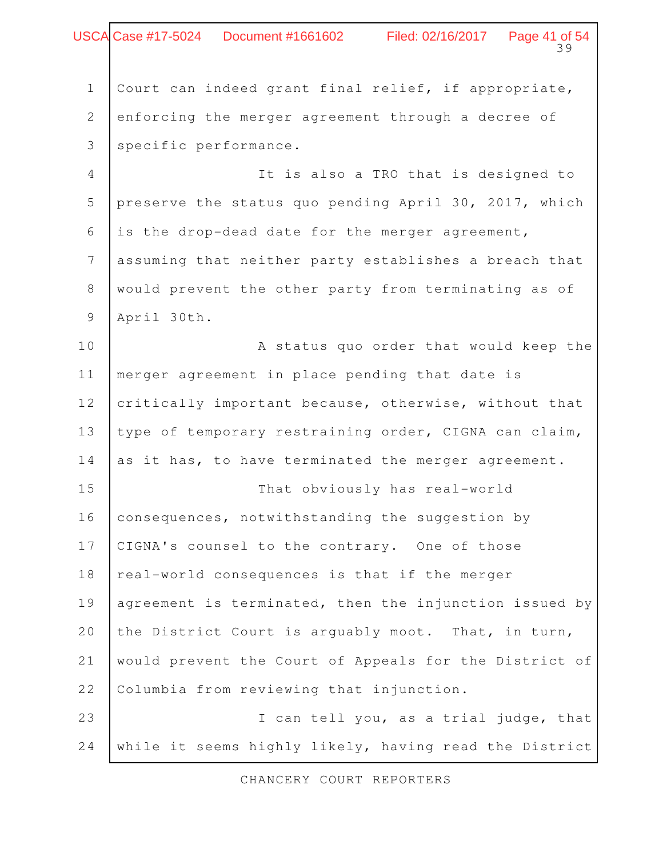|                | USCA Case #17-5024  Document #1661602  Filed: 02/16/2017  Page 41 of 54<br>39 |
|----------------|-------------------------------------------------------------------------------|
|                |                                                                               |
| $\mathbf 1$    | Court can indeed grant final relief, if appropriate,                          |
| $\mathbf{2}$   | enforcing the merger agreement through a decree of                            |
| 3              | specific performance.                                                         |
| 4              | It is also a TRO that is designed to                                          |
| 5              | preserve the status quo pending April 30, 2017, which                         |
| 6              | is the drop-dead date for the merger agreement,                               |
| $\overline{7}$ | assuming that neither party establishes a breach that                         |
| 8              | would prevent the other party from terminating as of                          |
| 9              | April 30th.                                                                   |
| 10             | A status quo order that would keep the                                        |
| 11             | merger agreement in place pending that date is                                |
| 12             | critically important because, otherwise, without that                         |
| 13             | type of temporary restraining order, CIGNA can claim,                         |
| 14             | as it has, to have terminated the merger agreement.                           |
| 15             | That obviously has real-world                                                 |
| 16             | consequences, notwithstanding the suggestion by                               |
| 17             | CIGNA's counsel to the contrary. One of those                                 |
| 18             | real-world consequences is that if the merger                                 |
| 19             | agreement is terminated, then the injunction issued by                        |
| 20             | the District Court is arguably moot. That, in turn,                           |
| 21             | would prevent the Court of Appeals for the District of                        |
| 22             | Columbia from reviewing that injunction.                                      |
| 23             | I can tell you, as a trial judge, that                                        |
| 24             | while it seems highly likely, having read the District                        |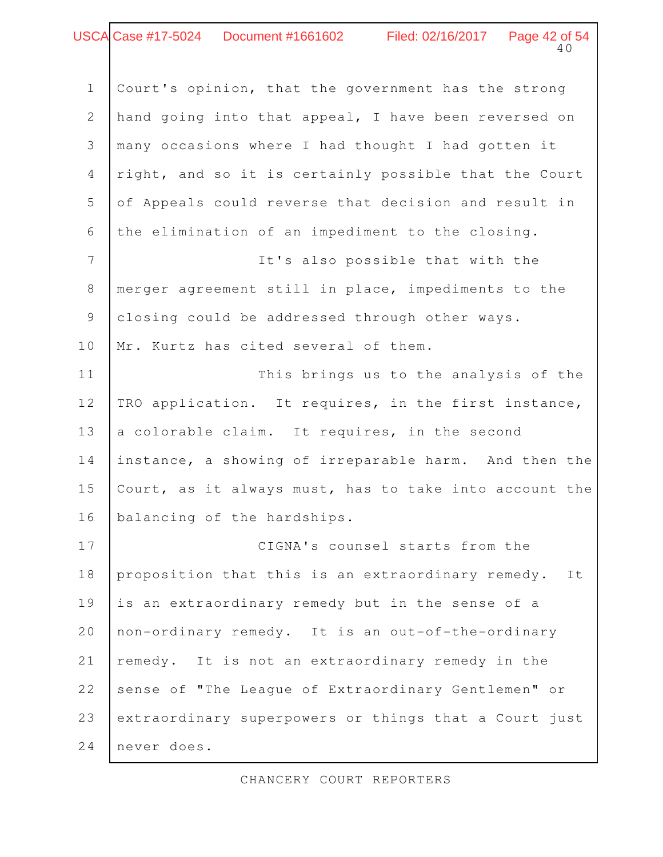# Case #17-5024 Document #1661602 Filed: 02/16/2017 Page 42 of 54

40

Court's opinion, that the government has the strong hand going into that appeal, I have been reversed on many occasions where I had thought I had gotten it right, and so it is certainly possible that the Court of Appeals could reverse that decision and result in the elimination of an impediment to the closing. It's also possible that with the merger agreement still in place, impediments to the closing could be addressed through other ways. Mr. Kurtz has cited several of them. This brings us to the analysis of the TRO application. It requires, in the first instance, a colorable claim. It requires, in the second instance, a showing of irreparable harm. And then the Court, as it always must, has to take into account the balancing of the hardships. CIGNA's counsel starts from the proposition that this is an extraordinary remedy. It is an extraordinary remedy but in the sense of a non-ordinary remedy. It is an out-of-the-ordinary remedy. It is not an extraordinary remedy in the 1 2 3 4 5 6 7 8 9 10 11 12 13 14 15 16 17 18 19 20 21

extraordinary superpowers or things that a Court just 23

sense of "The League of Extraordinary Gentlemen" or

never does. 24

22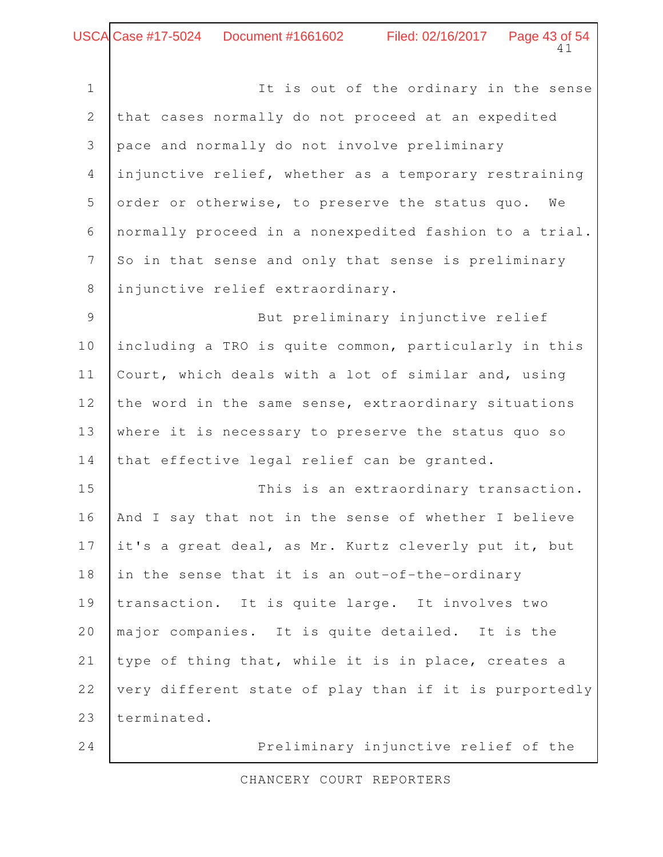It is out of the ordinary in the sense that cases normally do not proceed at an expedited pace and normally do not involve preliminary injunctive relief, whether as a temporary restraining order or otherwise, to preserve the status quo. We normally proceed in a nonexpedited fashion to a trial. So in that sense and only that sense is preliminary injunctive relief extraordinary. But preliminary injunctive relief including a TRO is quite common, particularly in this Court, which deals with a lot of similar and, using the word in the same sense, extraordinary situations where it is necessary to preserve the status quo so that effective legal relief can be granted. This is an extraordinary transaction. And I say that not in the sense of whether I believe it's a great deal, as Mr. Kurtz cleverly put it, but in the sense that it is an out-of-the-ordinary transaction. It is quite large. It involves two major companies. It is quite detailed. It is the type of thing that, while it is in place, creates a very different state of play than if it is purportedly terminated. 1 2 3 4 5 6 7 8 9 10 11 12 13 14 15 16 17 18 19 20 21 22 23

24

Preliminary injunctive relief of the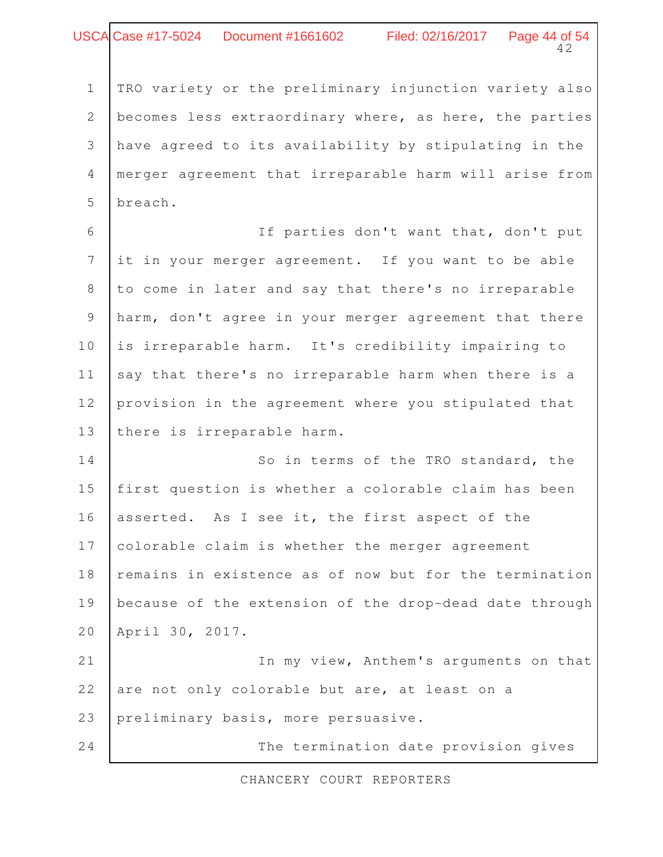### 42 Case #17-5024 Document #1661602 Filed: 02/16/2017 Page 44 of 54

TRO variety or the preliminary injunction variety also becomes less extraordinary where, as here, the parties have agreed to its availability by stipulating in the merger agreement that irreparable harm will arise from breach. 1 2 3 4 5

If parties don't want that, don't put it in your merger agreement. If you want to be able to come in later and say that there's no irreparable harm, don't agree in your merger agreement that there is irreparable harm. It's credibility impairing to say that there's no irreparable harm when there is a provision in the agreement where you stipulated that there is irreparable harm. 6 7 8 9 10 11 12 13

So in terms of the TRO standard, the first question is whether a colorable claim has been asserted. As I see it, the first aspect of the colorable claim is whether the merger agreement remains in existence as of now but for the termination because of the extension of the drop-dead date through April 30, 2017. In my view, Anthem's arguments on that 14 15 16 17 18 19 20 21

are not only colorable but are, at least on a preliminary basis, more persuasive. 22 23

24

The termination date provision gives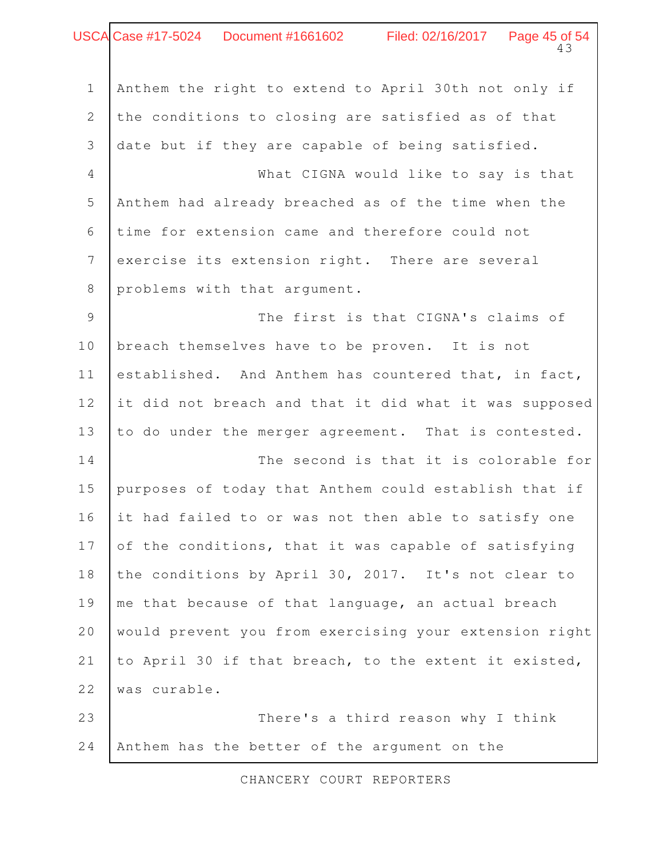### 43 USCA Case #17-5024 Document #1661602 Filed: 02/16/2017 Page 45 of 54

| $\mathbf 1$    | Anthem the right to extend to April 30th not only if   |
|----------------|--------------------------------------------------------|
| $\mathbf{2}$   | the conditions to closing are satisfied as of that     |
| 3              | date but if they are capable of being satisfied.       |
| $\overline{4}$ | What CIGNA would like to say is that                   |
| 5              | Anthem had already breached as of the time when the    |
| 6              | time for extension came and therefore could not        |
| $\overline{7}$ | exercise its extension right. There are several        |
| $\,8\,$        | problems with that argument.                           |
| 9              | The first is that CIGNA's claims of                    |
| 10             | breach themselves have to be proven. It is not         |
| 11             | established. And Anthem has countered that, in fact,   |
| 12             | it did not breach and that it did what it was supposed |
| 13             | to do under the merger agreement. That is contested.   |
| 14             | The second is that it is colorable for                 |
| 15             | purposes of today that Anthem could establish that if  |
| 16             | it had failed to or was not then able to satisfy one   |
| 17             | of the conditions, that it was capable of satisfying   |
| 18             | the conditions by April 30, 2017. It's not clear to    |
| 19             | me that because of that language, an actual breach     |
| 20             | would prevent you from exercising your extension right |
| 21             | to April 30 if that breach, to the extent it existed,  |
| 22             | was curable.                                           |
| 23             | There's a third reason why I think                     |
| 24             | Anthem has the better of the argument on the           |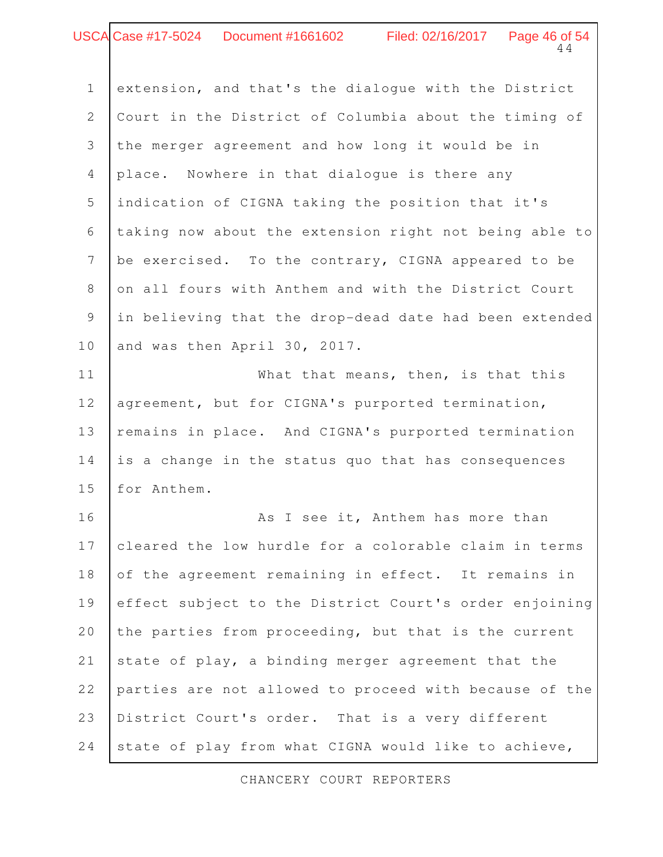### 44 Case #17-5024 Document #1661602 Filed: 02/16/2017 Page 46 of 54

| $\mathbf 1$    | extension, and that's the dialoque with the District   |
|----------------|--------------------------------------------------------|
| 2              | Court in the District of Columbia about the timing of  |
| 3              | the merger agreement and how long it would be in       |
| $\overline{4}$ | place. Nowhere in that dialogue is there any           |
| 5              | indication of CIGNA taking the position that it's      |
| 6              | taking now about the extension right not being able to |
| $\overline{7}$ | be exercised. To the contrary, CIGNA appeared to be    |
| 8              | on all fours with Anthem and with the District Court   |
| $\mathcal{G}$  | in believing that the drop-dead date had been extended |
| 10             | and was then April 30, 2017.                           |
| 11             | What that means, then, is that this                    |
| 12             | agreement, but for CIGNA's purported termination,      |
| 13             | remains in place. And CIGNA's purported termination    |
| 14             | is a change in the status quo that has consequences    |
| 15             | for Anthem.                                            |
|                |                                                        |

As I see it, Anthem has more than cleared the low hurdle for a colorable claim in terms of the agreement remaining in effect. It remains in effect subject to the District Court's order enjoining the parties from proceeding, but that is the current state of play, a binding merger agreement that the parties are not allowed to proceed with because of the District Court's order. That is a very different state of play from what CIGNA would like to achieve, 16 17 18 19 20 21 22 23 24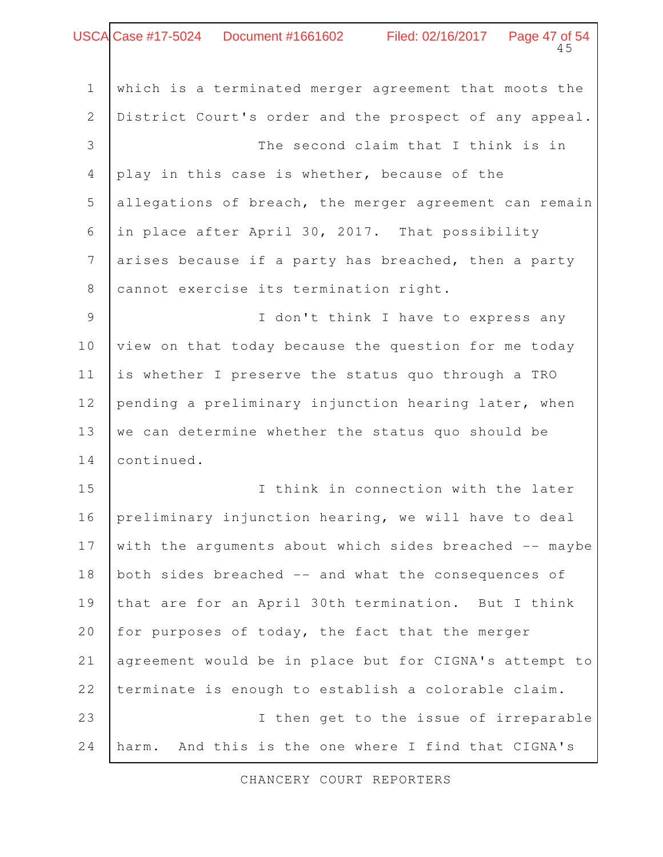|                 | USCA Case #17-5024  Document #1661602  Filed: 02/16/2017  Page 47 of 54<br>45 |
|-----------------|-------------------------------------------------------------------------------|
| $1\,$           | which is a terminated merger agreement that moots the                         |
| $\mathbf{2}$    | District Court's order and the prospect of any appeal.                        |
| 3               | The second claim that I think is in                                           |
| $\overline{4}$  | play in this case is whether, because of the                                  |
| 5               | allegations of breach, the merger agreement can remain                        |
| 6               | in place after April 30, 2017. That possibility                               |
| $7\overline{ }$ | arises because if a party has breached, then a party                          |
| 8               | cannot exercise its termination right.                                        |
| 9               | I don't think I have to express any                                           |
| 10              | view on that today because the question for me today                          |
| 11              | is whether I preserve the status quo through a TRO                            |
| 12              | pending a preliminary injunction hearing later, when                          |
| 13              | we can determine whether the status quo should be                             |
| 14              | continued.                                                                    |
| 15              | I think in connection with the later                                          |
| 16              | preliminary injunction hearing, we will have to deal                          |
| 17              | with the arguments about which sides breached -- maybe                        |
| 18              | both sides breached -- and what the consequences of                           |
| 19              | that are for an April 30th termination. But I think                           |
| 20              | for purposes of today, the fact that the merger                               |
| 21              | agreement would be in place but for CIGNA's attempt to                        |
| 22              | terminate is enough to establish a colorable claim.                           |
| 23              | I then get to the issue of irreparable                                        |
| 24              | And this is the one where I find that CIGNA's<br>harm.                        |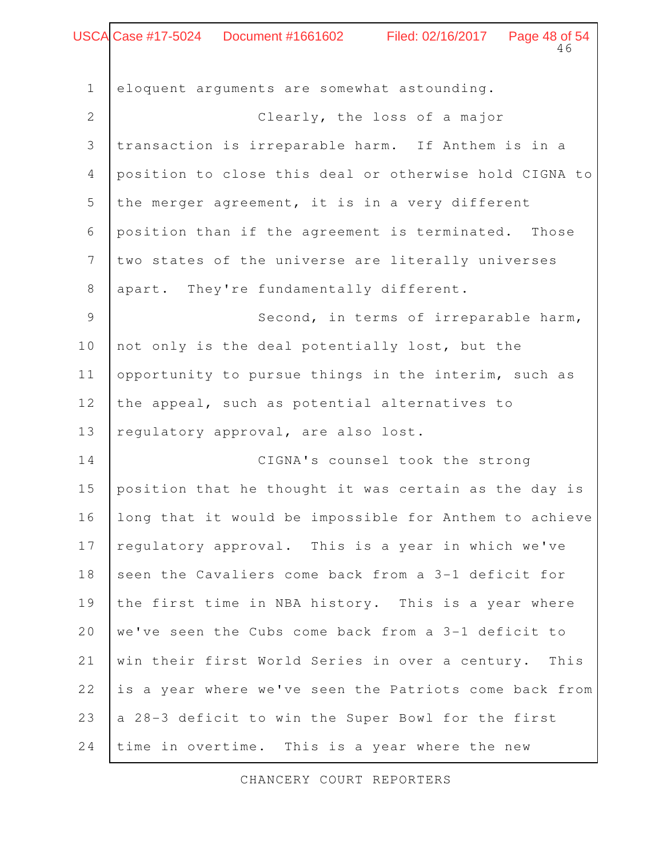#### 46 Case #17-5024 Document #1661602 Filed: 02/16/2017 Page 48 of 54

eloquent arguments are somewhat astounding. Clearly, the loss of a major transaction is irreparable harm. If Anthem is in a position to close this deal or otherwise hold CIGNA to the merger agreement, it is in a very different position than if the agreement is terminated. Those two states of the universe are literally universes apart. They're fundamentally different. Second, in terms of irreparable harm, not only is the deal potentially lost, but the opportunity to pursue things in the interim, such as the appeal, such as potential alternatives to regulatory approval, are also lost. CIGNA's counsel took the strong position that he thought it was certain as the day is long that it would be impossible for Anthem to achieve regulatory approval. This is a year in which we've seen the Cavaliers come back from a 3-1 deficit for the first time in NBA history. This is a year where we've seen the Cubs come back from a 3-1 deficit to win their first World Series in over a century. This is a year where we've seen the Patriots come back from a 28-3 deficit to win the Super Bowl for the first time in overtime. This is a year where the new 1 2 3 4 5 6 7 8 9 10 11 12 13 14 15 16 17 18 19 20 21 22 23 24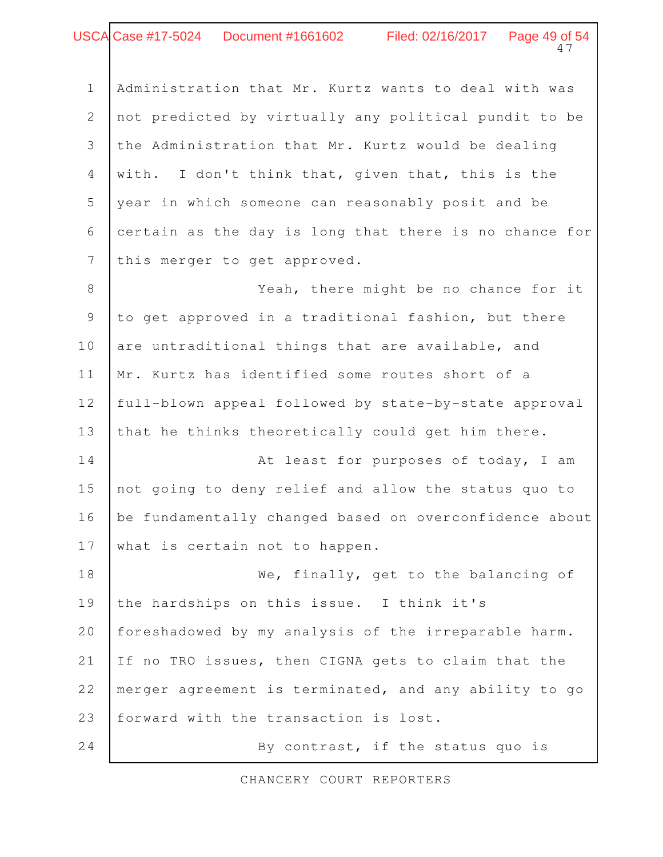# Case #17-5024 Document #1661602 Filed: 02/16/2017 Page 49 of 54

Administration that Mr. Kurtz wants to deal with was not predicted by virtually any political pundit to be the Administration that Mr. Kurtz would be dealing with. I don't think that, given that, this is the year in which someone can reasonably posit and be certain as the day is long that there is no chance for this merger to get approved. 1 2 3 4 5 6 7

47

Yeah, there might be no chance for it to get approved in a traditional fashion, but there are untraditional things that are available, and Mr. Kurtz has identified some routes short of a full-blown appeal followed by state-by-state approval that he thinks theoretically could get him there. At least for purposes of today, I am not going to deny relief and allow the status quo to be fundamentally changed based on overconfidence about what is certain not to happen. We, finally, get to the balancing of the hardships on this issue. I think it's 8 9 10 11 12 13 14 15 16 17 18 19

foreshadowed by my analysis of the irreparable harm. If no TRO issues, then CIGNA gets to claim that the merger agreement is terminated, and any ability to go forward with the transaction is lost. 20 21 22 23

By contrast, if the status quo is 24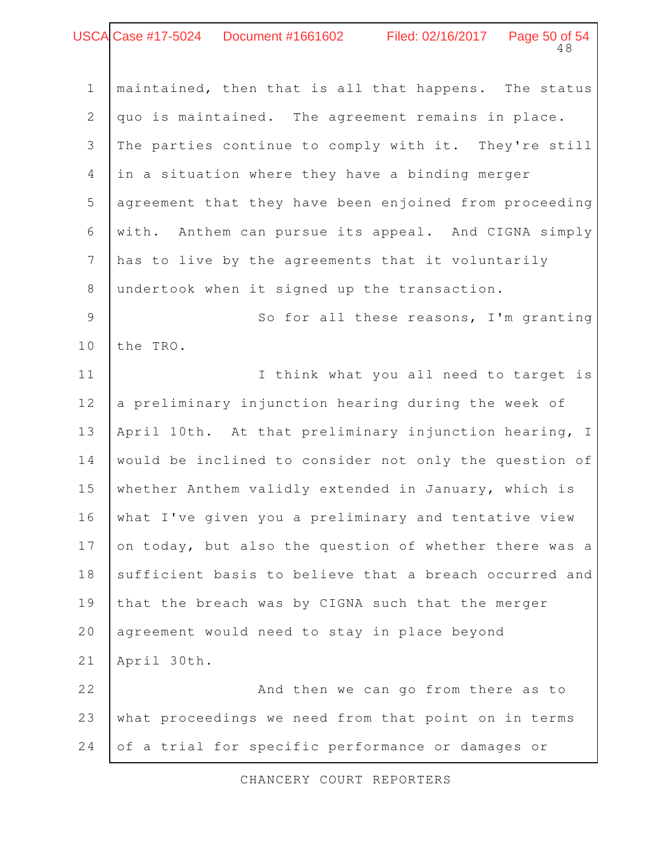## 48 USCA Case #17-5024 Document #1661602 Filed: 02/16/2017 Page 50 of 54

| $\mathbf 1$    | maintained, then that is all that happens. The status   |
|----------------|---------------------------------------------------------|
| $\mathbf{2}$   | quo is maintained. The agreement remains in place.      |
| 3              | The parties continue to comply with it. They're still   |
| $\overline{4}$ | in a situation where they have a binding merger         |
| 5              | agreement that they have been enjoined from proceeding  |
| 6              | Anthem can pursue its appeal. And CIGNA simply<br>with. |
| $\overline{7}$ | has to live by the agreements that it voluntarily       |
| $8\,$          | undertook when it signed up the transaction.            |
| $\mathcal{G}$  | So for all these reasons, I'm granting                  |
| $10$           | the TRO.                                                |
| 11             | I think what you all need to target is                  |
| 12             | a preliminary injunction hearing during the week of     |
| 13             | April 10th. At that preliminary injunction hearing, I   |
| 14             | would be inclined to consider not only the question of  |
| 15             | whether Anthem validly extended in January, which is    |
| 16             | what I've given you a preliminary and tentative view    |
| 17             | on today, but also the question of whether there was a  |
| 18             | sufficient basis to believe that a breach occurred and  |
| 19             | that the breach was by CIGNA such that the merger       |
| 20             | agreement would need to stay in place beyond            |
| 21             | April 30th.                                             |
| 22             | And then we can go from there as to                     |
| 23             | what proceedings we need from that point on in terms    |
| 24             | of a trial for specific performance or damages or       |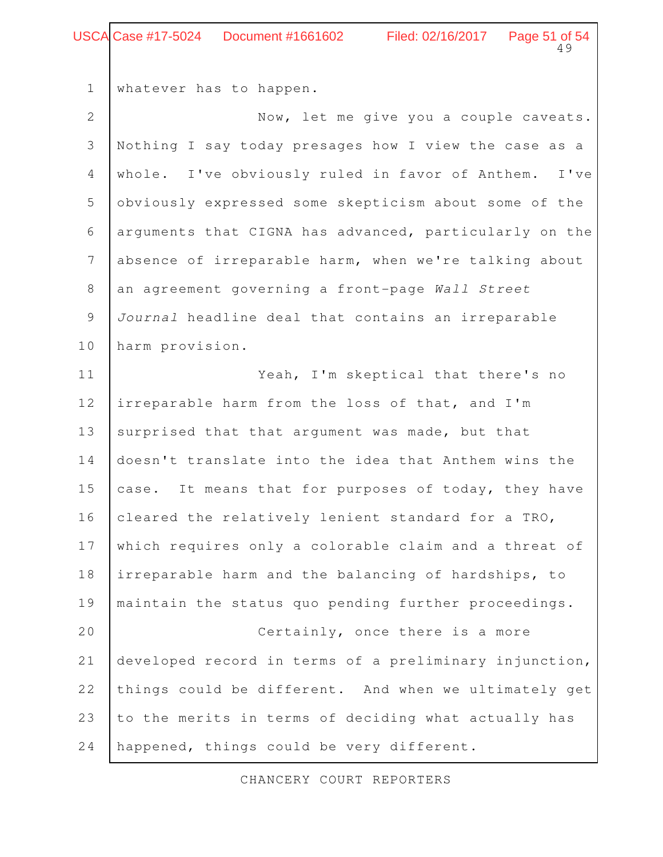#### Page 51 of 54<br>49 Case #17-5024 Document #1661602 Filed: 02/16/2017

whatever has to happen. Now, let me give you a couple caveats. Nothing I say today presages how I view the case as a whole. I've obviously ruled in favor of Anthem. I've obviously expressed some skepticism about some of the arguments that CIGNA has advanced, particularly on the absence of irreparable harm, when we're talking about an agreement governing a front-page Wall Street Journal headline deal that contains an irreparable harm provision. Yeah, I'm skeptical that there's no irreparable harm from the loss of that, and I'm surprised that that argument was made, but that doesn't translate into the idea that Anthem wins the case. It means that for purposes of today, they have cleared the relatively lenient standard for a TRO, which requires only a colorable claim and a threat of irreparable harm and the balancing of hardships, to maintain the status quo pending further proceedings. Certainly, once there is a more developed record in terms of a preliminary injunction, things could be different. And when we ultimately get to the merits in terms of deciding what actually has happened, things could be very different. 1 2 3 4 5 6 7 8 9 10 11 12 13 14 15 16 17 18 19 20 21 22 23 24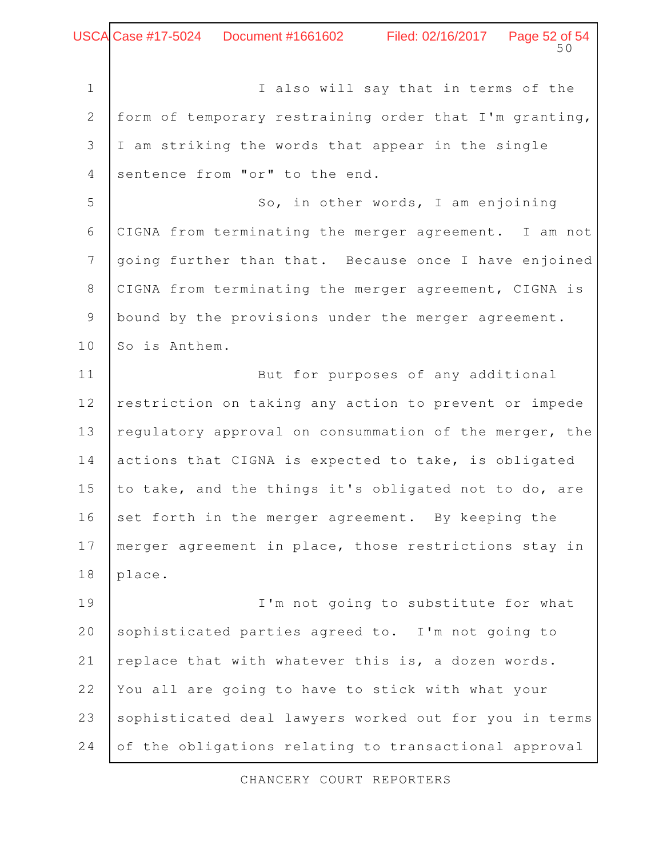Page 52 of 54 Case #17-5024 Document #1661602 Filed: 02/16/2017

I also will say that in terms of the form of temporary restraining order that I'm granting, I am striking the words that appear in the single sentence from "or" to the end. So, in other words, I am enjoining CIGNA from terminating the merger agreement. I am not going further than that. Because once I have enjoined CIGNA from terminating the merger agreement, CIGNA is bound by the provisions under the merger agreement. So is Anthem. But for purposes of any additional restriction on taking any action to prevent or impede regulatory approval on consummation of the merger, the actions that CIGNA is expected to take, is obligated to take, and the things it's obligated not to do, are set forth in the merger agreement. By keeping the merger agreement in place, those restrictions stay in place. I'm not going to substitute for what sophisticated parties agreed to. I'm not going to replace that with whatever this is, a dozen words. You all are going to have to stick with what your sophisticated deal lawyers worked out for you in terms 1 2 3 4 5 6 7 8 9 10 11 12 13 14 15 16 17 18 19 20 21 22 23

CHANCERY COURT REPORTERS

24

of the obligations relating to transactional approval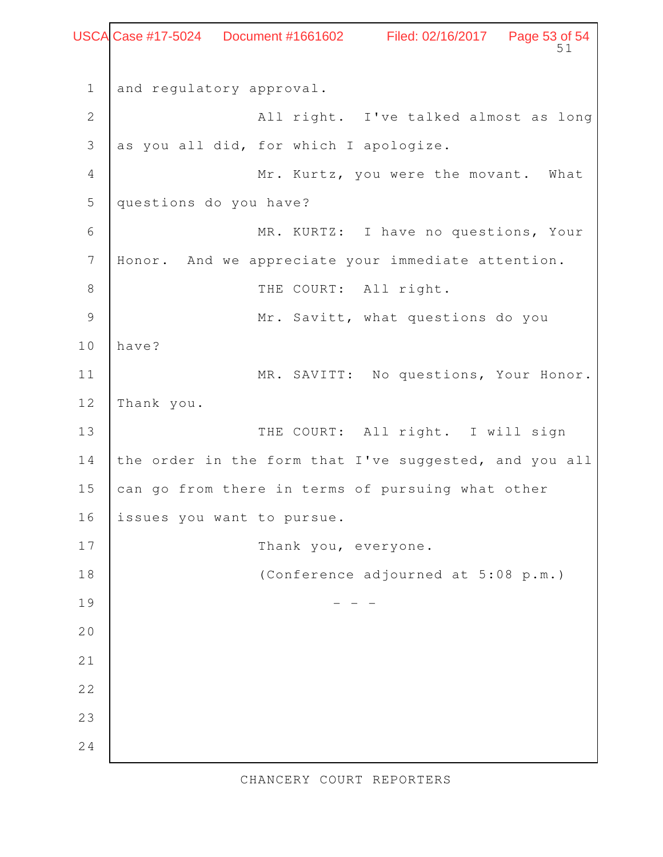Page 53 of 54<br>51 and regulatory approval. All right. I've talked almost as long as you all did, for which I apologize. Mr. Kurtz, you were the movant. What questions do you have? MR. KURTZ: I have no questions, Your Honor. And we appreciate your immediate attention. THE COURT: All right. Mr. Savitt, what questions do you have? MR. SAVITT: No questions, Your Honor. Thank you. THE COURT: All right. I will sign the order in the form that I've suggested, and you all can go from there in terms of pursuing what other issues you want to pursue. Thank you, everyone. (Conference adjourned at 5:08 p.m.)  $-$  1 2 3 4 5 6 7 8 9 10 11 12 13 14 15 16 17 18 19 20 21 22 23 24 USCA Case #17-5024 Document #1661602 Filed: 02/16/2017